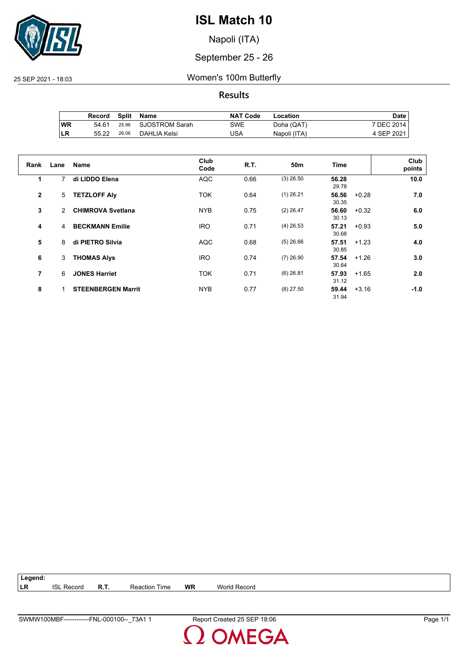

Napoli (ITA)

### September 25 - 26

25 SEP 2021 - 18:03 Women's 100m Butterfly

#### **Results**

|           | Record | Split | Name           | <b>NAT Code</b> | Location     | Date       |
|-----------|--------|-------|----------------|-----------------|--------------|------------|
| <b>WR</b> | 54.61  | 25.96 | SJOSTROM Sarah | SWE             | Doha (QAT)   | 7 DEC 2014 |
| ILR       | 55.22  | 26.06 | DAHLIA Kelsi   | USA             | Napoli (ITA) | 4 SEP 2021 |

| Rank         | Lane           | <b>Name</b>               | Club<br>Code | R.T. | 50 <sub>m</sub> | <b>Time</b>    |         | Club<br>points |
|--------------|----------------|---------------------------|--------------|------|-----------------|----------------|---------|----------------|
| 1            | $\overline{7}$ | di LIDDO Elena            | <b>AQC</b>   | 0.66 | $(3)$ 26.50     | 56.28<br>29.78 |         | 10.0           |
| $\mathbf{2}$ | 5              | <b>TETZLOFF Alv</b>       | <b>TOK</b>   | 0.64 | $(1)$ 26.21     | 56.56<br>30.35 | $+0.28$ | 7.0            |
| 3            | 2              | <b>CHIMROVA Svetlana</b>  | <b>NYB</b>   | 0.75 | $(2)$ 26.47     | 56.60<br>30.13 | $+0.32$ | 6.0            |
| 4            | 4              | <b>BECKMANN Emilie</b>    | <b>IRO</b>   | 0.71 | $(4)$ 26.53     | 57.21<br>30.68 | $+0.93$ | 5.0            |
| 5            | 8              | di PIETRO Silvia          | <b>AQC</b>   | 0.68 | $(5)$ 26.66     | 57.51<br>30.85 | $+1.23$ | 4.0            |
| 6            | 3              | <b>THOMAS Alys</b>        | <b>IRO</b>   | 0.74 | $(7)$ 26.90     | 57.54<br>30.64 | $+1.26$ | 3.0            |
| 7            | 6              | <b>JONES Harriet</b>      | <b>TOK</b>   | 0.71 | $(6)$ 26.81     | 57.93<br>31.12 | $+1.65$ | 2.0            |
| 8            |                | <b>STEENBERGEN Marrit</b> | <b>NYB</b>   | 0.77 | $(8)$ 27.50     | 59.44<br>31.94 | $+3.16$ | $-1.0$         |

| $\vert$ Legend: |                   |             |                      |           |                     |  |
|-----------------|-------------------|-------------|----------------------|-----------|---------------------|--|
| LR              | <b>ISL Record</b> | <b>R.T.</b> | <b>Reaction Time</b> | <b>WR</b> | <b>World Record</b> |  |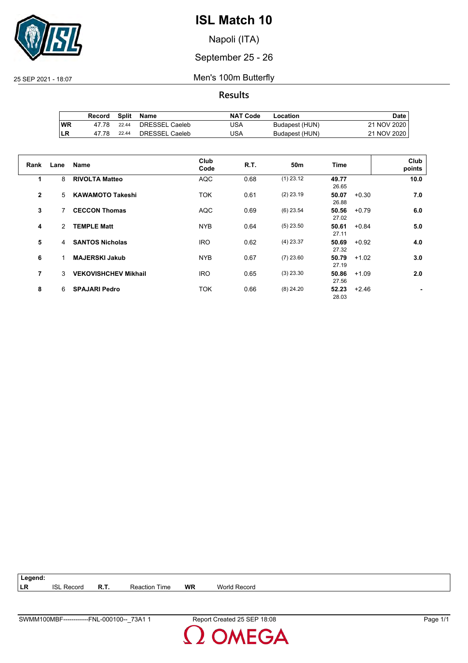

Napoli (ITA)

September 25 - 26

25 SEP 2021 - 18:07 Men's 100m Butterfly

**Results**

|     | Record | Split | Name           | <b>NAT Code</b> | Location       | Date i      |
|-----|--------|-------|----------------|-----------------|----------------|-------------|
| WR  | 47 78  | 22.44 | DRESSEL Caeleb | JSA             | Budapest (HUN) | 21 NOV 2020 |
| ILR | 47.78  | 22.44 | DRESSEL Caeleb | USA             | Budapest (HUN) | 21 NOV 2020 |

| Rank           | Lane          | <b>Name</b>                 | Club<br>Code | R.T. | 50 <sub>m</sub> | Time           |         | Club<br>points |
|----------------|---------------|-----------------------------|--------------|------|-----------------|----------------|---------|----------------|
| 1              | 8             | <b>RIVOLTA Matteo</b>       | <b>AQC</b>   | 0.68 | $(1)$ 23.12     | 49.77<br>26.65 |         | 10.0           |
| $\mathbf{2}$   | 5             | <b>KAWAMOTO Takeshi</b>     | <b>TOK</b>   | 0.61 | $(2)$ 23.19     | 50.07<br>26.88 | $+0.30$ | 7.0            |
| 3              | 7             | <b>CECCON Thomas</b>        | <b>AQC</b>   | 0.69 | $(6)$ 23.54     | 50.56<br>27.02 | $+0.79$ | 6.0            |
| 4              | $\mathcal{P}$ | <b>TEMPLE Matt</b>          | <b>NYB</b>   | 0.64 | $(5)$ 23.50     | 50.61<br>27.11 | $+0.84$ | 5.0            |
| 5              | 4             | <b>SANTOS Nicholas</b>      | <b>IRO</b>   | 0.62 | $(4)$ 23.37     | 50.69<br>27.32 | $+0.92$ | 4.0            |
| 6              |               | <b>MAJERSKI Jakub</b>       | <b>NYB</b>   | 0.67 | $(7)$ 23.60     | 50.79<br>27.19 | $+1.02$ | 3.0            |
| $\overline{7}$ | 3             | <b>VEKOVISHCHEV Mikhail</b> | <b>IRO</b>   | 0.65 | $(3)$ 23.30     | 50.86<br>27.56 | $+1.09$ | 2.0            |
| 8              | 6             | <b>SPAJARI Pedro</b>        | <b>TOK</b>   | 0.66 | $(8)$ 24.20     | 52.23<br>28.03 | $+2.46$ |                |

**Legend: LR** ISL Record **R.T.** Reaction Time **WR** World Record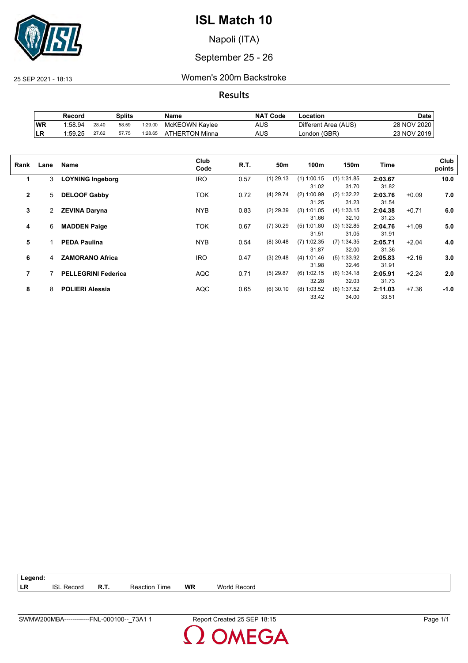

Napoli (ITA)

### September 25 - 26

25 SEP 2021 - 18:13 Women's 200m Backstroke

**Results**

|           | Record  |       | Splits |         | Name           | <b>NAT Code</b> | -ocation             | Date        |
|-----------|---------|-------|--------|---------|----------------|-----------------|----------------------|-------------|
| WR        | 1:58.94 | 28.40 | 58.59  | 1:29.00 | McKEOWN Kaylee | AUS             | Different Area (AUS) | 28 NOV 2020 |
| <b>LR</b> | 1:59.25 | 27.62 | 57.75  | 1:28.65 | ATHERTON Minna | AUS             | London (GBR)         | 23 NOV 2019 |

| Rank         | Lane | <b>Name</b>                | Club<br>Code | R.T. | 50m         | 100m                            | 150m                          | Time                      |         | Club<br>points |
|--------------|------|----------------------------|--------------|------|-------------|---------------------------------|-------------------------------|---------------------------|---------|----------------|
| 1            | 3    | <b>LOYNING Ingeborg</b>    | <b>IRO</b>   | 0.57 | $(1)$ 29.13 | $(1)$ 1:00.15                   | $(1)$ 1:31.85                 | 2:03.67                   |         | 10.0           |
| $\mathbf{2}$ | 5    | <b>DELOOF Gabby</b>        | <b>TOK</b>   | 0.72 | $(4)$ 29.74 | 31.02<br>$(2)$ 1:00.99<br>31.25 | 31.70<br>(2) 1:32.22<br>31.23 | 31.82<br>2:03.76<br>31.54 | $+0.09$ | 7.0            |
| 3            | 2    | <b>ZEVINA Daryna</b>       | <b>NYB</b>   | 0.83 | $(2)$ 29.39 | $(3)$ 1:01.05<br>31.66          | (4) 1:33.15<br>32.10          | 2:04.38<br>31.23          | $+0.71$ | 6.0            |
| 4            | 6    | <b>MADDEN Paige</b>        | <b>TOK</b>   | 0.67 | $(7)$ 30.29 | (5) 1:01.80<br>31.51            | (3) 1:32.85<br>31.05          | 2:04.76<br>31.91          | $+1.09$ | 5.0            |
| 5            |      | <b>PEDA Paulina</b>        | <b>NYB</b>   | 0.54 | $(8)$ 30.48 | $(7)$ 1:02.35<br>31.87          | $(7)$ 1:34.35<br>32.00        | 2:05.71<br>31.36          | $+2.04$ | 4.0            |
| 6            | 4    | <b>ZAMORANO Africa</b>     | <b>IRO</b>   | 0.47 | $(3)$ 29.48 | (4) 1:01.46<br>31.98            | (5) 1:33.92<br>32.46          | 2:05.83<br>31.91          | $+2.16$ | 3.0            |
| 7            |      | <b>PELLEGRINI Federica</b> | <b>AQC</b>   | 0.71 | $(5)$ 29.87 | $(6)$ 1:02.15<br>32.28          | (6) 1:34.18<br>32.03          | 2:05.91<br>31.73          | $+2.24$ | 2.0            |
| 8            | 8    | <b>POLIERI Alessia</b>     | <b>AQC</b>   | 0.65 | $(6)$ 30.10 | $(8)$ 1:03.52<br>33.42          | $(8)$ 1:37.52<br>34.00        | 2:11.03<br>33.51          | $+7.36$ | $-1.0$         |

| Legend: |                   |      |                      |    |                     |
|---------|-------------------|------|----------------------|----|---------------------|
| LR      | <b>ISL Record</b> | R.T. | <b>Reaction Time</b> | WR | <b>World Record</b> |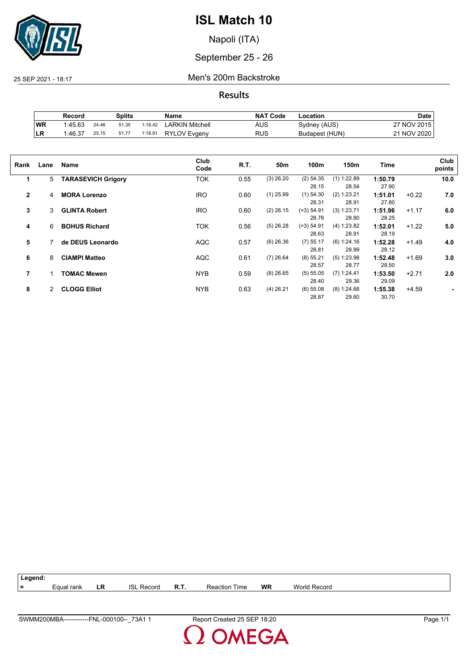

Napoli (ITA)

### September 25 - 26

25 SEP 2021 - 18:17 Men's 200m Backstroke

**Results**

|            | Record  |       | Splits |         | Name            | <b>NAT Code</b> | ∟ocation       | Date          |
|------------|---------|-------|--------|---------|-----------------|-----------------|----------------|---------------|
| WR         | 1:45.63 | 24.46 | 51.35  | 1:18.42 | ∟ARKIN Mitchell | AUS             | Sydney (AUS)   | 27 NOV 2015   |
| <b>ILR</b> | 1:46.37 | 25.15 | 51.77  | 1:18.81 | RYLOV Evaenv    | RUS             | Budapest (HUN) | 21 NOV 2020 L |

| Rank           | Lane | Name                      | Club<br>Code | R.T. | 50m         | 100m         | 150m          | Time    |         | Club<br>points |
|----------------|------|---------------------------|--------------|------|-------------|--------------|---------------|---------|---------|----------------|
| 1              | 5    | <b>TARASEVICH Grigory</b> | <b>TOK</b>   | 0.55 | $(3)$ 26.20 | $(2)$ 54.35  | $(1)$ 1:22.89 | 1:50.79 |         | 10.0           |
|                |      |                           |              |      |             | 28.15        | 28.54         | 27.90   |         |                |
| $\overline{2}$ | 4    | <b>MORA Lorenzo</b>       | <b>IRO</b>   | 0.60 | $(1)$ 25.99 | $(1)$ 54.30  | (2) 1:23.21   | 1:51.01 | $+0.22$ | 7.0            |
|                |      |                           |              |      |             | 28.31        | 28.91         | 27.80   |         |                |
| 3              | 3    | <b>GLINTA Robert</b>      | <b>IRO</b>   | 0.60 | $(2)$ 26.15 | $(=3) 54.91$ | (3) 1:23.71   | 1:51.96 | $+1.17$ | 6.0            |
|                |      |                           |              |      |             | 28.76        | 28.80         | 28.25   |         |                |
| 4              | 6    | <b>BOHUS Richard</b>      | <b>TOK</b>   | 0.56 | $(5)$ 26.28 | $(=3) 54.91$ | (4) 1:23.82   | 1:52.01 | $+1.22$ | 5.0            |
|                |      |                           |              |      |             | 28.63        | 28.91         | 28.19   |         |                |
| 5              |      | de DEUS Leonardo          | <b>AQC</b>   | 0.57 | $(6)$ 26.36 | $(7)$ 55.17  | (6) 1:24.16   | 1:52.28 | $+1.49$ | 4.0            |
|                |      |                           |              |      |             | 28.81        | 28.99         | 28.12   |         |                |
| 6              | 8    | <b>CIAMPI Matteo</b>      | <b>AQC</b>   | 0.61 | $(7)$ 26.64 | $(8)$ 55.21  | (5) 1:23.98   | 1:52.48 | $+1.69$ | 3.0            |
|                |      |                           |              |      |             | 28.57        | 28.77         | 28.50   |         |                |
| 7              |      | <b>TOMAC Mewen</b>        | <b>NYB</b>   | 0.59 | $(8)$ 26.65 | (5) 55.05    | (7) 1:24.41   | 1:53.50 | $+2.71$ | 2.0            |
|                |      |                           |              |      |             | 28.40        | 29.36         | 29.09   |         |                |
| 8              | 2    | <b>CLOGG Elliot</b>       | <b>NYB</b>   | 0.63 | $(4)$ 26.21 | $(6)$ 55.08  | (8) 1:24.68   | 1:55.38 | $+4.59$ |                |
|                |      |                           |              |      |             | 28.87        | 29.60         | 30.70   |         |                |
|                |      |                           |              |      |             |              |               |         |         |                |

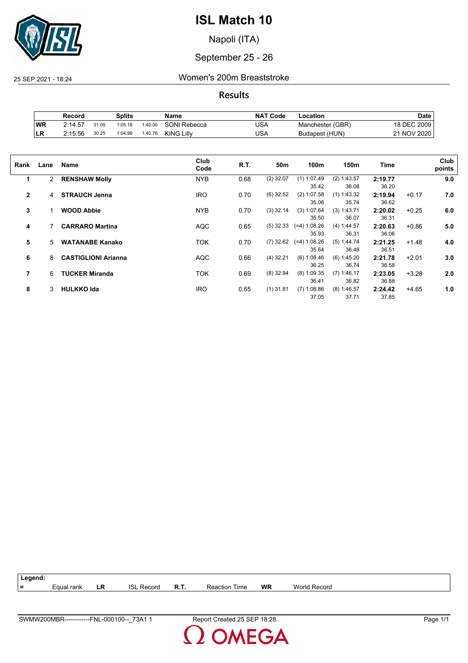

Napoli (ITA)

September 25 - 26

25 SEP 2021 - 18:24 Women's 200m Breaststroke

**Results**

|           | Record  |       | Splits  |         | Name                | <b>NAT Code</b> | Location         | <b>Date</b> |
|-----------|---------|-------|---------|---------|---------------------|-----------------|------------------|-------------|
| <b>WR</b> | 2:14.57 | 31.05 | 1:05.18 | 1:40.00 | <b>SONI Rebecca</b> | USA             | Manchester (GBR) | 18 DEC 2009 |
| ILR       | 2:15.56 | 30.25 | 1:04.99 | 1:40.76 | <b>KING Lilly</b>   | USA             | Budapest (HUN)   | 21 NOV 2020 |

| Rank           | Lane           | Name                       | Club<br>Code | R.T. | 50m         | 100m                             | 150m                            | Time                      |         | Club<br>points |
|----------------|----------------|----------------------------|--------------|------|-------------|----------------------------------|---------------------------------|---------------------------|---------|----------------|
| 1              | $\overline{2}$ | <b>RENSHAW Molly</b>       | <b>NYB</b>   | 0.68 | $(2)$ 32.07 | $(1)$ 1:07.49                    | (2) 1:43.57                     | 2:19.77                   |         | 9.0            |
| $\overline{2}$ | 4              | <b>STRAUCH Jenna</b>       | <b>IRO</b>   | 0.70 | $(6)$ 32.52 | 35.42<br>$(2)$ 1:07.58<br>35.06  | 36.08<br>$(1)$ 1:43.32<br>35.74 | 36.20<br>2:19.94<br>36.62 | $+0.17$ | 7.0            |
| 3              |                | <b>WOOD Abbie</b>          | <b>NYB</b>   | 0.70 | $(3)$ 32.14 | (3) 1:07.64                      | (3) 1:43.71                     | 2:20.02                   | $+0.25$ | 6.0            |
| 4              |                | <b>CARRARO Martina</b>     | <b>AQC</b>   | 0.65 | $(5)$ 32.33 | 35.50<br>$(=4) 1:08.26$<br>35.93 | 36.07<br>(4) 1:44.57<br>36.31   | 36.31<br>2:20.63<br>36.06 | $+0.86$ | 5.0            |
| 5              | 5              | <b>WATANABE Kanako</b>     | <b>TOK</b>   | 0.70 | $(7)$ 32.62 | $(=4) 1:08.26$<br>35.64          | (5) 1:44.74<br>36.48            | 2:21.25<br>36.51          | $+1.48$ | 4.0            |
| 6              | 8              | <b>CASTIGLIONI Arianna</b> | <b>AQC</b>   | 0.66 | $(4)$ 32.21 | (6) 1:08.46<br>36.25             | (6) 1:45.20<br>36.74            | 2:21.78<br>36.58          | $+2.01$ | 3.0            |
| 7              | 6              | <b>TUCKER Miranda</b>      | <b>TOK</b>   | 0.69 | $(8)$ 32.94 | $(8)$ 1:09.35<br>36.41           | $(7)$ 1:46.17<br>36.82          | 2:23.05<br>36.88          | $+3.28$ | 2.0            |
| 8              | 3              | <b>HULKKO Ida</b>          | <b>IRO</b>   | 0.65 | $(1)$ 31.81 | $(7)$ 1:08.86<br>37.05           | $(8)$ 1:46.57<br>37.71          | 2:24.42<br>37.85          | $+4.65$ | 1.0            |

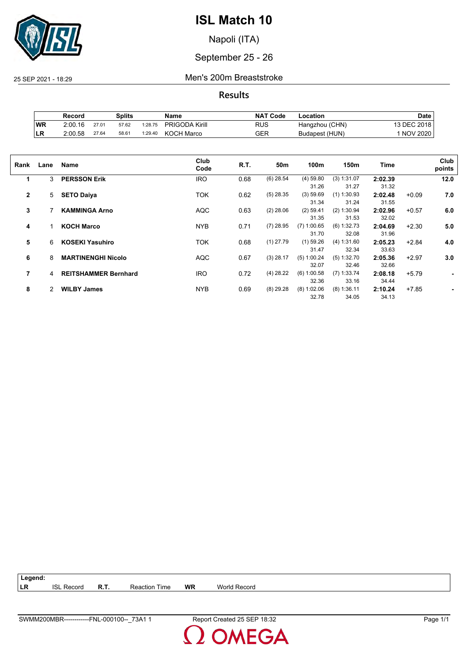

Napoli (ITA)

### September 25 - 26

25 SEP 2021 - 18:29 Men's 200m Breaststroke

**Results**

|           | Record  |       | Splits |         | Name                  | <b>NAT Code</b> | -ocation       | Date        |
|-----------|---------|-------|--------|---------|-----------------------|-----------------|----------------|-------------|
| WR        | 2:00.16 | 27.01 | 57.62  | 1:28.75 | <b>PRIGODA Kirill</b> | RUS             | Hangzhou (CHN) | 13 DEC 2018 |
| <b>LR</b> | 2.00.58 | 27.64 | 58.61  | 1:29.40 | <b>KOCH Marco</b>     | GER             | Budapest (HUN) | NOV 2020    |

| Rank         | Lane | Name                        | Club<br>Code | R.T. | 50m         | 100m          | 150m          | Time    |         | Club<br>points |
|--------------|------|-----------------------------|--------------|------|-------------|---------------|---------------|---------|---------|----------------|
| 1            | 3    | <b>PERSSON Erik</b>         | <b>IRO</b>   | 0.68 | $(6)$ 28.54 | $(4)$ 59.80   | (3) 1:31.07   | 2:02.39 |         | 12.0           |
|              |      |                             |              |      |             | 31.26         | 31.27         | 31.32   |         |                |
| $\mathbf{2}$ | 5    | <b>SETO Daiya</b>           | <b>TOK</b>   | 0.62 | $(5)$ 28.35 | (3) 59.69     | $(1)$ 1:30.93 | 2:02.48 | $+0.09$ | 7.0            |
|              |      |                             |              |      |             | 31.34         | 31.24         | 31.55   |         |                |
| 3            |      | <b>KAMMINGA Arno</b>        | <b>AQC</b>   | 0.63 | $(2)$ 28.06 | $(2)$ 59.41   | (2) 1:30.94   | 2:02.96 | $+0.57$ | 6.0            |
|              |      |                             |              |      |             | 31.35         | 31.53         | 32.02   |         |                |
| 4            |      | <b>KOCH Marco</b>           | <b>NYB</b>   | 0.71 | $(7)$ 28.95 | $(7)$ 1:00.65 | (6) 1:32.73   | 2:04.69 | $+2.30$ | 5.0            |
|              |      |                             |              |      |             | 31.70         | 32.08         | 31.96   |         |                |
| 5            | 6    | <b>KOSEKI Yasuhiro</b>      | <b>TOK</b>   | 0.68 | $(1)$ 27.79 | $(1)$ 59.26   | (4) 1:31.60   | 2:05.23 | $+2.84$ | 4.0            |
|              |      |                             |              |      |             | 31.47         | 32.34         | 33.63   |         |                |
| 6            | 8    | <b>MARTINENGHI Nicolo</b>   | <b>AQC</b>   | 0.67 | $(3)$ 28.17 | (5) 1:00.24   | (5) 1:32.70   | 2:05.36 | $+2.97$ | 3.0            |
|              |      |                             |              |      |             | 32.07         | 32.46         | 32.66   |         |                |
| 7            | 4    | <b>REITSHAMMER Bernhard</b> | <b>IRO</b>   | 0.72 | $(4)$ 28.22 | $(6)$ 1:00.58 | $(7)$ 1:33.74 | 2:08.18 | $+5.79$ | ٠              |
|              |      |                             |              |      |             | 32.36         | 33.16         | 34.44   |         |                |
| 8            | 2    | <b>WILBY James</b>          | <b>NYB</b>   | 0.69 | $(8)$ 29.28 | $(8)$ 1:02.06 | $(8)$ 1:36.11 | 2:10.24 | $+7.85$ |                |
|              |      |                             |              |      |             | 32.78         | 34.05         | 34.13   |         |                |
|              |      |                             |              |      |             |               |               |         |         |                |

| $ $ Legend: |                   |                      |    |                     |
|-------------|-------------------|----------------------|----|---------------------|
| l LR        | <b>ISL Record</b> | <b>Reaction Time</b> | WR | <b>World Record</b> |

**OMEGA**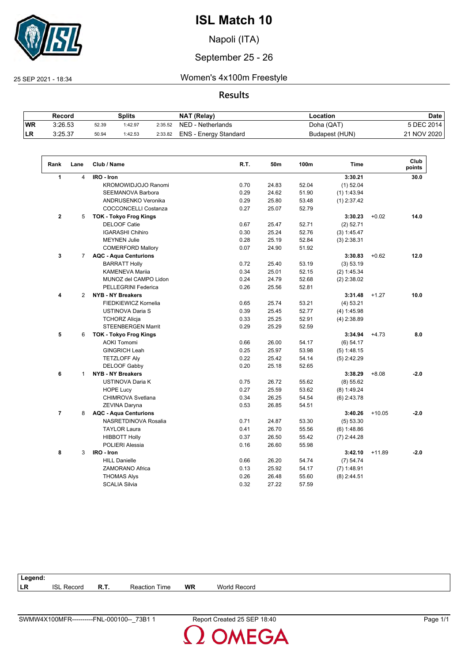

Napoli (ITA)

### September 25 - 26

#### 25 SEP 2021 - 18:34 Women's 4x100m Freestyle

#### **Results**

|           | Record  |       | Splits  |         | <b>NAT (Relay)</b>    | ∟ocation       | Date        |
|-----------|---------|-------|---------|---------|-----------------------|----------------|-------------|
| <b>WR</b> | 3:26.53 | 52.39 | 1:42.97 | 2:35.52 | NED - Netherlands     | Doha (QAT)     | 5 DEC 2014  |
| ILR       | 3:25.37 | 50.94 | 1:42.53 | 2:33.82 | ENS - Energy Standard | Budapest (HUN) | 21 NOV 2020 |

| $\blacktriangleleft$<br>$\overline{4}$<br>IRO - Iron<br><b>KROMOWIDJOJO Ranomi</b><br>0.70<br>24.83<br>0.29<br><b>SEEMANOVA Barbora</b><br>24.62<br>0.29<br>ANDRUSENKO Veronika<br>25.80 | 3:30.21<br>52.04<br>$(1)$ 52.04<br>51.90<br>$(1)$ 1:43.94<br>53.48<br>$(1)$ 2:37.42<br>52.79 |          | 30.0   |
|------------------------------------------------------------------------------------------------------------------------------------------------------------------------------------------|----------------------------------------------------------------------------------------------|----------|--------|
|                                                                                                                                                                                          |                                                                                              |          |        |
|                                                                                                                                                                                          |                                                                                              |          |        |
|                                                                                                                                                                                          |                                                                                              |          |        |
|                                                                                                                                                                                          |                                                                                              |          |        |
| <b>COCCONCELLI Costanza</b><br>0.27<br>25.07                                                                                                                                             |                                                                                              |          |        |
| $\mathbf{2}$<br>5<br><b>TOK - Tokyo Frog Kings</b>                                                                                                                                       | 3:30.23                                                                                      | $+0.02$  | 14.0   |
| <b>DELOOF Catie</b><br>0.67<br>25.47                                                                                                                                                     | 52.71<br>$(2)$ 52.71                                                                         |          |        |
| <b>IGARASHI Chihiro</b><br>0.30<br>25.24                                                                                                                                                 | 52.76<br>(3) 1:45.47                                                                         |          |        |
| 0.28<br>25.19<br><b>MEYNEN Julie</b>                                                                                                                                                     | 52.84<br>$(3)$ 2:38.31                                                                       |          |        |
| 0.07<br>24.90<br><b>COMERFORD Mallory</b>                                                                                                                                                | 51.92                                                                                        |          |        |
| 3<br>$\overline{7}$<br><b>AQC - Aqua Centurions</b>                                                                                                                                      | 3:30.83                                                                                      | $+0.62$  | 12.0   |
| 0.72<br><b>BARRATT Holly</b><br>25.40                                                                                                                                                    | 53.19<br>(3) 53.19                                                                           |          |        |
| 0.34<br>25.01<br><b>KAMENEVA Marija</b>                                                                                                                                                  | 52.15<br>(2) 1:45.34                                                                         |          |        |
| MUNOZ del CAMPO Lidon<br>0.24<br>24.79                                                                                                                                                   | 52.68<br>$(2)$ 2:38.02                                                                       |          |        |
| 0.26<br>25.56<br><b>PELLEGRINI Federica</b>                                                                                                                                              | 52.81                                                                                        |          |        |
| <b>NYB - NY Breakers</b><br>4<br>$\overline{2}$                                                                                                                                          | 3:31.48                                                                                      | $+1.27$  | 10.0   |
| FIEDKIEWICZ Kornelia<br>25.74<br>0.65                                                                                                                                                    | 53.21<br>(4) 53.21                                                                           |          |        |
| 0.39<br>USTINOVA Daria S<br>25.45                                                                                                                                                        | 52.77<br>(4) 1:45.98                                                                         |          |        |
| 0.33<br>25.25<br><b>TCHORZ Alicja</b>                                                                                                                                                    | 52.91<br>$(4)$ 2:38.89                                                                       |          |        |
| <b>STEENBERGEN Marrit</b><br>0.29<br>25.29                                                                                                                                               | 52.59                                                                                        |          |        |
| 5<br>6<br><b>TOK - Tokyo Frog Kings</b>                                                                                                                                                  | 3:34.94                                                                                      | $+4.73$  | 8.0    |
| <b>AOKI Tomomi</b><br>0.66<br>26.00                                                                                                                                                      | 54.17<br>(6) 54.17                                                                           |          |        |
| <b>GINGRICH Leah</b><br>0.25<br>25.97                                                                                                                                                    | 53.98<br>(5) 1:48.15                                                                         |          |        |
| 0.22<br>25.42<br><b>TETZLOFF Aly</b>                                                                                                                                                     | 54.14<br>$(5)$ 2:42.29                                                                       |          |        |
| 0.20<br>25.18<br>DELOOF Gabby                                                                                                                                                            | 52.65                                                                                        |          |        |
| 6<br><b>NYB - NY Breakers</b><br>$\mathbf{1}$                                                                                                                                            | 3:38.29                                                                                      | $+8.08$  | $-2.0$ |
| USTINOVA Daria K<br>0.75<br>26.72                                                                                                                                                        | 55.62<br>(8) 55.62                                                                           |          |        |
| 0.27<br>25.59<br><b>HOPE Lucy</b>                                                                                                                                                        | 53.62<br>$(8)$ 1:49.24                                                                       |          |        |
| CHIMROVA Svetlana<br>0.34<br>26.25                                                                                                                                                       | 54.54<br>$(6)$ 2:43.78                                                                       |          |        |
| 0.53<br>26.85<br>ZEVINA Daryna                                                                                                                                                           | 54.51                                                                                        |          |        |
| $\overline{7}$<br>8<br><b>AQC - Aqua Centurions</b>                                                                                                                                      | 3:40.26                                                                                      | $+10.05$ | $-2.0$ |
| NASRETDINOVA Rosalia<br>0.71<br>24.87                                                                                                                                                    | 53.30<br>(5) 53.30                                                                           |          |        |
| 26.70<br><b>TAYLOR Laura</b><br>0.41                                                                                                                                                     | 55.56<br>(6) 1:48.86                                                                         |          |        |
| 0.37<br>26.50<br><b>HIBBOTT Holly</b>                                                                                                                                                    | 55.42<br>$(7)$ 2:44.28                                                                       |          |        |
| POLIERI Alessia<br>26.60<br>0.16                                                                                                                                                         | 55.98                                                                                        |          |        |
| 8<br>3<br>IRO - Iron                                                                                                                                                                     | 3:42.10                                                                                      | $+11.89$ | $-2.0$ |
| <b>HILL Danielle</b><br>0.66<br>26.20                                                                                                                                                    | 54.74<br>(7) 54.74                                                                           |          |        |
| 25.92<br>ZAMORANO Africa<br>0.13                                                                                                                                                         | 54.17<br>$(7)$ 1:48.91                                                                       |          |        |
| <b>THOMAS Alys</b><br>0.26<br>26.48                                                                                                                                                      | 55.60<br>$(8)$ 2:44.51                                                                       |          |        |
| 27.22<br><b>SCALIA Silvia</b><br>0.32                                                                                                                                                    | 57.59                                                                                        |          |        |

| ∟egend:   |                |             |                      |           |                     |  |
|-----------|----------------|-------------|----------------------|-----------|---------------------|--|
| <b>LR</b> | Record<br>ISI. | <b>R.T.</b> | <b>Reaction Time</b> | <b>WR</b> | <b>World Record</b> |  |

**OMEGA**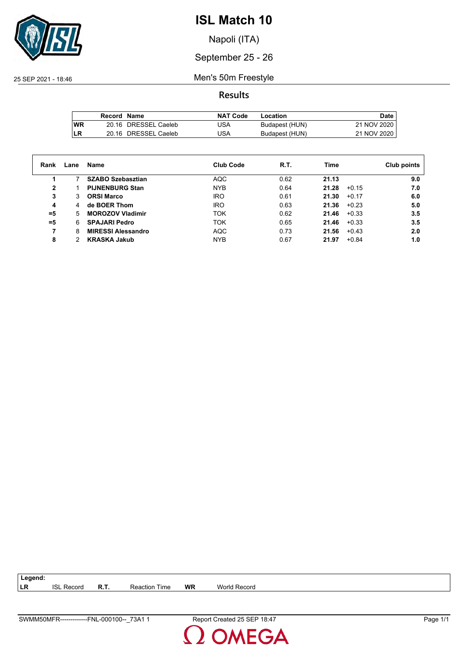

Napoli (ITA)

#### September 25 - 26

25 SEP 2021 - 18:46 Men's 50m Freestyle

**Results**

|            | Record Name |                      | <b>NAT Code</b> | Location       | Date        |
|------------|-------------|----------------------|-----------------|----------------|-------------|
| <b>IWR</b> |             | 20.16 DRESSEL Caeleb | USA             | Budapest (HUN) | 21 NOV 2020 |
| LR         |             | 20.16 DRESSEL Caeleb | USA             | Budapest (HUN) | 21 NOV 2020 |

| Rank  | Lane | Name                      | <b>Club Code</b> | R.T. | Time             | Club points |
|-------|------|---------------------------|------------------|------|------------------|-------------|
|       |      | <b>SZABO Szebasztian</b>  | AQC              | 0.62 | 21.13            | 9.0         |
| 2     |      | <b>PIJNENBURG Stan</b>    | <b>NYB</b>       | 0.64 | 21.28<br>$+0.15$ | 7.0         |
| 3     | 3    | <b>ORSI Marco</b>         | <b>IRO</b>       | 0.61 | 21.30<br>$+0.17$ | 6.0         |
| 4     | 4    | de BOER Thom              | <b>IRO</b>       | 0.63 | 21.36<br>$+0.23$ | 5.0         |
| $= 5$ | 5.   | <b>MOROZOV Vladimir</b>   | TOK              | 0.62 | 21.46<br>$+0.33$ | 3.5         |
| =5    | 6    | <b>SPAJARI Pedro</b>      | TOK              | 0.65 | 21.46<br>$+0.33$ | 3.5         |
|       | 8    | <b>MIRESSI Alessandro</b> | <b>AQC</b>       | 0.73 | 21.56<br>$+0.43$ | 2.0         |
| 8     |      | <b>KRASKA Jakub</b>       | <b>NYB</b>       | 0.67 | 21.97<br>$+0.84$ | 1.0         |

**LR** ISL Record **R.T.** Reaction Time **WR** World Record

SWMM50MFR-------------FNL-000100--\_73A1 1 Report Created 25 SEP 18:47 Page 1/1

**Legend:**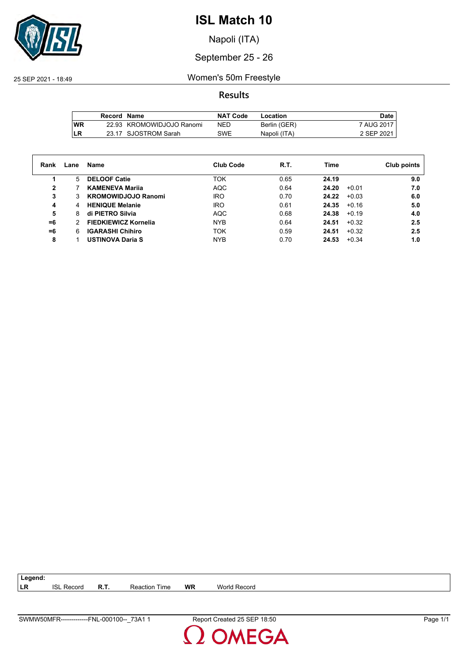

Napoli (ITA)

#### September 25 - 26

#### 25 SEP 2021 - 18:49 Women's 50m Freestyle

#### **Results**

|     | Record Name |                           | <b>NAT Code</b> | Location     | Date l     |
|-----|-------------|---------------------------|-----------------|--------------|------------|
| lWR |             | 22.93 KROMOWIDJOJO Ranomi | NED             | Berlin (GER) | 7 AUG 2017 |
| LR  |             | 23.17 SJOSTROM Sarah      | SWE             | Napoli (ITA) | 2 SEP 2021 |

| Rank | Lane | Name                        | <b>Club Code</b> | R.T. | Time             | Club points |
|------|------|-----------------------------|------------------|------|------------------|-------------|
|      | 5.   | <b>DELOOF Catie</b>         | <b>TOK</b>       | 0.65 | 24.19            | 9.0         |
| 2    |      | <b>KAMENEVA Marija</b>      | <b>AQC</b>       | 0.64 | 24.20<br>$+0.01$ | 7.0         |
| 3    |      | <b>KROMOWIDJOJO Ranomi</b>  | <b>IRO</b>       | 0.70 | 24.22<br>$+0.03$ | 6.0         |
| 4    | 4    | <b>HENIQUE Melanie</b>      | <b>IRO</b>       | 0.61 | $+0.16$<br>24.35 | 5.0         |
| 5    | 8    | di PIETRO Silvia            | <b>AQC</b>       | 0.68 | 24.38<br>$+0.19$ | 4.0         |
| $=6$ |      | <b>FIEDKIEWICZ Kornelia</b> | <b>NYB</b>       | 0.64 | 24.51<br>$+0.32$ | 2.5         |
| $=6$ | 6    | <b>IGARASHI Chihiro</b>     | <b>TOK</b>       | 0.59 | 24.51<br>$+0.32$ | 2.5         |
| 8    |      | <b>USTINOVA Daria S</b>     | <b>NYB</b>       | 0.70 | 24.53<br>$+0.34$ | 1.0         |

**LR** ISL Record **R.T.** Reaction Time **WR** World Record

**Legend:**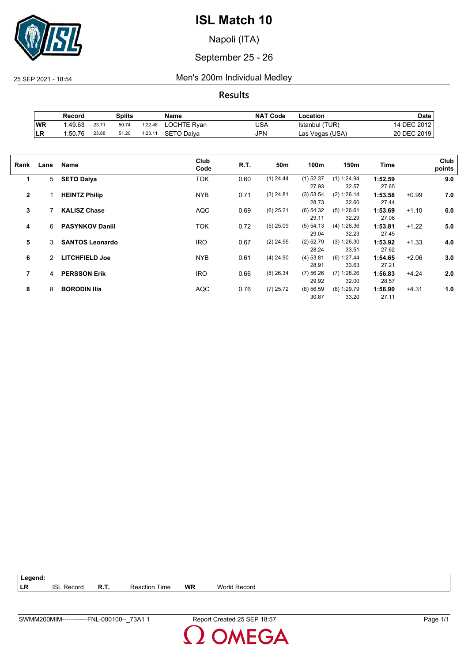

Napoli (ITA)

September 25 - 26

25 SEP 2021 - 18:54 Men's 200m Individual Medley

**Results**

|           | Record  |       | Splits |         | Name        | <b>NAT Code</b> | ∟ocation        | Date        |
|-----------|---------|-------|--------|---------|-------------|-----------------|-----------------|-------------|
| WR        | 1:49.63 | 23.71 | 50.74  | 1:22.48 | LOCHTE Ryan | USA             | Istanbul (TUR)  | 14 DEC 2012 |
| <b>LR</b> | 1:50.76 | 23.88 | 51.20  | 1:23.11 | SETO Daiva  | JPN             | Las Vegas (USA) | 20 DEC 2019 |

| Rank           | Lane | Name                   | Club<br>Code | R.T. | 50m         | 100m        | 150m          | Time    |         | Club<br>points |
|----------------|------|------------------------|--------------|------|-------------|-------------|---------------|---------|---------|----------------|
| 1              | 5    | <b>SETO Daiya</b>      | <b>TOK</b>   | 0.60 | $(1)$ 24.44 | $(1)$ 52.37 | (1) 1:24.94   | 1:52.59 |         | 9.0            |
|                |      |                        |              |      |             | 27.93       | 32.57         | 27.65   |         |                |
| $\overline{2}$ |      | <b>HEINTZ Philip</b>   | <b>NYB</b>   | 0.71 | $(3)$ 24.81 | (3) 53.54   | (2) 1:26.14   | 1:53.58 | $+0.99$ | 7.0            |
|                |      |                        |              |      |             | 28.73       | 32.60         | 27.44   |         |                |
| 3              |      | <b>KALISZ Chase</b>    | <b>AQC</b>   | 0.69 | $(6)$ 25.21 | (6) 54.32   | $(5)$ 1:26.61 | 1:53.69 | $+1.10$ | 6.0            |
|                |      |                        |              |      |             | 29.11       | 32.29         | 27.08   |         |                |
| 4              | 6    | <b>PASYNKOV Daniil</b> | <b>TOK</b>   | 0.72 | $(5)$ 25.09 | (5) 54.13   | (4) 1:26.36   | 1:53.81 | $+1.22$ | 5.0            |
|                |      |                        |              |      |             | 29.04       | 32.23         | 27.45   |         |                |
| 5              | 3    | <b>SANTOS Leonardo</b> | <b>IRO</b>   | 0.67 | $(2)$ 24.55 | $(2)$ 52.79 | (3) 1:26.30   | 1:53.92 | $+1.33$ | 4.0            |
|                |      |                        |              |      |             | 28.24       | 33.51         | 27.62   |         |                |
| 6              | 2    | <b>LITCHFIELD Joe</b>  | <b>NYB</b>   | 0.61 | $(4)$ 24.90 | $(4)$ 53.81 | (6) 1:27.44   | 1:54.65 | $+2.06$ | 3.0            |
|                |      |                        |              |      |             | 28.91       | 33.63         | 27.21   |         |                |
| 7              | 4    | <b>PERSSON Erik</b>    | <b>IRO</b>   | 0.66 | $(8)$ 26.34 | (7) 56.26   | $(7)$ 1:28.26 | 1:56.83 | $+4.24$ | 2.0            |
|                |      |                        |              |      |             | 29.92       | 32.00         | 28.57   |         |                |
| 8              | 8    | <b>BORODIN Ilia</b>    | <b>AQC</b>   | 0.76 | $(7)$ 25.72 | (8) 56.59   | $(8)$ 1:29.79 | 1:56.90 | $+4.31$ | 1.0            |
|                |      |                        |              |      |             | 30.87       | 33.20         | 27.11   |         |                |
|                |      |                        |              |      |             |             |               |         |         |                |

**Legend: LR** ISL Record **R.T.** Reaction Time **WR** World Record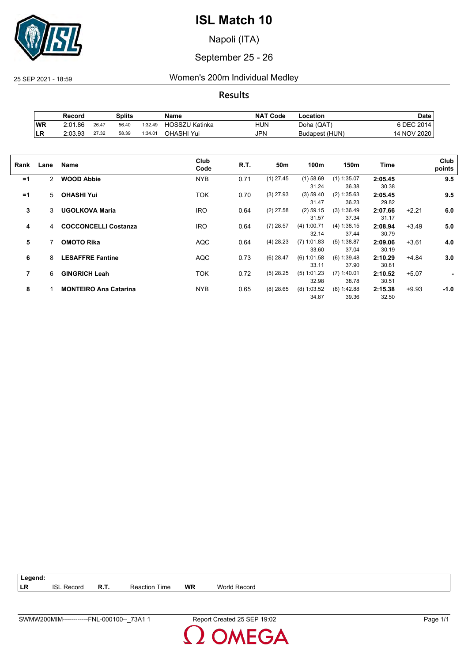

Napoli (ITA)

#### September 25 - 26

25 SEP 2021 - 18:59 Women's 200m Individual Medley

**Results**

|            | Record  |       | Splits |         | Name                  | <b>NAT Code</b> | Location       | Date        |
|------------|---------|-------|--------|---------|-----------------------|-----------------|----------------|-------------|
| WR         | 2:01.86 | 26.47 | 56.40  | 1:32.49 | <b>HOSSZU Katinka</b> | <b>HUN</b>      | Doha (QAT)     | 6 DEC 2014  |
| <b>ILR</b> | 2:03.93 | 27.32 | 58.39  | 1:34.01 | OHASHI Yui            | <b>JPN</b>      | Budapest (HUN) | 14 NOV 2020 |

| Rank | Lane           | Name                         | Club<br>Code | R.T. | 50m         | 100m          | 150m          | Time    |         | Club<br>points |
|------|----------------|------------------------------|--------------|------|-------------|---------------|---------------|---------|---------|----------------|
| $=1$ | $\overline{2}$ | <b>WOOD Abbie</b>            | <b>NYB</b>   | 0.71 | $(1)$ 27.45 | $(1)$ 58.69   | $(1)$ 1:35.07 | 2:05.45 |         | 9.5            |
|      |                |                              |              |      |             | 31.24         | 36.38         | 30.38   |         |                |
| $=1$ | 5              | <b>OHASHI Yui</b>            | <b>TOK</b>   | 0.70 | $(3)$ 27.93 | (3) 59.40     | (2) 1:35.63   | 2:05.45 |         | 9.5            |
|      |                |                              |              |      |             | 31.47         | 36.23         | 29.82   |         |                |
| 3    | 3              | <b>UGOLKOVA Maria</b>        | <b>IRO</b>   | 0.64 | $(2)$ 27.58 | $(2)$ 59.15   | (3) 1:36.49   | 2:07.66 | $+2.21$ | 6.0            |
|      |                |                              |              |      |             | 31.57         | 37.34         | 31.17   |         |                |
| 4    | 4              | <b>COCCONCELLI Costanza</b>  | <b>IRO</b>   | 0.64 | $(7)$ 28.57 | (4) 1:00.71   | (4) 1:38.15   | 2:08.94 | $+3.49$ | 5.0            |
|      |                |                              |              |      |             | 32.14         | 37.44         | 30.79   |         |                |
| 5    |                | <b>OMOTO Rika</b>            | <b>AQC</b>   | 0.64 | $(4)$ 28.23 | $(7)$ 1:01.83 | (5) 1:38.87   | 2:09.06 | $+3.61$ | 4.0            |
|      |                |                              |              |      |             | 33.60         | 37.04         | 30.19   |         |                |
| 6    | 8              | <b>LESAFFRE Fantine</b>      | <b>AQC</b>   | 0.73 | $(6)$ 28.47 | $(6)$ 1:01.58 | (6) 1:39.48   | 2:10.29 | $+4.84$ | 3.0            |
|      |                |                              |              |      |             | 33.11         | 37.90         | 30.81   |         |                |
| 7    | 6              | <b>GINGRICH Leah</b>         | TOK          | 0.72 | $(5)$ 28.25 | $(5)$ 1:01.23 | $(7)$ 1:40.01 | 2:10.52 | $+5.07$ |                |
|      |                |                              |              |      |             | 32.98         | 38.78         | 30.51   |         |                |
| 8    |                | <b>MONTEIRO Ana Catarina</b> | <b>NYB</b>   | 0.65 | $(8)$ 28.65 | $(8)$ 1:03.52 | $(8)$ 1:42.88 | 2:15.38 | $+9.93$ | $-1.0$         |
|      |                |                              |              |      |             | 34.87         | 39.36         | 32.50   |         |                |
|      |                |                              |              |      |             |               |               |         |         |                |

| Legend: |                   |                      |    |              |
|---------|-------------------|----------------------|----|--------------|
| l LR    | <b>ISL Record</b> | <b>Reaction Time</b> | WR | World Record |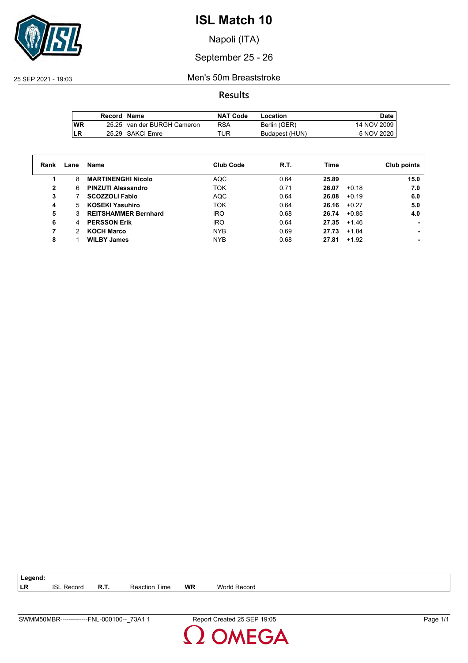

Napoli (ITA)

### September 25 - 26

25 SEP 2021 - 19:03 Men's 50m Breaststroke

#### **Results**

|     | Record Name |                             | <b>NAT Code</b> | Location       | Date,       |
|-----|-------------|-----------------------------|-----------------|----------------|-------------|
| lWR |             | 25.25 van der BURGH Cameron | RSA             | Berlin (GER)   | 14 NOV 2009 |
| LR  |             | 25.29 SAKCI Emre            | TUR             | Budapest (HUN) | 5 NOV 2020  |

| Rank | Lane | Name                        | <b>Club Code</b> | R.T. | Time  |         | Club points |
|------|------|-----------------------------|------------------|------|-------|---------|-------------|
|      | 8    | <b>MARTINENGHI Nicolo</b>   | <b>AQC</b>       | 0.64 | 25.89 |         | 15.0        |
| 2    | 6    | <b>PINZUTI Alessandro</b>   | <b>TOK</b>       | 0.71 | 26.07 | $+0.18$ | 7.0         |
| 3    |      | <b>SCOZZOLI Fabio</b>       | <b>AQC</b>       | 0.64 | 26.08 | $+0.19$ | 6.0         |
| 4    | 5    | <b>KOSEKI Yasuhiro</b>      | <b>TOK</b>       | 0.64 | 26.16 | $+0.27$ | 5.0         |
| 5    | 3    | <b>REITSHAMMER Bernhard</b> | <b>IRO</b>       | 0.68 | 26.74 | $+0.85$ | 4.0         |
| 6    | 4    | <b>PERSSON Erik</b>         | <b>IRO</b>       | 0.64 | 27.35 | +1.46   |             |
| 7    | 2    | <b>KOCH Marco</b>           | <b>NYB</b>       | 0.69 | 27.73 | $+1.84$ |             |
| 8    |      | <b>WILBY James</b>          | <b>NYB</b>       | 0.68 | 27.81 | $+1.92$ |             |

**LR** ISL Record **R.T.** Reaction Time **WR** World Record

**Legend:**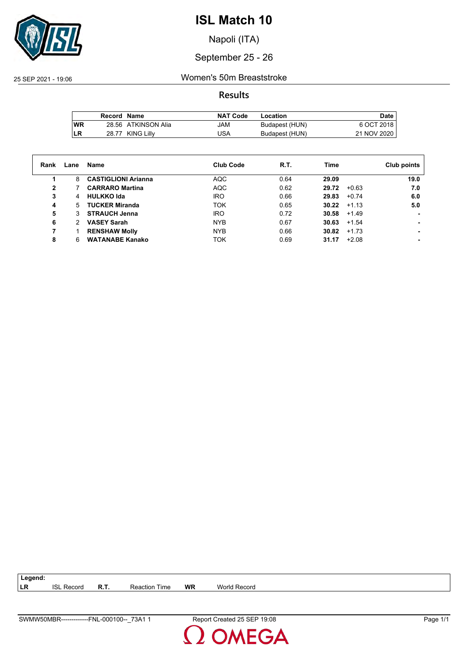

Napoli (ITA)

### September 25 - 26

25 SEP 2021 - 19:06 Women's 50m Breaststroke

**Results**

|           | Record Name |                     | <b>NAT Code</b> | Location       | <b>Date</b> |
|-----------|-------------|---------------------|-----------------|----------------|-------------|
| <b>WR</b> |             | 28.56 ATKINSON Alia | JAM             | Budapest (HUN) | 6 OCT 2018  |
| LR        |             | 28.77 KING Lilly    | USA             | Budapest (HUN) | 21 NOV 2020 |

| Lane | Name                       | <b>Club Code</b> | R.T. | Time             | Club points |
|------|----------------------------|------------------|------|------------------|-------------|
| 8    | <b>CASTIGLIONI Arianna</b> | AQC              | 0.64 | 29.09            | 19.0        |
|      | <b>CARRARO Martina</b>     | <b>AQC</b>       | 0.62 | 29.72<br>$+0.63$ | 7.0         |
| 4    | <b>HULKKO Ida</b>          | <b>IRO</b>       | 0.66 | 29.83<br>$+0.74$ | 6.0         |
| 5.   | <b>TUCKER Miranda</b>      | <b>TOK</b>       | 0.65 | 30.22<br>$+1.13$ | 5.0         |
| 3    | <b>STRAUCH Jenna</b>       | <b>IRO</b>       | 0.72 | 30.58<br>$+1.49$ |             |
|      | <b>VASEY Sarah</b>         | <b>NYB</b>       | 0.67 | 30.63<br>$+1.54$ |             |
|      | <b>RENSHAW Molly</b>       | <b>NYB</b>       | 0.66 | 30.82<br>$+1.73$ |             |
| 6    | <b>WATANABE Kanako</b>     | TOK              | 0.69 | 31.17<br>$+2.08$ |             |
|      |                            |                  |      |                  |             |

**LR** ISL Record **R.T.** Reaction Time **WR** World Record

**Legend:**

SWMW50MBR-------------FNL-000100--\_73A1 1 Report Created 25 SEP 19:08 Page 1/1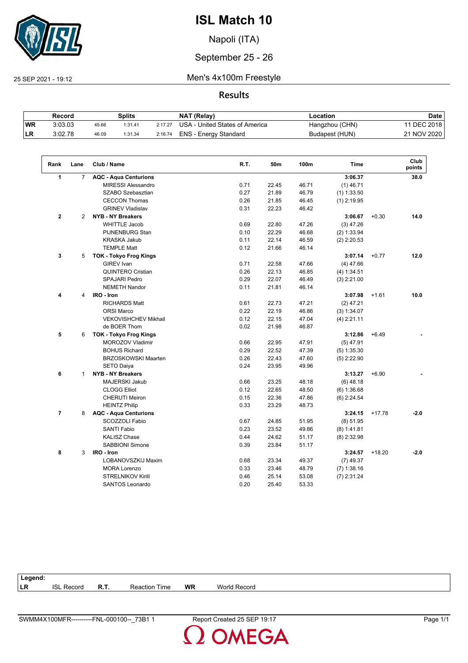

Napoli (ITA)

## September 25 - 26

 $\sqrt{2}$ 

25 SEP 2021 - 19:12 Men's 4x100m Freestyle

### **Results**

|           | Record  |       | Splits  |         | NAT (Relay)                    | Location       | Date         |
|-----------|---------|-------|---------|---------|--------------------------------|----------------|--------------|
| <b>WR</b> | 3:03.03 | 45.66 | 1:31.41 | 2:17.27 | USA - United States of America | Hangzhou (CHN) | 11 DEC 2018, |
| ILR.      | 3:02.78 | 46.09 | 1:31.34 | 2:16.74 | ENS - Energy Standard          | Budapest (HUN) | 21 NOV 2020  |

| Rank           | Lane           | Club / Name                   | R.T. | 50m   | 100m  | <b>Time</b>   |          | Club<br>points |
|----------------|----------------|-------------------------------|------|-------|-------|---------------|----------|----------------|
| 1              | $\overline{7}$ | <b>AQC - Aqua Centurions</b>  |      |       |       | 3:06.37       |          | 38.0           |
|                |                | <b>MIRESSI Alessandro</b>     | 0.71 | 22.45 | 46.71 | $(1)$ 46.71   |          |                |
|                |                | SZABO Szebasztian             | 0.27 | 21.89 | 46.79 | $(1)$ 1:33.50 |          |                |
|                |                | <b>CECCON Thomas</b>          | 0.26 | 21.85 | 46.45 | $(1)$ 2:19.95 |          |                |
|                |                | <b>GRINEV Vladislav</b>       | 0.31 | 22.23 | 46.42 |               |          |                |
| $\mathbf{2}$   | $\overline{2}$ | <b>NYB - NY Breakers</b>      |      |       |       | 3:06.67       | $+0.30$  | 14.0           |
|                |                | <b>WHITTLE Jacob</b>          | 0.69 | 22.80 | 47.26 | $(3)$ 47.26   |          |                |
|                |                | <b>PIJNENBURG Stan</b>        | 0.10 | 22.29 | 46.68 | $(2)$ 1:33.94 |          |                |
|                |                | <b>KRASKA Jakub</b>           | 0.11 | 22.14 | 46.59 | $(2)$ 2:20.53 |          |                |
|                |                | <b>TEMPLE Matt</b>            | 0.12 | 21.66 | 46.14 |               |          |                |
| 3              | 5              | <b>TOK - Tokyo Frog Kings</b> |      |       |       | 3:07.14       | $+0.77$  | 12.0           |
|                |                | <b>GIREV</b> Ivan             | 0.71 | 22.58 | 47.66 | $(4)$ 47.66   |          |                |
|                |                | <b>QUINTERO Cristian</b>      | 0.26 | 22.13 | 46.85 | (4) 1:34.51   |          |                |
|                |                | <b>SPAJARI Pedro</b>          | 0.29 | 22.07 | 46.49 | $(3)$ 2:21.00 |          |                |
|                |                | <b>NEMETH Nandor</b>          | 0.11 | 21.81 | 46.14 |               |          |                |
| 4              | 4              | IRO - Iron                    |      |       |       | 3:07.98       | $+1.61$  | 10.0           |
|                |                | <b>RICHARDS Matt</b>          | 0.61 | 22.73 | 47.21 | $(2)$ 47.21   |          |                |
|                |                | <b>ORSI Marco</b>             | 0.22 | 22.19 | 46.86 | (3) 1:34.07   |          |                |
|                |                | VEKOVISHCHEV Mikhail          | 0.12 | 22.15 | 47.04 | $(4)$ 2:21.11 |          |                |
|                |                | de BOER Thom                  | 0.02 | 21.98 | 46.87 |               |          |                |
| 5              | 6              | <b>TOK - Tokyo Frog Kings</b> |      |       |       | 3:12.86       | $+6.49$  |                |
|                |                | <b>MOROZOV Vladimir</b>       | 0.66 | 22.95 | 47.91 | $(5)$ 47.91   |          |                |
|                |                | <b>BOHUS Richard</b>          | 0.29 | 22.52 | 47.39 | $(5)$ 1:35.30 |          |                |
|                |                | <b>BRZOSKOWSKI Maarten</b>    | 0.26 | 22.43 | 47.60 | $(5)$ 2:22.90 |          |                |
|                |                | <b>SETO Daiya</b>             | 0.24 | 23.95 | 49.96 |               |          |                |
| 6              | 1              | <b>NYB - NY Breakers</b>      |      |       |       | 3:13.27       | $+6.90$  |                |
|                |                | <b>MAJERSKI Jakub</b>         | 0.66 | 23.25 | 48.18 | $(6)$ 48.18   |          |                |
|                |                | <b>CLOGG Elliot</b>           | 0.12 | 22.65 | 48.50 | (6) 1:36.68   |          |                |
|                |                | <b>CHERUTI Meiron</b>         | 0.15 | 22.36 | 47.86 | $(6)$ 2:24.54 |          |                |
|                |                | <b>HEINTZ Philip</b>          | 0.33 | 23.29 | 48.73 |               |          |                |
| $\overline{7}$ | 8              | <b>AQC - Aqua Centurions</b>  |      |       |       | 3:24.15       | $+17.78$ | $-2.0$         |
|                |                | <b>SCOZZOLI Fabio</b>         | 0.67 | 24.85 | 51.95 | (8) 51.95     |          |                |
|                |                | <b>SANTI Fabio</b>            | 0.23 | 23.52 | 49.86 | $(8)$ 1:41.81 |          |                |
|                |                | <b>KALISZ Chase</b>           | 0.44 | 24.62 | 51.17 | $(8)$ 2:32.98 |          |                |
|                |                | <b>SABBIONI Simone</b>        | 0.39 | 23.84 | 51.17 |               |          |                |
| 8              | 3              | IRO - Iron                    |      |       |       | 3:24.57       | $+18.20$ | $-2.0$         |
|                |                | LOBANOVSZKIJ Maxim            | 0.68 | 23.34 | 49.37 | $(7)$ 49.37   |          |                |
|                |                | <b>MORA Lorenzo</b>           | 0.33 | 23.46 | 48.79 | $(7)$ 1:38.16 |          |                |
|                |                | <b>STRELNIKOV Kirill</b>      | 0.46 | 25.14 | 53.08 | $(7)$ 2:31.24 |          |                |
|                |                | <b>SANTOS Leonardo</b>        | 0.20 | 25.40 |       |               |          |                |

| Legend:   |               |      |                  |    |                     |
|-----------|---------------|------|------------------|----|---------------------|
| <b>LR</b> | Record<br>ISL | R.T. | Time<br>Reaction | WR | <b>World Record</b> |
|           |               |      |                  |    |                     |

**OMEGA**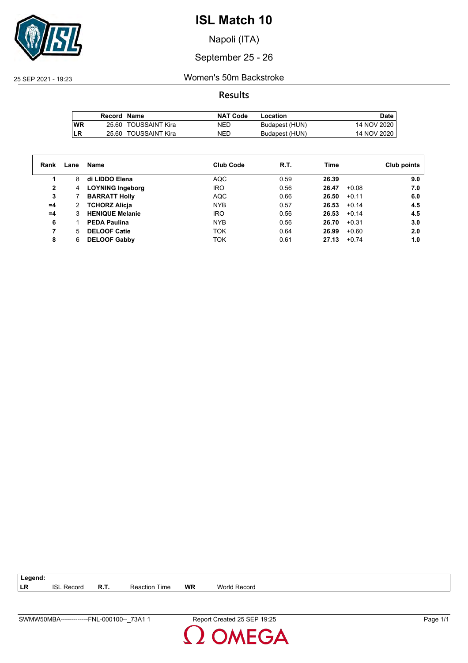

Napoli (ITA)

### September 25 - 26

25 SEP 2021 - 19:23 Women's 50m Backstroke

**Results**

|            | Record Name |                      | <b>NAT Code</b> | Location       | Date        |
|------------|-------------|----------------------|-----------------|----------------|-------------|
| <b>IWR</b> |             | 25.60 TOUSSAINT Kira | NED             | Budapest (HUN) | 14 NOV 2020 |
| <b>ILR</b> |             | 25.60 TOUSSAINT Kira | NED             | Budapest (HUN) | 14 NOV 2020 |

| Rank | Lane | Name                    | <b>Club Code</b> | R.T. | Time             | Club points |
|------|------|-------------------------|------------------|------|------------------|-------------|
|      | 8    | di LIDDO Elena          | AQC              | 0.59 | 26.39            | 9.0         |
| 2    | 4    | <b>LOYNING Ingeborg</b> | <b>IRO</b>       | 0.56 | $+0.08$<br>26.47 | 7.0         |
| 3    |      | <b>BARRATT Holly</b>    | <b>AQC</b>       | 0.66 | 26.50<br>$+0.11$ | 6.0         |
| $=4$ |      | <b>TCHORZ Alicia</b>    | <b>NYB</b>       | 0.57 | $+0.14$<br>26.53 | 4.5         |
| $=4$ |      | <b>HENIQUE Melanie</b>  | <b>IRO</b>       | 0.56 | 26.53<br>$+0.14$ | 4.5         |
| 6    |      | <b>PEDA Paulina</b>     | <b>NYB</b>       | 0.56 | 26.70<br>$+0.31$ | 3.0         |
|      | 5.   | <b>DELOOF Catie</b>     | <b>TOK</b>       | 0.64 | 26.99<br>$+0.60$ | 2.0         |
| 8    | 6    | <b>DELOOF Gabby</b>     | <b>TOK</b>       | 0.61 | 27.13<br>$+0.74$ | 1.0         |

| 73A1<br>SWMW50MBA-------------FNL-000100-- | Report Created 25 SEP 19:25 | $\overline{14}$<br>Paqe |
|--------------------------------------------|-----------------------------|-------------------------|
|                                            |                             |                         |

**LR** ISL Record **R.T.** Reaction Time **WR** World Record

**Legend:**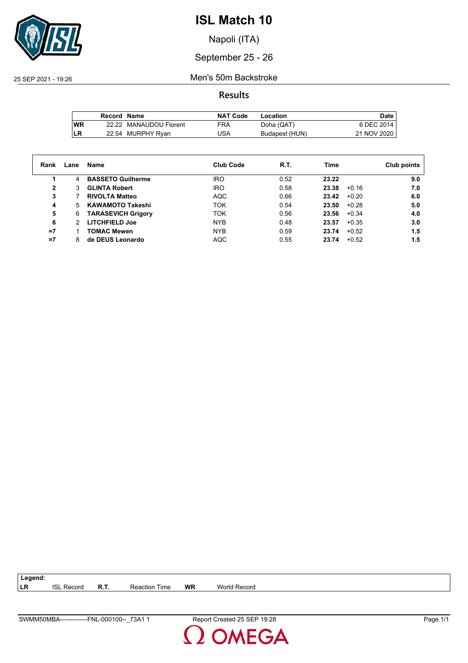

Napoli (ITA)

#### September 25 - 26

25 SEP 2021 - 19:26 Men's 50m Backstroke

**Results**

|           | Record Name |                        | <b>NAT Code</b> | Location       | Date        |
|-----------|-------------|------------------------|-----------------|----------------|-------------|
| <b>WR</b> |             | 22.22 MANAUDOU Florent | <b>FRA</b>      | Doha (QAT)     | 6 DEC 2014  |
| <b>LR</b> |             | 22.54 MURPHY Ryan      | JSA             | Budapest (HUN) | 21 NOV 2020 |

| Rank         | Lane | Name                      | <b>Club Code</b> | R.T. | Time  | Club points    |
|--------------|------|---------------------------|------------------|------|-------|----------------|
|              | 4    | <b>BASSETO Guilherme</b>  | <b>IRO</b>       | 0.52 | 23.22 | 9.0            |
| $\mathbf{2}$ |      | <b>GLINTA Robert</b>      | <b>IRO</b>       | 0.58 | 23.38 | 7.0<br>$+0.16$ |
| 3            |      | <b>RIVOLTA Matteo</b>     | <b>AQC</b>       | 0.66 | 23.42 | 6.0<br>$+0.20$ |
| 4            | 5.   | <b>KAWAMOTO Takeshi</b>   | <b>TOK</b>       | 0.54 | 23.50 | 5.0<br>$+0.28$ |
| 5            | 6    | <b>TARASEVICH Grigory</b> | <b>TOK</b>       | 0.56 | 23.56 | $+0.34$<br>4.0 |
| 6            |      | <b>LITCHFIELD Joe</b>     | <b>NYB</b>       | 0.48 | 23.57 | 3.0<br>$+0.35$ |
| $=7$         |      | <b>TOMAC Mewen</b>        | <b>NYB</b>       | 0.59 | 23.74 | $+0.52$<br>1.5 |
| $=7$         |      | de DEUS Leonardo          | <b>AQC</b>       | 0.55 | 23.74 | $+0.52$<br>1.5 |

**LR** ISL Record **R.T.** Reaction Time **WR** World Record

**Legend:**

SWMM50MBA-------------FNL-000100--\_73A1 1 Report Created 25 SEP 19:28 Page 1/1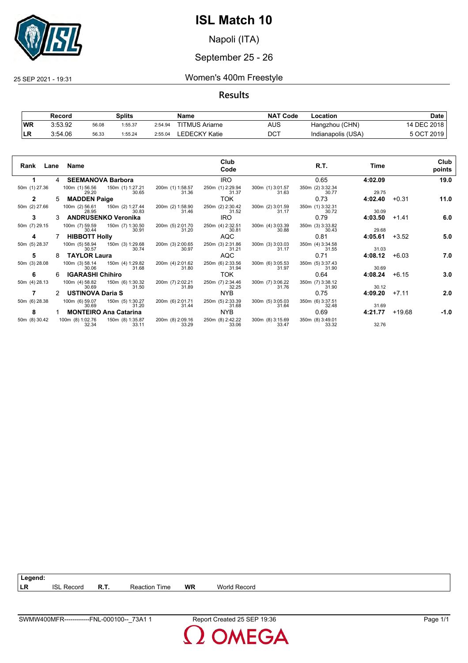

Napoli (ITA)

### September 25 - 26

25 SEP 2021 - 19:31 Women's 400m Freestyle

#### **Results**

|           | Record  |       | Splits  |         | Name                  | <b>NAT Code</b> | Location           | Date        |
|-----------|---------|-------|---------|---------|-----------------------|-----------------|--------------------|-------------|
| <b>WR</b> | 3:53.92 | 56.08 | 1:55.37 | 2:54.94 | <b>TITMUS Ariarne</b> | AUS             | Hangzhou (CHN)     | 14 DEC 2018 |
| LR        | 3:54.06 | 56.33 | 1:55.24 | 2:55.04 | LEDECKY Katie         | <b>DCT</b>      | Indianapolis (USA) | 5 OCT 2019  |

| Rank          |   | Lane Name                 |                                           |                           | Club<br>Code              |                           | R.T.                      | Time    |         | Club<br>points |
|---------------|---|---------------------------|-------------------------------------------|---------------------------|---------------------------|---------------------------|---------------------------|---------|---------|----------------|
|               | 4 | <b>SEEMANOVA Barbora</b>  |                                           |                           | IRO.                      |                           | 0.65                      | 4:02.09 |         | 19.0           |
| 50m (1) 27.36 |   | 29.20                     | 100m (1) 56.56 150m (1) 1:27.21<br>30.65  | 200m (1) 1:58.57<br>31.36 | 250m (1) 2:29.94<br>31.37 | 300m (1) 3:01.57<br>31.63 | 350m (2) 3:32.34<br>30.77 | 29.75   |         |                |
| $\mathbf{2}$  | 5 | <b>MADDEN Paige</b>       |                                           |                           | TOK.                      |                           | 0.73                      | 4:02.40 | $+0.31$ | 11.0           |
| 50m (2) 27.66 |   | 28.95                     | 100m (2) 56.61  150m (2) 1:27.44<br>30.83 | 200m (2) 1:58.90<br>31.46 | 250m (2) 2:30.42<br>31.52 | 300m (2) 3:01.59<br>31.17 | 350m (1) 3:32.31<br>30.72 | 30.09   |         |                |
| 3             |   |                           | <b>ANDRUSENKO Veronika</b>                |                           | <b>IRO</b>                |                           | 0.79                      | 4:03.50 | $+1.41$ | 6.0            |
| 50m (7) 29.15 |   | 30.44                     | 100m (7) 59.59 150m (7) 1:30.50<br>30.91  | 200m (5) 2:01.70<br>31.20 | 250m (4) 2:32.51<br>30.81 | 300m (4) 3:03.39<br>30.88 | 350m (3) 3:33.82<br>30.43 | 29.68   |         |                |
| 4             |   | <b>HIBBOTT Holly</b>      |                                           |                           | AQC                       |                           | 0.81                      | 4:05.61 | $+3.52$ | 5.0            |
| 50m (5) 28.37 |   | 30.57                     | 100m (5) 58.94  150m (3) 1:29.68<br>30.74 | 200m (3) 2:00.65<br>30.97 | 250m (3) 2:31.86<br>31.21 | 300m (3) 3:03.03<br>31.17 | 350m (4) 3:34.58<br>31.55 | 31.03   |         |                |
| 5             | 8 | <b>TAYLOR Laura</b>       |                                           |                           | AQC                       |                           | 0.71                      | 4:08.12 | $+6.03$ | 7.0            |
| 50m (3) 28.08 |   | 100m (3) 58.14<br>30.06   | 150m (4) 1:29.82<br>31.68                 | 200m (4) 2:01.62<br>31.80 | 250m (6) 2:33.56<br>31.94 | 300m (6) 3:05.53<br>31.97 | 350m (5) 3:37.43<br>31.90 | 30.69   |         |                |
| 6             | 6 | <b>IGARASHI Chihiro</b>   |                                           |                           | TOK.                      |                           | 0.64                      | 4:08.24 | $+6.15$ | 3.0            |
| 50m (4) 28.13 |   | 100m (4) 58.82<br>30.69   | 150m (6) 1:30.32<br>31.50                 | 200m (7) 2:02.21<br>31.89 | 250m (7) 2:34.46<br>32.25 | 300m (7) 3:06.22<br>31.76 | 350m (7) 3:38.12<br>31.90 | 30.12   |         |                |
|               |   | <b>USTINOVA Daria S</b>   |                                           |                           | NYB.                      |                           | 0.75                      | 4:09.20 | $+7.11$ | 2.0            |
| 50m (6) 28.38 |   | 100m (6) 59.07<br>30.69   | 150m (5) 1:30.27<br>31.20                 | 200m (6) 2:01.71<br>31.44 | 250m (5) 2:33.39<br>31.68 | 300m (5) 3:05.03<br>31.64 | 350m (6) 3:37.51<br>32.48 | 31.69   |         |                |
| 8             |   |                           | <b>MONTEIRO Ana Catarina</b>              |                           | NYB.                      |                           | 0.69                      | 4:21.77 | +19.68  | -1.0           |
| 50m (8) 30.42 |   | 100m (8) 1:02.76<br>32.34 | 150m (8) 1:35.87<br>33.11                 | 200m (8) 2:09.16<br>33.29 | 250m (8) 2:42.22<br>33.06 | 300m (8) 3:15.69<br>33.47 | 350m (8) 3:49.01<br>33.32 | 32.76   |         |                |

**LR** ISL Record **R.T.** Reaction Time **WR** World Record

**Legend:**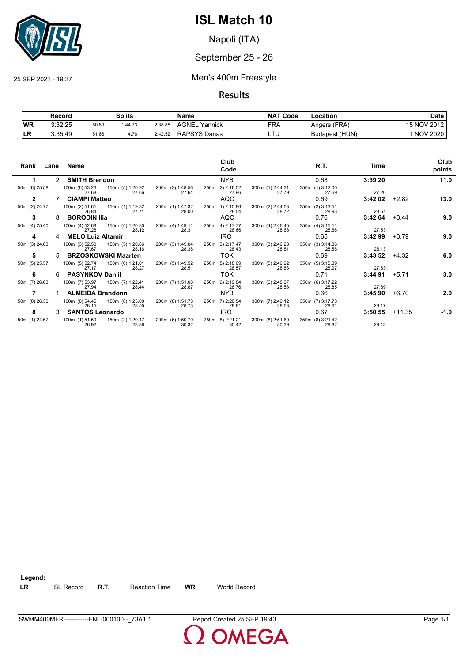

Napoli (ITA)

### September 25 - 26

25 SEP 2021 - 19:37 Men's 400m Freestyle

**Results**

|           | Record  |       | <b>Splits</b> |         | Name                    | <b>NAT Code</b> | Location       | Date            |
|-----------|---------|-------|---------------|---------|-------------------------|-----------------|----------------|-----------------|
| <b>WR</b> | 3:32.25 | 50.80 | 1:44.73       | 2:38.85 | <b>AGNEL</b><br>Yannick | FRA             | Angers (FRA)   | 15 NOV 2012     |
| <b>LR</b> | 3:35.49 | 51.66 | 14.76         | 2:42.52 | <b>RAPSYS Danas</b>     | ᄂᆝ              | Budapest (HUN) | <b>NOV 2020</b> |

| Rank          |    | Lane Name                |                                          |                           | Club<br>Code              |                           | R.T.                      | Time    |          | Club<br>points |
|---------------|----|--------------------------|------------------------------------------|---------------------------|---------------------------|---------------------------|---------------------------|---------|----------|----------------|
|               |    | 2 SMITH Brendon          |                                          |                           | <b>NYB</b>                |                           | 0.68                      | 3:39.20 |          | 11.0           |
| 50m (6) 25.58 |    | 27.68                    | 100m (6) 53.26 150m (5) 1:20.92<br>27.66 | 200m (2) 1:48.56<br>27.64 | 250m (2) 2:16.52<br>27.96 | 300m (1) 2:44.31<br>27.79 | 350m (1) 3:12.00<br>27.69 | 27.20   |          |                |
| $\mathbf{2}$  |    | <b>CIAMPI Matteo</b>     |                                          |                           | AQC                       |                           | 0.69                      | 3:42.02 | $+2.82$  | 13.0           |
| 50m (2) 24.77 |    | 100m (2) 51.61<br>26.84  | 150m (1) 1:19.32<br>27.71                | 200m (1) 1:47.32<br>28.00 | 250m (1) 2:15.86<br>28.54 | 300m (2) 2:44.58<br>28.72 | 350m (2) 3:13.51<br>28.93 | 28.51   |          |                |
| 3             |    | <b>BORODIN IIIa</b>      |                                          |                           | <b>AQC</b>                |                           | 0.76                      | 3:42.64 | $+3.44$  | 9.0            |
| 50m (4) 25.40 |    | 100m (4) 52.68<br>27.28  | 150m (4) 1:20.80<br>28.12                | 200m (4) 1:49.11<br>28.31 | 250m (4) 2:17.77<br>28.66 | 300m (4) 2:46.45<br>28.68 | 350m (4) 3:15.11<br>28.66 | 27.53   |          |                |
| 4             |    | <b>MELO Luiz Altamir</b> |                                          |                           | <b>IRO</b>                |                           | 0.65                      | 3:42.99 | $+3.79$  | 9.0            |
| 50m (3) 24.83 |    | 100m (3) 52.50<br>27.67  | 150m (3) 1:20.66<br>28.16                | 200m (3) 1:49.04<br>28.38 | 250m (3) 2:17.47<br>28.43 | 300m (3) 2:46.28<br>28.81 | 350m (3) 3:14.86<br>28.58 | 28.13   |          |                |
| 5             | 5. |                          | <b>BRZOSKOWSKI Maarten</b>               |                           | TOK.                      |                           | 0.69                      | 3:43.52 | +4.32    | 6.0            |
| 50m (5) 25.57 |    | 100m (5) 52.74<br>27.17  | 150m (6) 1:21.01<br>28.27                | 200m (5) 1:49.52<br>28.51 | 250m (5) 2:18.09<br>28.57 | 300m (5) 2:46.92<br>28.83 | 350m (5) 3:15.89<br>28.97 | 27.63   |          |                |
| 6             | 6  | <b>PASYNKOV Daniil</b>   |                                          |                           | TOK.                      |                           | 0.71                      | 3:44.91 | $+5.71$  | 3.0            |
| 50m (7) 26.03 |    | 100m (7) 53.97<br>27.94  | 150m (7) 1:22.41<br>28.44                | 200m (7) 1:51.08<br>28.67 | 250m (6) 2:19.84<br>28.76 | 300m (6) 2:48.37<br>28.53 | 350m (6) 3:17.22<br>28.85 | 27.69   |          |                |
|               |    | <b>ALMEIDA Brandonn</b>  |                                          |                           | NYB.                      |                           | 0.66                      | 3:45.90 | $+6.70$  | 2.0            |
| 50m (8) 26.30 |    | 100m (8) 54.45<br>28.15  | 150m (8) 1:23.00<br>28.55                | 200m (8) 1:51.73<br>28.73 | 250m (7) 2:20.54<br>28.81 | 300m (7) 2:49.12<br>28.58 | 350m (7) 3:17.73<br>28.61 | 28.17   |          |                |
| 8             | 3  | <b>SANTOS Leonardo</b>   |                                          |                           | <b>IRO</b>                |                           | 0.67                      | 3:50.55 | $+11.35$ | $-1.0$         |
| 50m (1) 24.67 |    | 100m (1) 51.59<br>26.92  | 150m (2) 1:20.47<br>28.88                | 200m (6) 1:50.79<br>30.32 | 250m (8) 2:21.21<br>30.42 | 300m (8) 2:51.60<br>30.39 | 350m (8) 3:21.42<br>29.82 | 29.13   |          |                |

**Legend: LR** ISL Record **R.T.** Reaction Time **WR** World Record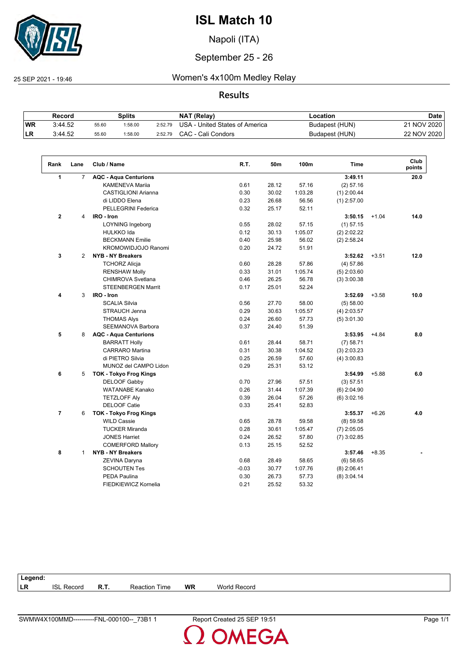

Napoli (ITA)

### September 25 - 26

 $\sqrt{2}$ 

### 25 SEP 2021 - 19:46 Women's 4x100m Medley Relay

#### **Results**

|           | Record  |       | Splits  |         | NAT (Relay)                    | .ocation       | Date        |
|-----------|---------|-------|---------|---------|--------------------------------|----------------|-------------|
| <b>WR</b> | 3:44.52 | 55.60 | 1:58.00 | 2:52.79 | USA - United States of America | Budapest (HUN) | 21 NOV 2020 |
| ILR       | 3:44.52 | 55.60 | 1:58.00 | 2:52.79 | CAC - Cali Condors             | Budapest (HUN) | 22 NOV 2020 |

|                |                | Club / Name                   | R.T.    | 50m   | 100m    | <b>Time</b>   |         | Club<br>points |
|----------------|----------------|-------------------------------|---------|-------|---------|---------------|---------|----------------|
| $\mathbf{1}$   | $\overline{7}$ | <b>AQC - Aqua Centurions</b>  |         |       |         | 3:49.11       |         | 20.0           |
|                |                | <b>KAMENEVA Marija</b>        | 0.61    | 28.12 | 57.16   | (2) 57.16     |         |                |
|                |                | <b>CASTIGLIONI Arianna</b>    | 0.30    | 30.02 | 1:03.28 | $(1)$ 2:00.44 |         |                |
|                |                | di LIDDO Elena                | 0.23    | 26.68 | 56.56   | $(1)$ 2:57.00 |         |                |
|                |                | PELLEGRINI Federica           | 0.32    | 25.17 | 52.11   |               |         |                |
| $\overline{2}$ | 4              | IRO - Iron                    |         |       |         | 3:50.15       | $+1.04$ | 14.0           |
|                |                | <b>LOYNING Ingeborg</b>       | 0.55    | 28.02 | 57.15   | $(1)$ 57.15   |         |                |
|                |                | <b>HULKKO Ida</b>             | 0.12    | 30.13 | 1:05.07 | $(2)$ 2:02.22 |         |                |
|                |                | <b>BECKMANN Emilie</b>        | 0.40    | 25.98 | 56.02   | $(2)$ 2:58.24 |         |                |
|                |                | <b>KROMOWIDJOJO Ranomi</b>    | 0.20    | 24.72 | 51.91   |               |         |                |
| 3              | 2              | <b>NYB - NY Breakers</b>      |         |       |         | 3:52.62       | $+3.51$ | 12.0           |
|                |                | <b>TCHORZ Alicja</b>          | 0.60    | 28.28 | 57.86   | (4) 57.86     |         |                |
|                |                | <b>RENSHAW Molly</b>          | 0.33    | 31.01 | 1:05.74 | $(5)$ 2:03.60 |         |                |
|                |                | <b>CHIMROVA Svetlana</b>      | 0.46    | 26.25 | 56.78   | $(3)$ 3:00.38 |         |                |
|                |                | <b>STEENBERGEN Marrit</b>     | 0.17    | 25.01 | 52.24   |               |         |                |
| 4              | 3              | IRO - Iron                    |         |       |         | 3:52.69       | $+3.58$ | 10.0           |
|                |                | <b>SCALIA Silvia</b>          | 0.56    | 27.70 | 58.00   | (5) 58.00     |         |                |
|                |                | STRAUCH Jenna                 | 0.29    | 30.63 | 1:05.57 | $(4)$ 2:03.57 |         |                |
|                |                | <b>THOMAS Alys</b>            | 0.24    | 26.60 | 57.73   | $(5)$ 3:01.30 |         |                |
|                |                | SEEMANOVA Barbora             | 0.37    | 24.40 | 51.39   |               |         |                |
| 5              | 8              | <b>AQC - Aqua Centurions</b>  |         |       |         | 3:53.95       | $+4.84$ | 8.0            |
|                |                | <b>BARRATT Holly</b>          | 0.61    | 28.44 | 58.71   | $(7)$ 58.71   |         |                |
|                |                | <b>CARRARO</b> Martina        | 0.31    | 30.38 | 1:04.52 | $(3)$ 2:03.23 |         |                |
|                |                | di PIETRO Silvia              | 0.25    | 26.59 | 57.60   | $(4)$ 3:00.83 |         |                |
|                |                | MUNOZ del CAMPO Lidon         | 0.29    | 25.31 | 53.12   |               |         |                |
| 6              | 5              | <b>TOK - Tokyo Frog Kings</b> |         |       |         | 3:54.99       | $+5.88$ | 6.0            |
|                |                | <b>DELOOF Gabby</b>           | 0.70    | 27.96 | 57.51   | (3) 57.51     |         |                |
|                |                | <b>WATANABE Kanako</b>        | 0.26    | 31.44 | 1:07.39 | $(6)$ 2:04.90 |         |                |
|                |                | <b>TETZLOFF Aly</b>           | 0.39    | 26.04 | 57.26   | $(6)$ 3:02.16 |         |                |
|                |                | <b>DELOOF Catie</b>           | 0.33    | 25.41 | 52.83   |               |         |                |
| $\overline{7}$ | 6              | <b>TOK - Tokyo Frog Kings</b> |         |       |         | 3:55.37       | $+6.26$ | 4.0            |
|                |                | <b>WILD Cassie</b>            | 0.65    | 28.78 | 59.58   | (8) 59.58     |         |                |
|                |                | <b>TUCKER Miranda</b>         | 0.28    | 30.61 | 1:05.47 | $(7)$ 2:05.05 |         |                |
|                |                | <b>JONES Harriet</b>          | 0.24    | 26.52 | 57.80   | $(7)$ 3:02.85 |         |                |
|                |                | <b>COMERFORD Mallory</b>      | 0.13    | 25.15 | 52.52   |               |         |                |
| 8              | $\mathbf{1}$   | <b>NYB - NY Breakers</b>      |         |       |         | 3:57.46       | $+8.35$ |                |
|                |                | ZEVINA Daryna                 | 0.68    | 28.49 | 58.65   | (6) 58.65     |         |                |
|                |                | <b>SCHOUTEN Tes</b>           | $-0.03$ | 30.77 | 1:07.76 | $(8)$ 2:06.41 |         |                |
|                |                | <b>PEDA Paulina</b>           | 0.30    | 26.73 | 57.73   | $(8)$ 3:04.14 |         |                |
|                |                | FIEDKIEWICZ Kornelia          | 0.21    | 25.52 | 53.32   |               |         |                |

| Legend:   |               |      |      |           |                   |
|-----------|---------------|------|------|-----------|-------------------|
| <b>LR</b> | ISL<br>Record | R.T. | Time | <b>WR</b> | World<br>! Record |
|           |               |      |      |           |                   |

**OMEGA**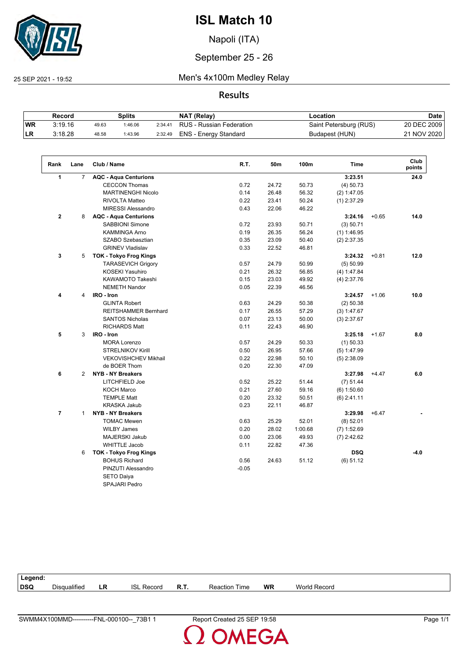

Napoli (ITA)

### September 25 - 26

25 SEP 2021 - 19:52 Men's 4x100m Medley Relay

#### **Results**

|            | Record  |       | Splits  |         | NAT (Relay)                      | Location               | <b>Date</b> |
|------------|---------|-------|---------|---------|----------------------------------|------------------------|-------------|
| <b>WR</b>  | 3:19.16 | 49.63 | 1:46.06 |         | 2:34.41 RUS - Russian Federation | Saint Petersburg (RUS) | 20 DEC 2009 |
| <b>ILR</b> | 3:18.28 | 48.58 | 1:43.96 | 2:32.49 | ENS - Energy Standard            | Budapest (HUN)         | 21 NOV 2020 |

| Rank           | Lane           | Club / Name                   | R.T.    | 50m   | 100m    | Time          |         | Club<br>points |
|----------------|----------------|-------------------------------|---------|-------|---------|---------------|---------|----------------|
| $\mathbf{1}$   | $\overline{7}$ | <b>AQC - Aqua Centurions</b>  |         |       |         | 3:23.51       |         | 24.0           |
|                |                | <b>CECCON Thomas</b>          | 0.72    | 24.72 | 50.73   | $(4)$ 50.73   |         |                |
|                |                | <b>MARTINENGHI Nicolo</b>     | 0.14    | 26.48 | 56.32   | (2) 1:47.05   |         |                |
|                |                | <b>RIVOLTA Matteo</b>         | 0.22    | 23.41 | 50.24   | $(1)$ 2:37.29 |         |                |
|                |                | MIRESSI Alessandro            | 0.43    | 22.06 | 46.22   |               |         |                |
| $\mathbf{2}$   | 8              | <b>AQC - Aqua Centurions</b>  |         |       |         | 3:24.16       | $+0.65$ | 14.0           |
|                |                | <b>SABBIONI Simone</b>        | 0.72    | 23.93 | 50.71   | (3) 50.71     |         |                |
|                |                | KAMMINGA Arno                 | 0.19    | 26.35 | 56.24   | $(1)$ 1:46.95 |         |                |
|                |                | SZABO Szebasztian             | 0.35    | 23.09 | 50.40   | $(2)$ 2:37.35 |         |                |
|                |                | <b>GRINEV Vladislav</b>       | 0.33    | 22.52 | 46.81   |               |         |                |
| 3              | 5              | <b>TOK - Tokyo Frog Kings</b> |         |       |         | 3:24.32       | $+0.81$ | 12.0           |
|                |                | <b>TARASEVICH Grigory</b>     | 0.57    | 24.79 | 50.99   | (5) 50.99     |         |                |
|                |                | <b>KOSEKI Yasuhiro</b>        | 0.21    | 26.32 | 56.85   | (4) 1:47.84   |         |                |
|                |                | KAWAMOTO Takeshi              | 0.15    | 23.03 | 49.92   | $(4)$ 2:37.76 |         |                |
|                |                | <b>NEMETH Nandor</b>          | 0.05    | 22.39 | 46.56   |               |         |                |
| 4              | 4              | IRO - Iron                    |         |       |         | 3:24.57       | $+1.06$ | 10.0           |
|                |                | <b>GLINTA Robert</b>          | 0.63    | 24.29 | 50.38   | $(2)$ 50.38   |         |                |
|                |                | <b>REITSHAMMER Bernhard</b>   | 0.17    | 26.55 | 57.29   | (3) 1:47.67   |         |                |
|                |                | <b>SANTOS Nicholas</b>        | 0.07    | 23.13 | 50.00   | $(3)$ 2:37.67 |         |                |
|                |                | <b>RICHARDS Matt</b>          | 0.11    | 22.43 | 46.90   |               |         |                |
| 5              | 3              | IRO - Iron                    |         |       |         | 3:25.18       | $+1.67$ | 8.0            |
|                |                | <b>MORA Lorenzo</b>           | 0.57    | 24.29 | 50.33   | $(1)$ 50.33   |         |                |
|                |                | <b>STRELNIKOV Kirill</b>      | 0.50    | 26.95 | 57.66   | (5) 1:47.99   |         |                |
|                |                | <b>VEKOVISHCHEV Mikhail</b>   | 0.22    | 22.98 | 50.10   | $(5)$ 2:38.09 |         |                |
|                |                | de BOER Thom                  | 0.20    | 22.30 | 47.09   |               |         |                |
| 6              | $\overline{2}$ | <b>NYB - NY Breakers</b>      |         |       |         | 3:27.98       | $+4.47$ | 6.0            |
|                |                | LITCHFIELD Joe                | 0.52    | 25.22 | 51.44   | (7) 51.44     |         |                |
|                |                | <b>KOCH Marco</b>             | 0.21    | 27.60 | 59.16   | (6) 1:50.60   |         |                |
|                |                | <b>TEMPLE Matt</b>            | 0.20    | 23.32 | 50.51   | $(6)$ 2:41.11 |         |                |
|                |                | <b>KRASKA Jakub</b>           | 0.23    | 22.11 | 46.87   |               |         |                |
| $\overline{7}$ | $\mathbf{1}$   | <b>NYB - NY Breakers</b>      |         |       |         | 3:29.98       | $+6.47$ |                |
|                |                | <b>TOMAC Mewen</b>            | 0.63    | 25.29 | 52.01   | (8) 52.01     |         |                |
|                |                | <b>WILBY James</b>            | 0.20    | 28.02 | 1:00.68 | $(7)$ 1:52.69 |         |                |
|                |                | MAJERSKI Jakub                | 0.00    | 23.06 | 49.93   | $(7)$ 2:42.62 |         |                |
|                |                | <b>WHITTLE Jacob</b>          | 0.11    | 22.82 | 47.36   |               |         |                |
|                | 6              | <b>TOK - Tokyo Frog Kings</b> |         |       |         | <b>DSQ</b>    |         | -4.0           |
|                |                | <b>BOHUS Richard</b>          | 0.56    | 24.63 | 51.12   | (6) 51.12     |         |                |
|                |                | PINZUTI Alessandro            | $-0.05$ |       |         |               |         |                |
|                |                | <b>SETO Daiya</b>             |         |       |         |               |         |                |
|                |                | SPAJARI Pedro                 |         |       |         |               |         |                |

| Legend:    |              |    |               |             |                      |           |         |
|------------|--------------|----|---------------|-------------|----------------------|-----------|---------|
| <b>DSQ</b> | Disgualified | LR | ISI<br>Recoro | - -<br>в. н | ⊺ime<br>action<br>Re | <b>WR</b> | 'Worlo' |
|            |              |    |               |             |                      |           |         |

**OMEGA**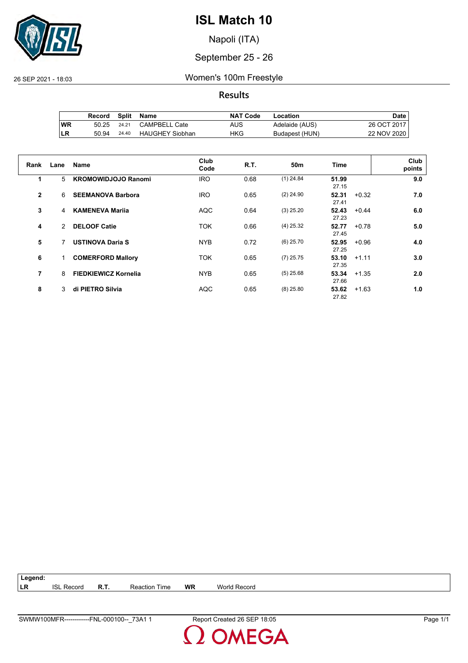

Napoli (ITA)

#### September 25 - 26

#### 26 SEP 2021 - 18:03 Women's 100m Freestyle

**Results**

|           | Record |       | Split Name             | <b>NAT Code</b> | Location       | Date i      |
|-----------|--------|-------|------------------------|-----------------|----------------|-------------|
| <b>WR</b> | 50.25  | 24.21 | <b>CAMPBELL Cate</b>   | AUS             | Adelaide (AUS) | 26 OCT 2017 |
| ∣LR       | 50.94  | 24.40 | <b>HAUGHEY Siobhan</b> | HKG             | Budapest (HUN) | 22 NOV 2020 |

| Rank         | Lane          | <b>Name</b>                 | Club<br>Code | R.T. | 50 <sub>m</sub> | Time           | Club<br>points |
|--------------|---------------|-----------------------------|--------------|------|-----------------|----------------|----------------|
| 1            | 5             | <b>KROMOWIDJOJO Ranomi</b>  | <b>IRO</b>   | 0.68 | $(1)$ 24.84     | 51.99<br>27.15 | 9.0            |
| $\mathbf{2}$ | 6             | <b>SEEMANOVA Barbora</b>    | <b>IRO</b>   | 0.65 | $(2)$ 24.90     | 52.31<br>27.41 | 7.0<br>$+0.32$ |
| 3            | 4             | <b>KAMENEVA Marija</b>      | <b>AQC</b>   | 0.64 | $(3)$ 25.20     | 52.43<br>27.23 | $+0.44$<br>6.0 |
| 4            | $\mathcal{P}$ | <b>DELOOF Catie</b>         | <b>TOK</b>   | 0.66 | $(4)$ 25.32     | 52.77<br>27.45 | 5.0<br>$+0.78$ |
| 5            | 7             | <b>USTINOVA Daria S</b>     | <b>NYB</b>   | 0.72 | $(6)$ 25.70     | 52.95<br>27.25 | $+0.96$<br>4.0 |
| 6            | 1.            | <b>COMERFORD Mallory</b>    | <b>TOK</b>   | 0.65 | $(7)$ 25.75     | 53.10<br>27.35 | 3.0<br>$+1.11$ |
| 7            | 8             | <b>FIEDKIEWICZ Kornelia</b> | <b>NYB</b>   | 0.65 | $(5)$ 25.68     | 53.34<br>27.66 | 2.0<br>$+1.35$ |
| 8            | 3             | di PIETRO Silvia            | <b>AQC</b>   | 0.65 | $(8)$ 25.80     | 53.62<br>27.82 | 1.0<br>$+1.63$ |

**Legend: LR** ISL Record **R.T.** Reaction Time **WR** World Record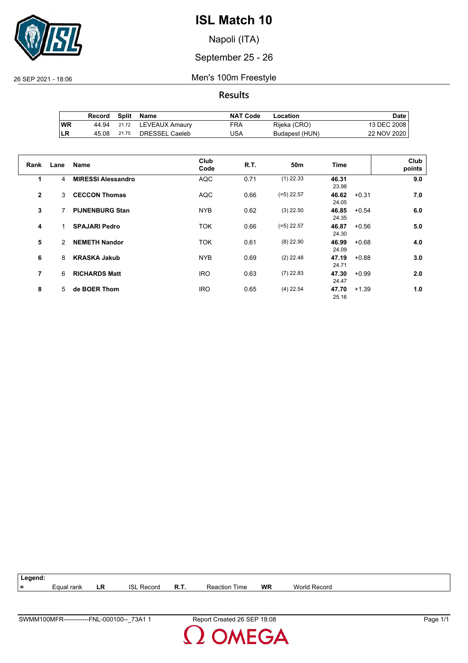

Napoli (ITA)

#### September 25 - 26

26 SEP 2021 - 18:06 Men's 100m Freestyle

**Results**

|            | Record | Split | Name           | <b>NAT Code</b> | Location       | Date ⊦      |
|------------|--------|-------|----------------|-----------------|----------------|-------------|
| <b>WR</b>  | 44.94  | 21.72 | LEVEAUX Amaury | FRA             | Rijeka (CRO)   | 13 DEC 2008 |
| <b>ILR</b> | 45.08  | 21.75 | DRESSEL Caeleb | USA             | Budapest (HUN) | 22 NOV 2020 |

| Rank         | Lane | <b>Name</b>               | Club<br>Code | R.T. | 50m          | Time           |         | Club<br>points |
|--------------|------|---------------------------|--------------|------|--------------|----------------|---------|----------------|
| 1            | 4    | <b>MIRESSI Alessandro</b> | <b>AQC</b>   | 0.71 | $(1)$ 22.33  | 46.31<br>23.98 |         | 9.0            |
| $\mathbf{2}$ | 3    | <b>CECCON Thomas</b>      | <b>AQC</b>   | 0.66 | $(=5)$ 22.57 | 46.62<br>24.05 | $+0.31$ | 7.0            |
| 3            | 7    | <b>PIJNENBURG Stan</b>    | <b>NYB</b>   | 0.62 | $(3)$ 22.50  | 46.85<br>24.35 | $+0.54$ | 6.0            |
| 4            | 1.   | <b>SPAJARI Pedro</b>      | <b>TOK</b>   | 0.66 | $(=5)$ 22.57 | 46.87<br>24.30 | $+0.56$ | 5.0            |
| 5            | 2    | <b>NEMETH Nandor</b>      | <b>TOK</b>   | 0.61 | $(8)$ 22.90  | 46.99<br>24.09 | $+0.68$ | 4.0            |
| 6            | 8    | <b>KRASKA Jakub</b>       | <b>NYB</b>   | 0.69 | $(2)$ 22.48  | 47.19<br>24.71 | $+0.88$ | 3.0            |
| 7            | 6    | <b>RICHARDS Matt</b>      | <b>IRO</b>   | 0.63 | $(7)$ 22.83  | 47.30<br>24.47 | $+0.99$ | 2.0            |
| 8            | 5.   | de BOER Thom              | <b>IRO</b>   | 0.65 | $(4)$ 22.54  | 47.70<br>25.16 | $+1.39$ | 1.0            |

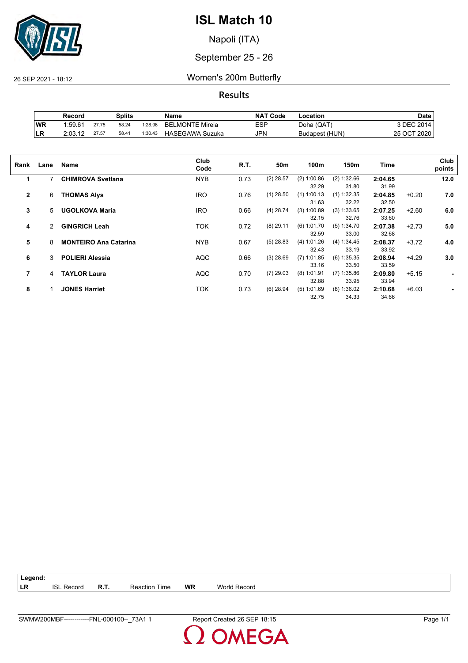

Napoli (ITA)

### September 25 - 26

26 SEP 2021 - 18:12 Women's 200m Butterfly

**Results**

|            | Record              |       | Splits |         | Name                   | <b>NAT Code</b> | Location       | Date        |
|------------|---------------------|-------|--------|---------|------------------------|-----------------|----------------|-------------|
| <b>WR</b>  | 1.59.6 <sup>4</sup> | 27.75 | 58.24  | 1:28.96 | <b>BELMONTE Mireia</b> | <b>ESP</b>      | Doha (QAT)     | 3 DEC 2014. |
| <b>ILR</b> | 2:03.12             | 27.57 | 58.41  | 1:30.43 | <b>HASEGAWA Suzuka</b> | JPN             | Budapest (HUN) | 25 OCT 2020 |

| Rank         | Lane | Name                         | Club<br>Code | R.T. | 50m         | 100m          | 150m          | Time    |         | Club<br>points |
|--------------|------|------------------------------|--------------|------|-------------|---------------|---------------|---------|---------|----------------|
| 1            | 7    | <b>CHIMROVA Svetlana</b>     | <b>NYB</b>   | 0.73 | $(2)$ 28.57 | (2) 1:00.86   | (2) 1:32.66   | 2:04.65 |         | 12.0           |
|              |      |                              |              |      |             | 32.29         | 31.80         | 31.99   |         |                |
| $\mathbf{2}$ | 6    | <b>THOMAS Alys</b>           | <b>IRO</b>   | 0.76 | $(1)$ 28.50 | $(1)$ 1:00.13 | $(1)$ 1:32.35 | 2:04.85 | $+0.20$ | 7.0            |
|              |      |                              |              |      |             | 31.63         | 32.22         | 32.50   |         |                |
| 3            | 5.   | <b>UGOLKOVA Maria</b>        | <b>IRO</b>   | 0.66 | $(4)$ 28.74 | $(3)$ 1:00.89 | (3) 1:33.65   | 2:07.25 | $+2.60$ | 6.0            |
|              |      |                              |              |      |             | 32.15         | 32.76         | 33.60   |         |                |
| 4            | 2    | <b>GINGRICH Leah</b>         | <b>TOK</b>   | 0.72 | $(8)$ 29.11 | (6) 1:01.70   | (5) 1:34.70   | 2:07.38 | $+2.73$ | 5.0            |
|              |      |                              |              |      |             | 32.59         | 33.00         | 32.68   |         |                |
| 5            | 8    | <b>MONTEIRO Ana Catarina</b> | <b>NYB</b>   | 0.67 | $(5)$ 28.83 | (4) 1:01.26   | (4) 1:34.45   | 2:08.37 | $+3.72$ | 4.0            |
|              |      |                              |              |      |             | 32.43         | 33.19         | 33.92   |         |                |
| 6            | 3    | <b>POLIERI Alessia</b>       | <b>AQC</b>   | 0.66 | $(3)$ 28.69 | $(7)$ 1:01.85 | $(6)$ 1:35.35 | 2:08.94 | $+4.29$ | 3.0            |
|              |      |                              |              |      |             | 33.16         | 33.50         | 33.59   |         |                |
| 7            | 4    | <b>TAYLOR Laura</b>          | <b>AQC</b>   | 0.70 | $(7)$ 29.03 | $(8)$ 1:01.91 | $(7)$ 1:35.86 | 2:09.80 | $+5.15$ | ۰              |
|              |      |                              |              |      |             | 32.88         | 33.95         | 33.94   |         |                |
| 8            |      | <b>JONES Harriet</b>         | <b>TOK</b>   | 0.73 | $(6)$ 28.94 | (5) 1:01.69   | $(8)$ 1:36.02 | 2:10.68 | $+6.03$ |                |
|              |      |                              |              |      |             | 32.75         | 34.33         | 34.66   |         |                |

| $\vert$ Legend: |                   |                      |    |              |
|-----------------|-------------------|----------------------|----|--------------|
| ∣LR             | <b>ISL Record</b> | <b>Reaction Time</b> | WR | World Record |

OMEGA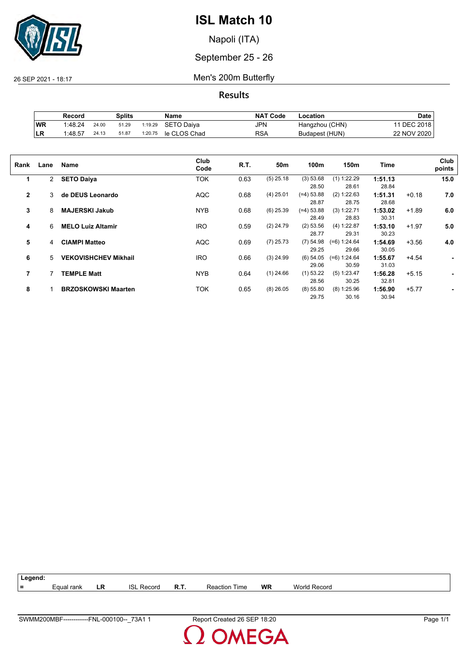

Napoli (ITA)

September 25 - 26

26 SEP 2021 - 18:17 Men's 200m Butterfly

**Results**

|    | Record  |       | Splits |         | Name         | <b>NAT Code</b> | -ocation       | Date        |
|----|---------|-------|--------|---------|--------------|-----------------|----------------|-------------|
| WR | 1:48.24 | 24.00 | 51.29  | 1:19.29 | SETO Daiva   | <b>JPN</b>      | Hangzhou (CHN) | DEC 2018    |
| LR | 1:48.57 | 24.13 | 51.87  | 1:20.75 | le CLOS Chad | RSA             | Budapest (HUN) | 22 NOV 2020 |

| Rank           | Lane           | Name                        | Club<br>Code | R.T. | 50m         | 100m         | 150m           | Time    |         | Club<br>points |
|----------------|----------------|-----------------------------|--------------|------|-------------|--------------|----------------|---------|---------|----------------|
| 1              | $\overline{2}$ | <b>SETO Daiya</b>           | <b>TOK</b>   | 0.63 | $(5)$ 25.18 | (3) 53.68    | $(1)$ 1:22.29  | 1:51.13 |         | 15.0           |
|                |                |                             |              |      |             | 28.50        | 28.61          | 28.84   |         |                |
| $\overline{2}$ | 3              | de DEUS Leonardo            | <b>AQC</b>   | 0.68 | $(4)$ 25.01 | $(=4) 53.88$ | (2) 1:22.63    | 1:51.31 | $+0.18$ | 7.0            |
|                |                |                             |              |      |             | 28.87        | 28.75          | 28.68   |         |                |
| 3              | 8              | <b>MAJERSKI Jakub</b>       | <b>NYB</b>   | 0.68 | $(6)$ 25.39 | $(=4) 53.88$ | (3) 1:22.71    | 1:53.02 | $+1.89$ | 6.0            |
|                |                |                             |              |      |             | 28.49        | 28.83          | 30.31   |         |                |
| 4              | 6              | <b>MELO Luiz Altamir</b>    | <b>IRO</b>   | 0.59 | $(2)$ 24.79 | (2) 53.56    | (4) 1:22.87    | 1:53.10 | $+1.97$ | 5.0            |
|                |                |                             |              |      |             | 28.77        | 29.31          | 30.23   |         |                |
| 5              | 4              | <b>CIAMPI Matteo</b>        | <b>AQC</b>   | 0.69 | $(7)$ 25.73 | $(7)$ 54.98  | $(=6) 1:24.64$ | 1:54.69 | $+3.56$ | 4.0            |
|                |                |                             |              |      |             | 29.25        | 29.66          | 30.05   |         |                |
| 6              | 5              | <b>VEKOVISHCHEV Mikhail</b> | <b>IRO</b>   | 0.66 | $(3)$ 24.99 | $(6)$ 54.05  | $(=6) 1:24.64$ | 1:55.67 | $+4.54$ | ۰              |
|                |                |                             |              |      |             | 29.06        | 30.59          | 31.03   |         |                |
| 7              |                | <b>TEMPLE Matt</b>          | <b>NYB</b>   | 0.64 | $(1)$ 24.66 | $(1)$ 53.22  | (5) 1:23.47    | 1:56.28 | $+5.15$ |                |
|                |                |                             |              |      |             | 28.56        | 30.25          | 32.81   |         |                |
| 8              |                | <b>BRZOSKOWSKI Maarten</b>  | TOK          | 0.65 | $(8)$ 26.05 | (8) 55.80    | $(8)$ 1:25.96  | 1:56.90 | $+5.77$ |                |
|                |                |                             |              |      |             | 29.75        | 30.16          | 30.94   |         |                |
|                |                |                             |              |      |             |              |                |         |         |                |

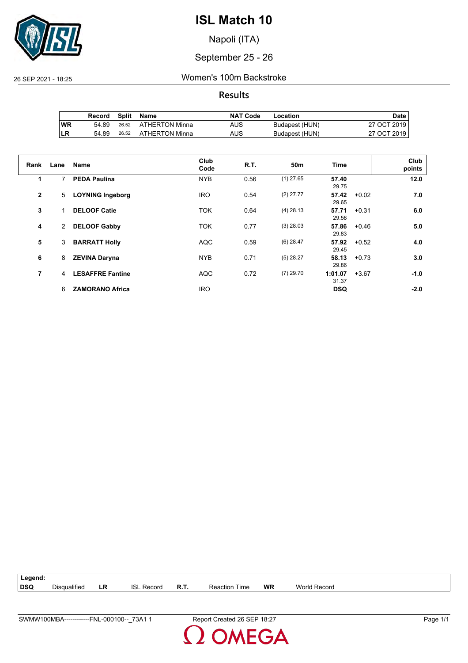

Napoli (ITA)

#### September 25 - 26

#### 26 SEP 2021 - 18:25 Women's 100m Backstroke

**Results**

|     | Record |       | Split Name           | <b>NAT Code</b> | Location       | Date        |
|-----|--------|-------|----------------------|-----------------|----------------|-------------|
| ∣WR | 54.89  |       | 26.52 ATHERTON Minna | AUS             | Budapest (HUN) | 27 OCT 2019 |
| ∣LR | 54.89  | 26.52 | ATHERTON Minna       | AUS             | Budapest (HUN) | 27 OCT 2019 |

| Rank           | Lane           | Name                    | Club<br>Code | R.T. | 50 <sub>m</sub> | <b>Time</b>      |         | Club<br>points |
|----------------|----------------|-------------------------|--------------|------|-----------------|------------------|---------|----------------|
| 1              | 7              | <b>PEDA Paulina</b>     | <b>NYB</b>   | 0.56 | $(1)$ 27.65     | 57.40<br>29.75   |         | 12.0           |
| $\overline{2}$ | 5              | <b>LOYNING Ingeborg</b> | <b>IRO</b>   | 0.54 | $(2)$ 27.77     | 57.42<br>29.65   | $+0.02$ | 7.0            |
| 3              | 1              | <b>DELOOF Catie</b>     | <b>TOK</b>   | 0.64 | $(4)$ 28.13     | 57.71<br>29.58   | $+0.31$ | 6.0            |
| 4              | $\overline{2}$ | <b>DELOOF Gabby</b>     | <b>TOK</b>   | 0.77 | $(3)$ 28.03     | 57.86<br>29.83   | $+0.46$ | 5.0            |
| 5              | 3              | <b>BARRATT Holly</b>    | <b>AQC</b>   | 0.59 | $(6)$ 28.47     | 57.92<br>29.45   | $+0.52$ | 4.0            |
| 6              | 8              | <b>ZEVINA Daryna</b>    | <b>NYB</b>   | 0.71 | $(5)$ 28.27     | 58.13<br>29.86   | $+0.73$ | 3.0            |
| 7              | 4              | <b>LESAFFRE Fantine</b> | <b>AQC</b>   | 0.72 | $(7)$ 29.70     | 1:01.07<br>31.37 | $+3.67$ | $-1.0$         |
|                | 6              | <b>ZAMORANO Africa</b>  | <b>IRO</b>   |      |                 | <b>DSQ</b>       |         | $-2.0$         |

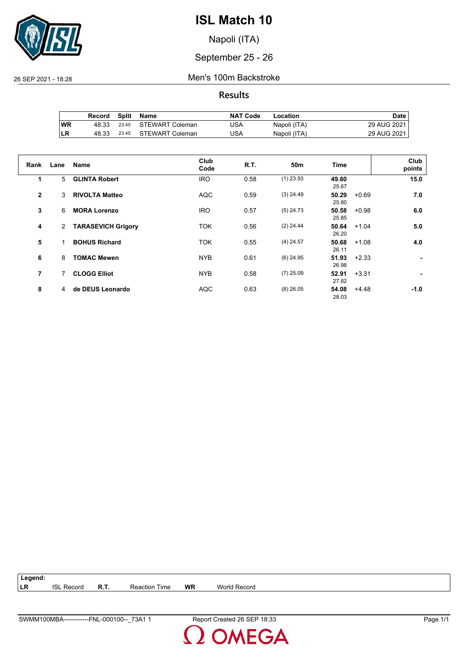

Napoli (ITA)

### September 25 - 26

26 SEP 2021 - 18:28 Men's 100m Backstroke

**Results**

|     | Record | Split | Name                  | <b>NAT Code</b> | Location     | Date        |
|-----|--------|-------|-----------------------|-----------------|--------------|-------------|
| 'WR | 48.33  |       | 23.45 STEWART Coleman | JSA             | Napoli (ITA) | 29 AUG 2021 |
| ILR | 48.33  | 23.45 | STEWART Coleman       | USA             | Napoli (ITA) | 29 AUG 2021 |

| Rank           | Lane | <b>Name</b>               | Club<br>Code | R.T. | 50 <sub>m</sub> | Time                      | Club<br>points |
|----------------|------|---------------------------|--------------|------|-----------------|---------------------------|----------------|
| 1              | 5    | <b>GLINTA Robert</b>      | <b>IRO</b>   | 0.58 | $(1)$ 23.93     | 49.60<br>25.67            | 15.0           |
| $\mathbf{2}$   | 3    | <b>RIVOLTA Matteo</b>     | <b>AQC</b>   | 0.59 | $(3)$ 24.49     | 50.29<br>$+0.69$<br>25.80 | 7.0            |
| 3              | 6    | <b>MORA Lorenzo</b>       | <b>IRO</b>   | 0.57 | $(5)$ 24.73     | 50.58<br>$+0.98$<br>25.85 | 6.0            |
| 4              | 2    | <b>TARASEVICH Grigory</b> | <b>TOK</b>   | 0.56 | $(2)$ 24.44     | 50.64<br>$+1.04$<br>26.20 | 5.0            |
| 5              |      | <b>BOHUS Richard</b>      | <b>TOK</b>   | 0.55 | $(4)$ 24.57     | 50.68<br>$+1.08$<br>26.11 | 4.0            |
| 6              | 8    | <b>TOMAC Mewen</b>        | <b>NYB</b>   | 0.61 | $(6)$ 24.95     | 51.93<br>$+2.33$<br>26.98 | ۰.             |
| $\overline{7}$ | 7    | <b>CLOGG Elliot</b>       | <b>NYB</b>   | 0.58 | $(7)$ 25.09     | 52.91<br>$+3.31$<br>27.82 | ٠              |
| 8              | 4    | de DEUS Leonardo          | <b>AQC</b>   | 0.63 | $(8)$ 26.05     | 54.08<br>$+4.48$<br>28.03 | $-1.0$         |

| Legend: |                   |                      |    |              |
|---------|-------------------|----------------------|----|--------------|
| ∣LR     | <b>ISL Record</b> | <b>Reaction Time</b> | WR | World Record |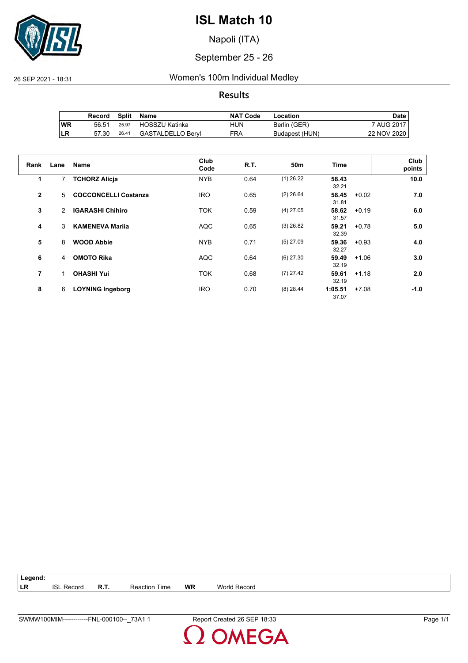

Napoli (ITA)

#### September 25 - 26

26 SEP 2021 - 18:31 Women's 100m Individual Medley

#### **Results**

|     | Record |       | Split Name        | <b>NAT Code</b> | Location       | Date        |
|-----|--------|-------|-------------------|-----------------|----------------|-------------|
| ∣WR | 56.51  | 25.97 | HOSSZU Katinka    | HUN             | Berlin (GER)   | 7 AUG 2017  |
| ILR | 57.30  | 26.41 | GASTALDELLO Bervl | <b>FRA</b>      | Budapest (HUN) | 22 NOV 2020 |

| Rank         | Lane           | <b>Name</b>                 | Club<br>Code | <b>R.T.</b> | 50 <sub>m</sub> | <b>Time</b>      |         | Club<br>points |
|--------------|----------------|-----------------------------|--------------|-------------|-----------------|------------------|---------|----------------|
| 1            | $\overline{7}$ | <b>TCHORZ Alicja</b>        | <b>NYB</b>   | 0.64        | $(1)$ 26.22     | 58.43<br>32.21   |         | 10.0           |
| $\mathbf{2}$ | 5              | <b>COCCONCELLI Costanza</b> | <b>IRO</b>   | 0.65        | $(2)$ 26.64     | 58.45<br>31.81   | $+0.02$ | 7.0            |
| 3            | 2              | <b>IGARASHI Chihiro</b>     | <b>TOK</b>   | 0.59        | $(4)$ 27.05     | 58.62<br>31.57   | $+0.19$ | 6.0            |
| 4            | 3              | <b>KAMENEVA Marija</b>      | <b>AQC</b>   | 0.65        | $(3)$ 26.82     | 59.21<br>32.39   | $+0.78$ | 5.0            |
| 5            | 8              | <b>WOOD Abbie</b>           | <b>NYB</b>   | 0.71        | $(5)$ 27.09     | 59.36<br>32.27   | $+0.93$ | 4.0            |
| 6            | 4              | <b>OMOTO Rika</b>           | <b>AQC</b>   | 0.64        | $(6)$ 27.30     | 59.49<br>32.19   | $+1.06$ | 3.0            |
| 7            |                | <b>OHASHI Yui</b>           | <b>TOK</b>   | 0.68        | $(7)$ 27.42     | 59.61<br>32.19   | $+1.18$ | 2.0            |
| 8            | 6              | <b>LOYNING Ingeborg</b>     | <b>IRO</b>   | 0.70        | $(8)$ 28.44     | 1:05.51<br>37.07 | $+7.08$ | -1.0           |

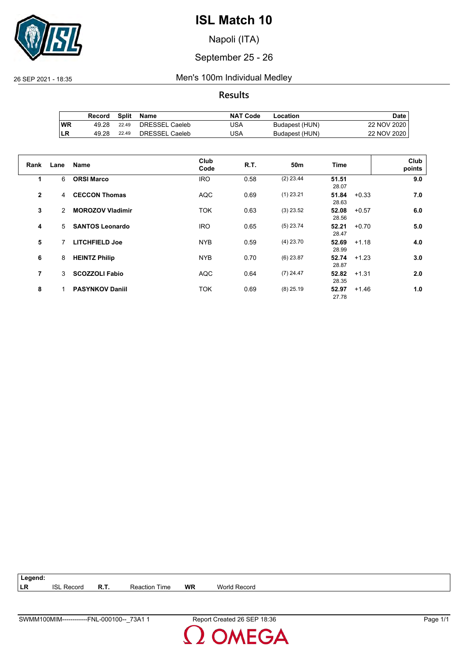

Napoli (ITA)

#### September 25 - 26

#### 26 SEP 2021 - 18:35 Men's 100m Individual Medley

#### **Results**

|           | Record | Split | Name           | <b>NAT Code</b> | Location       | Date l      |
|-----------|--------|-------|----------------|-----------------|----------------|-------------|
| <b>WR</b> | 49.28  | 22.49 | DRESSEL Caeleb | JSA             | Budapest (HUN) | 22 NOV 2020 |
| LR        | 49.28  | 22.49 | DRESSEL Caeleb | JSA             | Budapest (HUN) | 22 NOV 2020 |

| Rank           | Lane          | <b>Name</b>             | Club<br>Code | R.T. | 50 <sub>m</sub> | Time           |         | Club<br>points |
|----------------|---------------|-------------------------|--------------|------|-----------------|----------------|---------|----------------|
| 1              | 6             | <b>ORSI Marco</b>       | <b>IRO</b>   | 0.58 | $(2)$ 23.44     | 51.51<br>28.07 |         | 9.0            |
| $\overline{2}$ | 4             | <b>CECCON Thomas</b>    | <b>AQC</b>   | 0.69 | $(1)$ 23.21     | 51.84<br>28.63 | $+0.33$ | 7.0            |
| 3              | $\mathcal{P}$ | <b>MOROZOV Vladimir</b> | <b>TOK</b>   | 0.63 | $(3)$ 23.52     | 52.08<br>28.56 | $+0.57$ | 6.0            |
| 4              | 5             | <b>SANTOS Leonardo</b>  | <b>IRO</b>   | 0.65 | $(5)$ 23.74     | 52.21<br>28.47 | $+0.70$ | 5.0            |
| 5              | 7             | <b>LITCHFIELD Joe</b>   | <b>NYB</b>   | 0.59 | $(4)$ 23.70     | 52.69<br>28.99 | $+1.18$ | 4.0            |
| 6              | 8             | <b>HEINTZ Philip</b>    | <b>NYB</b>   | 0.70 | $(6)$ 23.87     | 52.74<br>28.87 | $+1.23$ | 3.0            |
| 7              | 3             | <b>SCOZZOLI Fabio</b>   | <b>AQC</b>   | 0.64 | $(7)$ 24.47     | 52.82<br>28.35 | $+1.31$ | 2.0            |
| 8              |               | <b>PASYNKOV Daniil</b>  | <b>TOK</b>   | 0.69 | $(8)$ 25.19     | 52.97<br>27.78 | $+1.46$ | 1.0            |

**Legend: LR** ISL Record **R.T.** Reaction Time **WR** World Record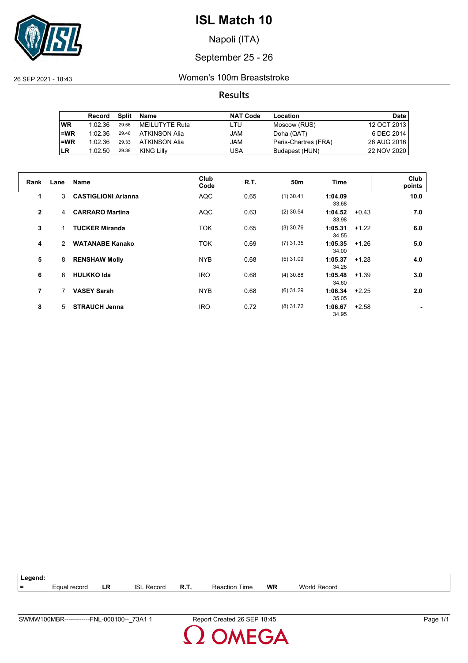

Napoli (ITA)

### September 25 - 26

26 SEP 2021 - 18:43 Women's 100m Breaststroke

#### **Results**

|           | Record  | Split | Name           | <b>NAT Code</b> | Location             | <b>Date</b> |
|-----------|---------|-------|----------------|-----------------|----------------------|-------------|
| <b>WR</b> | 1:02.36 | 29.56 | MEILUTYTE Ruta | LTU             | Moscow (RUS)         | 12 OCT 2013 |
| $=WR$     | 1:02.36 | 29.46 | ATKINSON Alia  | JAM             | Doha (QAT)           | 6 DEC 2014  |
| $=WR$     | 1:02.36 | 29.33 | ATKINSON Alia  | JAM             | Paris-Chartres (FRA) | 26 AUG 2016 |
| <b>LR</b> | 1:02.50 | 29.38 | KING Lilly     | USA             | Budapest (HUN)       | 22 NOV 2020 |

| Rank           | Lane | <b>Name</b>                | Club<br>Code | <b>R.T.</b> | 50m         | Time             |         | Club<br>points |
|----------------|------|----------------------------|--------------|-------------|-------------|------------------|---------|----------------|
| 1              | 3    | <b>CASTIGLIONI Arianna</b> | <b>AQC</b>   | 0.65        | $(1)$ 30.41 | 1:04.09<br>33.68 |         | 10.0           |
| $\overline{2}$ | 4    | <b>CARRARO Martina</b>     | <b>AQC</b>   | 0.63        | $(2)$ 30.54 | 1:04.52<br>33.98 | $+0.43$ | 7.0            |
| 3              |      | <b>TUCKER Miranda</b>      | <b>TOK</b>   | 0.65        | $(3)$ 30.76 | 1:05.31<br>34.55 | $+1.22$ | 6.0            |
| 4              | 2    | <b>WATANABE Kanako</b>     | <b>TOK</b>   | 0.69        | $(7)$ 31.35 | 1:05.35<br>34.00 | $+1.26$ | 5.0            |
| 5              | 8    | <b>RENSHAW Molly</b>       | <b>NYB</b>   | 0.68        | $(5)$ 31.09 | 1:05.37<br>34.28 | $+1.28$ | 4.0            |
| 6              | 6    | <b>HULKKO Ida</b>          | <b>IRO</b>   | 0.68        | $(4)$ 30.88 | 1:05.48<br>34.60 | $+1.39$ | 3.0            |
| 7              | 7    | <b>VASEY Sarah</b>         | <b>NYB</b>   | 0.68        | $(6)$ 31.29 | 1:06.34<br>35.05 | $+2.25$ | 2.0            |
| 8              | 5.   | <b>STRAUCH Jenna</b>       | <b>IRO</b>   | 0.72        | $(8)$ 31.72 | 1:06.67<br>34.95 | $+2.58$ |                |

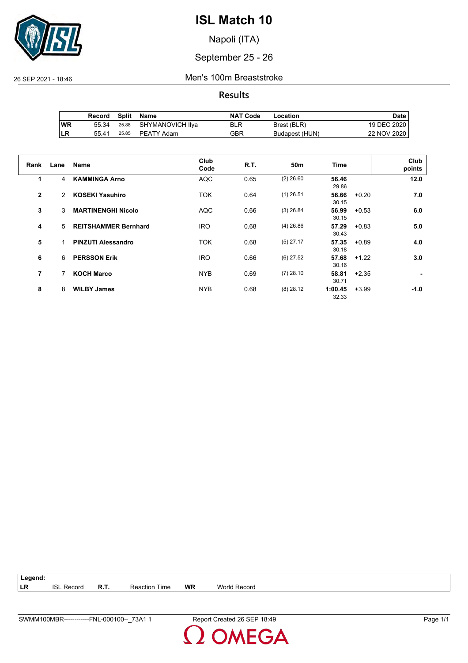

Napoli (ITA)

### September 25 - 26

26 SEP 2021 - 18:46 Men's 100m Breaststroke

#### **Results**

|           | Record | Split | Name                   | <b>NAT Code</b> | Location       | Date        |
|-----------|--------|-------|------------------------|-----------------|----------------|-------------|
| <b>WR</b> | 55.34  |       | 25.88 SHYMANOVICH IIya | <b>BLR</b>      | Brest (BLR)    | 19 DEC 2020 |
| ∣LR       | 55.41  |       | 25.85 PEATY Adam       | GBR             | Budapest (HUN) | 22 NOV 2020 |

| Rank           | Lane | <b>Name</b>                 | Club<br>Code | <b>R.T.</b> | 50m         | <b>Time</b>      |         | Club<br>points |
|----------------|------|-----------------------------|--------------|-------------|-------------|------------------|---------|----------------|
| 1              | 4    | <b>KAMMINGA Arno</b>        | <b>AQC</b>   | 0.65        | $(2)$ 26.60 | 56.46<br>29.86   |         | 12.0           |
| $\overline{2}$ | 2    | <b>KOSEKI Yasuhiro</b>      | <b>TOK</b>   | 0.64        | $(1)$ 26.51 | 56.66<br>30.15   | $+0.20$ | 7.0            |
| 3              | 3    | <b>MARTINENGHI Nicolo</b>   | <b>AQC</b>   | 0.66        | $(3)$ 26.84 | 56.99<br>30.15   | $+0.53$ | 6.0            |
| 4              | 5    | <b>REITSHAMMER Bernhard</b> | <b>IRO</b>   | 0.68        | $(4)$ 26.86 | 57.29<br>30.43   | $+0.83$ | 5.0            |
| 5              |      | <b>PINZUTI Alessandro</b>   | <b>TOK</b>   | 0.68        | $(5)$ 27.17 | 57.35<br>30.18   | $+0.89$ | 4.0            |
| 6              | 6    | <b>PERSSON Erik</b>         | <b>IRO</b>   | 0.66        | $(6)$ 27.52 | 57.68<br>30.16   | $+1.22$ | 3.0            |
| $\overline{7}$ | 7    | <b>KOCH Marco</b>           | <b>NYB</b>   | 0.69        | $(7)$ 28.10 | 58.81<br>30.71   | $+2.35$ |                |
| 8              | 8    | <b>WILBY James</b>          | <b>NYB</b>   | 0.68        | $(8)$ 28.12 | 1:00.45<br>32.33 | $+3.99$ | $-1.0$         |

| $\vert$ Legend: |                   |             |                      |    |              |
|-----------------|-------------------|-------------|----------------------|----|--------------|
| <b>ILR</b>      | <b>ISL Record</b> | <b>R.T.</b> | <b>Reaction Time</b> | WR | World Record |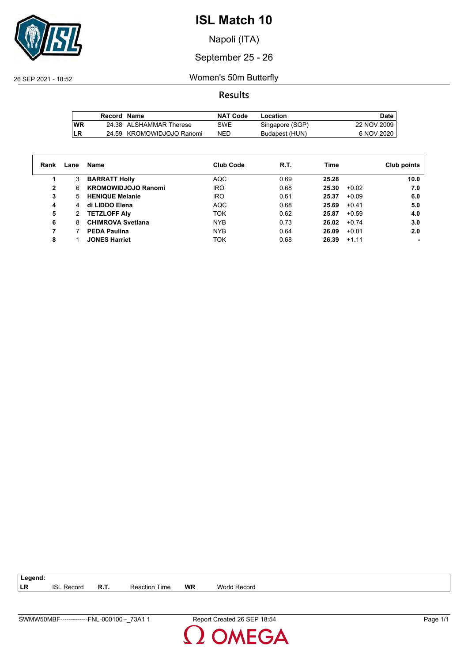

Napoli (ITA)

#### September 25 - 26

26 SEP 2021 - 18:52 Women's 50m Butterfly

#### **Results**

|           | Record Name |                           | NAT Code   | Location        | Date        |
|-----------|-------------|---------------------------|------------|-----------------|-------------|
| <b>WR</b> |             | 24.38 ALSHAMMAR Therese   | SWE        | Singapore (SGP) | 22 NOV 2009 |
| LR        |             | 24.59 KROMOWIDJOJO Ranomi | <b>NED</b> | Budapest (HUN)  | 6 NOV 2020  |

| Rank         | Lane | Name                       | <b>Club Code</b> | R.T. | Time             | Club points |
|--------------|------|----------------------------|------------------|------|------------------|-------------|
|              | 3    | <b>BARRATT Holly</b>       | AQC              | 0.69 | 25.28            | 10.0        |
| $\mathbf{2}$ | 6    | <b>KROMOWIDJOJO Ranomi</b> | <b>IRO</b>       | 0.68 | 25.30<br>$+0.02$ | 7.0         |
| 3            | 5.   | <b>HENIQUE Melanie</b>     | <b>IRO</b>       | 0.61 | $+0.09$<br>25.37 | 6.0         |
| 4            | 4    | di LIDDO Elena             | <b>AQC</b>       | 0.68 | 25.69<br>$+0.41$ | 5.0         |
| 5            | 2    | <b>TETZLOFF AIV</b>        | <b>TOK</b>       | 0.62 | 25.87<br>$+0.59$ | 4.0         |
| 6            | 8    | <b>CHIMROVA Svetlana</b>   | <b>NYB</b>       | 0.73 | 26.02<br>$+0.74$ | 3.0         |
|              |      | <b>PEDA Paulina</b>        | <b>NYB</b>       | 0.64 | 26.09<br>$+0.81$ | 2.0         |
| 8            |      | <b>JONES Harriet</b>       | <b>TOK</b>       | 0.68 | 26.39<br>$+1.11$ |             |

| SWMW50MBF<br>73A1<br>$-000100-$<br>FNL<br>-------------<br>_ | 18:54<br>Created 26<br>SE<br>Report | .<br>Page |
|--------------------------------------------------------------|-------------------------------------|-----------|

**LR** ISL Record **R.T.** Reaction Time **WR** World Record

**Legend:**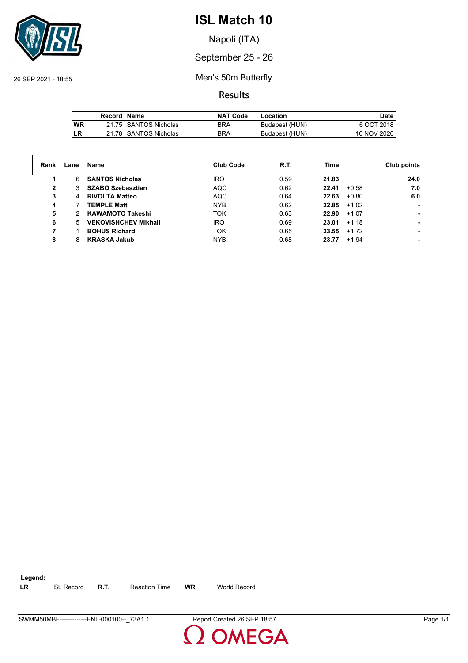

Napoli (ITA)

September 25 - 26

26 SEP 2021 - 18:55 Men's 50m Butterfly

**Results**

|           | Record Name |                       | <b>NAT Code</b> | Location       | <b>Date</b> |
|-----------|-------------|-----------------------|-----------------|----------------|-------------|
| <b>WR</b> |             | 21.75 SANTOS Nicholas | <b>BRA</b>      | Budapest (HUN) | 6 OCT 2018  |
| LR        |             | 21.78 SANTOS Nicholas | <b>BRA</b>      | Budapest (HUN) | 10 NOV 2020 |

| Rank         | Lane | Name                        | <b>Club Code</b> | R.T. | Time             | Club points |
|--------------|------|-----------------------------|------------------|------|------------------|-------------|
|              |      |                             |                  |      |                  |             |
|              | 6    | <b>SANTOS Nicholas</b>      | <b>IRO</b>       | 0.59 | 21.83            | 24.0        |
| $\mathbf{2}$ | 3    | <b>SZABO Szebasztian</b>    | AQC              | 0.62 | 22.41<br>$+0.58$ | 7.0         |
| 3            | 4    | <b>RIVOLTA Matteo</b>       | <b>AQC</b>       | 0.64 | 22.63<br>$+0.80$ | 6.0         |
| 4            |      | <b>TEMPLE Matt</b>          | <b>NYB</b>       | 0.62 | 22.85<br>$+1.02$ |             |
| 5            | 2    | <b>KAWAMOTO Takeshi</b>     | <b>TOK</b>       | 0.63 | 22.90<br>$+1.07$ |             |
| 6            | .5   | <b>VEKOVISHCHEV Mikhail</b> | <b>IRO</b>       | 0.69 | 23.01<br>$+1.18$ |             |
|              |      | <b>BOHUS Richard</b>        | <b>TOK</b>       | 0.65 | 23.55<br>$+1.72$ |             |
| 8            | 8    | <b>KRASKA Jakub</b>         | <b>NYB</b>       | 0.68 | $+1.94$<br>23.77 |             |

**LR** ISL Record **R.T.** Reaction Time **WR** World Record

**Legend:**

SWMM50MBF-------------FNL-000100--\_73A1 1 Report Created 26 SEP 18:57 Page 1/1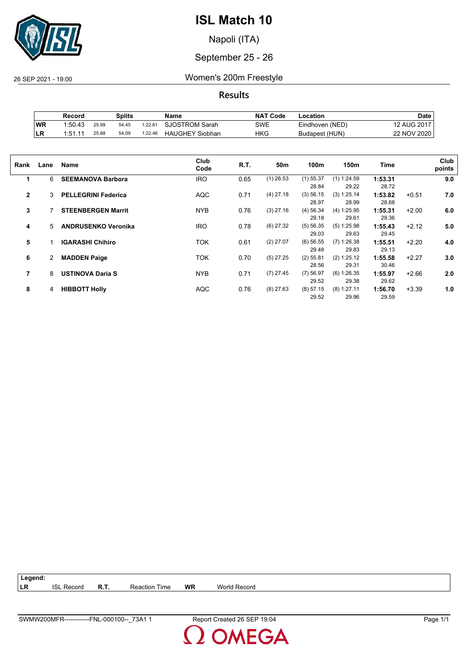

Napoli (ITA)

### September 25 - 26

26 SEP 2021 - 19:00 Women's 200m Freestyle

**Results**

|    | Record  |       | Splits |         | Name                   | <b>NAT Code</b> | Location        | Date        |
|----|---------|-------|--------|---------|------------------------|-----------------|-----------------|-------------|
| WR | 1:50.43 | 25.99 | 54.45  | 1:22.61 | SJOSTROM Sarah         | SWE             | Eindhoven (NED) | 12 AUG 2017 |
| LR | 1.51.11 | 25.88 | 54.09  | 1:22.46 | <b>HAUGHEY Siobhan</b> | HKG             | Budapest (HUN)  | 22 NOV 2020 |

| Rank         | Lane | Name                       | Club<br>Code | R.T. | 50m         | 100m                 | 150m                   | Time             |         | Club<br>points |
|--------------|------|----------------------------|--------------|------|-------------|----------------------|------------------------|------------------|---------|----------------|
| 1            | 6    | <b>SEEMANOVA Barbora</b>   | <b>IRO</b>   | 0.65 | $(1)$ 26.53 | $(1)$ 55.37<br>28.84 | $(1)$ 1:24.59<br>29.22 | 1:53.31<br>28.72 |         | 9.0            |
| $\mathbf{2}$ | 3    | <b>PELLEGRINI Federica</b> | <b>AQC</b>   | 0.71 | $(4)$ 27.18 | (3) 56.15<br>28.97   | (3) 1:25.14<br>28.99   | 1:53.82<br>28.68 | $+0.51$ | 7.0            |
| 3            |      | <b>STEENBERGEN Marrit</b>  | <b>NYB</b>   | 0.76 | $(3)$ 27.16 | (4) 56.34<br>29.18   | (4) 1:25.95<br>29.61   | 1:55.31<br>29.36 | $+2.00$ | 6.0            |
| 4            | 5    | <b>ANDRUSENKO Veronika</b> | <b>IRO</b>   | 0.78 | $(6)$ 27.32 | (5) 56.35<br>29.03   | (5) 1:25.98<br>29.63   | 1:55.43<br>29.45 | $+2.12$ | 5.0            |
| 5            |      | <b>IGARASHI Chihiro</b>    | <b>TOK</b>   | 0.61 | $(2)$ 27.07 | $(6)$ 56.55<br>29.48 | $(7)$ 1:26.38<br>29.83 | 1:55.51<br>29.13 | $+2.20$ | 4.0            |
| 6            | 2    | <b>MADDEN Paige</b>        | <b>TOK</b>   | 0.70 | $(5)$ 27.25 | $(2)$ 55.81<br>28.56 | (2) 1:25.12<br>29.31   | 1:55.58<br>30.46 | $+2.27$ | 3.0            |
| 7            | 8    | <b>USTINOVA Daria S</b>    | <b>NYB</b>   | 0.71 | $(7)$ 27.45 | $(7)$ 56.97<br>29.52 | (6) 1:26.35<br>29.38   | 1:55.97<br>29.62 | $+2.66$ | 2.0            |
| 8            | 4    | <b>HIBBOTT Holly</b>       | <b>AQC</b>   | 0.76 | $(8)$ 27.63 | (8) 57.15<br>29.52   | $(8)$ 1:27.11<br>29.96 | 1:56.70<br>29.59 | $+3.39$ | 1.0            |

| $\vert$ Legend: |                   |             |                      |    |                     |
|-----------------|-------------------|-------------|----------------------|----|---------------------|
| LR              | <b>ISL Record</b> | <b>R.T.</b> | <b>Reaction Time</b> | WR | <b>World Record</b> |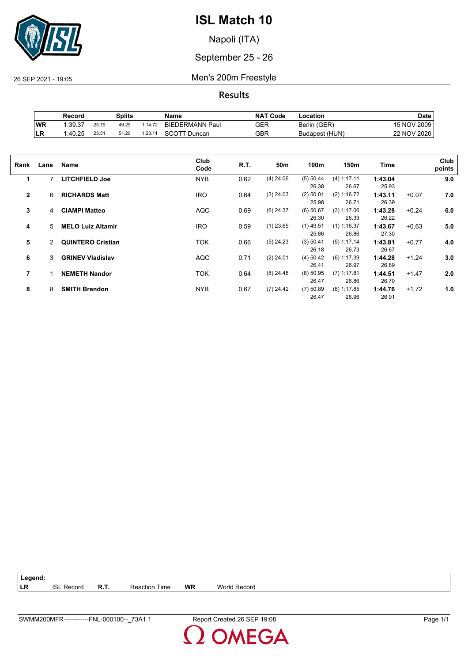

Napoli (ITA)

September 25 - 26

26 SEP 2021 - 19:05 Men's 200m Freestyle

**Results**

|            | Record  |       | Splits |         | Name                   | <b>NAT</b><br>' Code | Location       | Date        |
|------------|---------|-------|--------|---------|------------------------|----------------------|----------------|-------------|
| WR         | 1:39.37 | 23.79 | 49.29  | 1:14.72 | <b>BIEDERMANN Paul</b> | GER                  | Berlin (GER)   | 15 NOV 2009 |
| <b>ILR</b> | 1:40.25 | 23.51 | 51.20  | :23.11  | SCOTT<br>Duncan        | GBR                  | Budapest (HUN) | 22 NOV 2020 |

| Lane | Name                     | Club<br>Code | R.T. | 50m         | 100m        | 150m          | Time    |         | Club<br>points |
|------|--------------------------|--------------|------|-------------|-------------|---------------|---------|---------|----------------|
| 7    | <b>LITCHFIELD Joe</b>    | <b>NYB</b>   | 0.62 | $(4)$ 24.06 | (5) 50.44   | (4) 1:17.11   | 1:43.04 |         | 9.0            |
|      |                          |              |      |             | 26.38       | 26.67         | 25.93   |         |                |
| 6    | <b>RICHARDS Matt</b>     | <b>IRO</b>   | 0.64 | $(3)$ 24.03 | $(2)$ 50.01 | (2) 1:16.72   | 1:43.11 | $+0.07$ | 7.0            |
|      |                          |              |      |             | 25.98       | 26.71         | 26.39   |         |                |
| 4    | <b>CIAMPI Matteo</b>     | <b>AQC</b>   | 0.69 | $(6)$ 24.37 | $(6)$ 50.67 | (3) 1:17.06   | 1:43.28 | $+0.24$ | 6.0            |
|      |                          |              |      |             | 26.30       | 26.39         | 26.22   |         |                |
| 5    | <b>MELO Luiz Altamir</b> | <b>IRO</b>   | 0.59 | $(1)$ 23.65 | $(1)$ 49.51 | $(1)$ 1:16.37 | 1:43.67 | $+0.63$ | 5.0            |
|      |                          |              |      |             | 25.86       | 26.86         | 27.30   |         |                |
| 2    | <b>QUINTERO Cristian</b> | TOK          | 0.66 | $(5)$ 24.23 | (3) 50.41   | $(5)$ 1:17.14 | 1:43.81 | $+0.77$ | 4.0            |
|      |                          |              |      |             | 26.18       | 26.73         | 26.67   |         |                |
| 3    | <b>GRINEV Vladislav</b>  | <b>AQC</b>   | 0.71 | $(2)$ 24.01 | $(4)$ 50.42 | $(6)$ 1:17.39 | 1:44.28 | $+1.24$ | 3.0            |
|      |                          |              |      |             | 26.41       | 26.97         | 26.89   |         |                |
|      | <b>NEMETH Nandor</b>     | TOK          | 0.64 | $(8)$ 24.48 | $(8)$ 50.95 | $(7)$ 1:17.81 | 1:44.51 | $+1.47$ | 2.0            |
|      |                          |              |      |             | 26.47       | 26.86         | 26.70   |         |                |
| 8    | <b>SMITH Brendon</b>     | <b>NYB</b>   | 0.67 | $(7)$ 24.42 | $(7)$ 50.89 | $(8)$ 1:17.85 | 1:44.76 | $+1.72$ | 1.0            |
|      |                          |              |      |             | 26.47       | 26.96         | 26.91   |         |                |
|      |                          |              |      |             |             |               |         |         |                |

| $\vert$ Legend: |                   |             |                      |           |              |
|-----------------|-------------------|-------------|----------------------|-----------|--------------|
| ∣LR             | <b>ISL Record</b> | <b>R.T.</b> | <b>Reaction Time</b> | <b>WR</b> | World Record |

**OMEGA**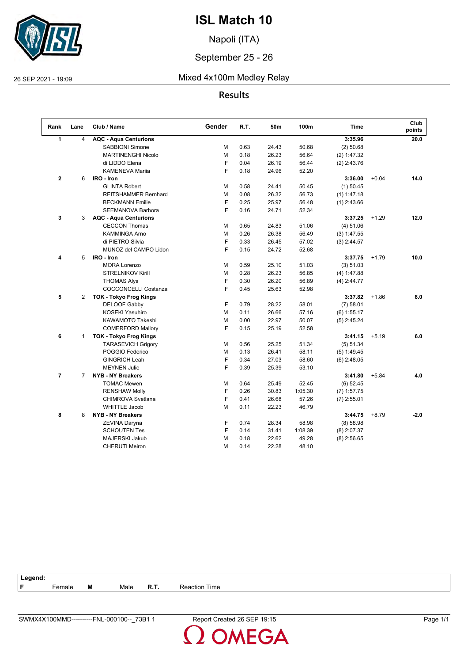

Napoli (ITA)

September 25 - 26

#### 26 SEP 2021 - 19:09 Mixed 4x100m Medley Relay

**Results**

| Rank           | Lane           | Club / Name                   | Gender | R.T. | 50m   | 100m    | <b>Time</b>   |         | Club<br>points |
|----------------|----------------|-------------------------------|--------|------|-------|---------|---------------|---------|----------------|
| 1              | 4              | <b>AQC - Aqua Centurions</b>  |        |      |       |         | 3:35.96       |         | 20.0           |
|                |                | SABBIONI Simone               | М      | 0.63 | 24.43 | 50.68   | $(2)$ 50.68   |         |                |
|                |                | <b>MARTINENGHI Nicolo</b>     | M      | 0.18 | 26.23 | 56.64   | (2) 1:47.32   |         |                |
|                |                | di LIDDO Elena                | F      | 0.04 | 26.19 | 56.44   | $(2)$ 2:43.76 |         |                |
|                |                | <b>KAMENEVA Mariia</b>        | F      | 0.18 | 24.96 | 52.20   |               |         |                |
| $\mathbf 2$    | 6              | IRO - Iron                    |        |      |       |         | 3:36.00       | $+0.04$ | 14.0           |
|                |                | <b>GLINTA Robert</b>          | м      | 0.58 | 24.41 | 50.45   | $(1)$ 50.45   |         |                |
|                |                | <b>REITSHAMMER Bernhard</b>   | М      | 0.08 | 26.32 | 56.73   | $(1)$ 1:47.18 |         |                |
|                |                | <b>BECKMANN Emilie</b>        | F      | 0.25 | 25.97 | 56.48   | $(1)$ 2:43.66 |         |                |
|                |                | SEEMANOVA Barbora             | F      | 0.16 | 24.71 | 52.34   |               |         |                |
| 3              | 3              | <b>AQC - Aqua Centurions</b>  |        |      |       |         | 3:37.25       | $+1.29$ | 12.0           |
|                |                | <b>CECCON Thomas</b>          | м      | 0.65 | 24.83 | 51.06   | (4) 51.06     |         |                |
|                |                | <b>KAMMINGA Arno</b>          | м      | 0.26 | 26.38 | 56.49   | (3) 1:47.55   |         |                |
|                |                | di PIETRO Silvia              | F      | 0.33 | 26.45 | 57.02   | $(3)$ 2:44.57 |         |                |
|                |                | MUNOZ del CAMPO Lidon         | F      | 0.15 | 24.72 | 52.68   |               |         |                |
| 4              | 5              | IRO - Iron                    |        |      |       |         | 3:37.75       | $+1.79$ | 10.0           |
|                |                | <b>MORA Lorenzo</b>           | м      | 0.59 | 25.10 | 51.03   | (3) 51.03     |         |                |
|                |                | <b>STRELNIKOV Kirill</b>      | М      | 0.28 | 26.23 | 56.85   | (4) 1:47.88   |         |                |
|                |                | <b>THOMAS Alys</b>            | F      | 0.30 | 26.20 | 56.89   | $(4)$ 2:44.77 |         |                |
|                |                | <b>COCCONCELLI Costanza</b>   | F      | 0.45 | 25.63 | 52.98   |               |         |                |
| 5              | $\overline{2}$ | <b>TOK - Tokyo Frog Kings</b> |        |      |       |         | 3:37.82       | $+1.86$ | 8.0            |
|                |                | DELOOF Gabby                  | F      | 0.79 | 28.22 | 58.01   | (7) 58.01     |         |                |
|                |                | <b>KOSEKI Yasuhiro</b>        | М      | 0.11 | 26.66 | 57.16   | $(6)$ 1:55.17 |         |                |
|                |                | KAWAMOTO Takeshi              | М      | 0.00 | 22.97 | 50.07   | $(5)$ 2:45.24 |         |                |
|                |                | <b>COMERFORD Mallory</b>      | F      | 0.15 | 25.19 | 52.58   |               |         |                |
| 6              | $\mathbf{1}$   | <b>TOK - Tokyo Frog Kings</b> |        |      |       |         | 3:41.15       | $+5.19$ | 6.0            |
|                |                | <b>TARASEVICH Grigory</b>     | м      | 0.56 | 25.25 | 51.34   | (5) 51.34     |         |                |
|                |                | POGGIO Federico               | М      | 0.13 | 26.41 | 58.11   | $(5)$ 1:49.45 |         |                |
|                |                | <b>GINGRICH Leah</b>          | F      | 0.34 | 27.03 | 58.60   | $(6)$ 2:48.05 |         |                |
|                |                | <b>MEYNEN Julie</b>           | F      | 0.39 | 25.39 | 53.10   |               |         |                |
| $\overline{7}$ | $\overline{7}$ | <b>NYB - NY Breakers</b>      |        |      |       |         | 3:41.80       | $+5.84$ | 4.0            |
|                |                | <b>TOMAC Mewen</b>            | м      | 0.64 | 25.49 | 52.45   | $(6)$ 52.45   |         |                |
|                |                | <b>RENSHAW Molly</b>          | F      | 0.26 | 30.83 | 1:05.30 | $(7)$ 1:57.75 |         |                |
|                |                | <b>CHIMROVA Svetlana</b>      | F      | 0.41 | 26.68 | 57.26   | $(7)$ 2:55.01 |         |                |
|                |                | <b>WHITTLE Jacob</b>          | м      | 0.11 | 22.23 | 46.79   |               |         |                |
| 8              | 8              | <b>NYB - NY Breakers</b>      |        |      |       |         | 3:44.75       | $+8.79$ | $-2.0$         |
|                |                | ZEVINA Daryna                 | F      | 0.74 | 28.34 | 58.98   | $(8)$ 58.98   |         |                |
|                |                | <b>SCHOUTEN Tes</b>           | F      | 0.14 | 31.41 | 1:08.39 | $(8)$ 2:07.37 |         |                |
|                |                | MAJERSKI Jakub                | M      | 0.18 | 22.62 | 49.28   | $(8)$ 2:56.65 |         |                |
|                |                | <b>CHERUTI Meiron</b>         | M      | 0.14 | 22.28 | 48.10   |               |         |                |

| Legend: |                    |   |      |       |                  |  |
|---------|--------------------|---|------|-------|------------------|--|
| , E     | <sup>=</sup> emale | М | Male | в. н. | Reaction<br>⊑ime |  |
|         |                    |   |      |       |                  |  |

**OMEGA**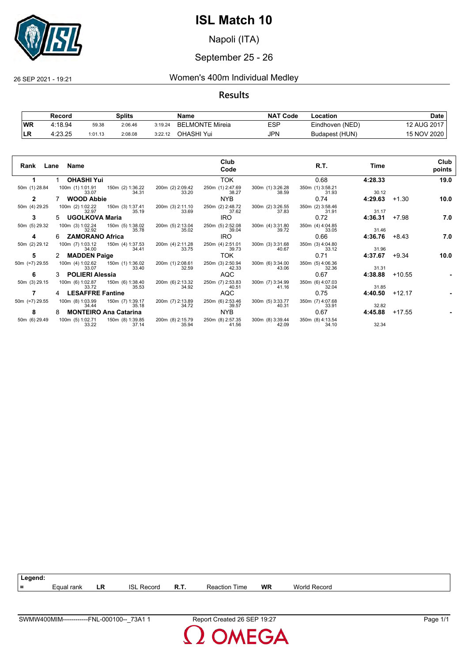

Napoli (ITA)

#### September 25 - 26

#### 26 SEP 2021 - 19:21 Women's 400m Individual Medley

#### **Results**

|           | Record  |         | <b>Splits</b> |         | Name            | <b>NAT</b><br>' Code | Location        | Date        |
|-----------|---------|---------|---------------|---------|-----------------|----------------------|-----------------|-------------|
| <b>WR</b> | 4:18.94 | 59.38   | 2:06.46       | 3:19.24 | BELMONTE Mireia | ESP                  | Eindhoven (NED) | 12 AUG 2017 |
| <b>LR</b> | 4:23.25 | 1:01.13 | 2:08.08       | 3:22.12 | OHASHI Yui      | JPN                  | Budapest (HUN)  | 15 NOV 2020 |

| Rank           | Lane Name                    |                                             |                           | Club<br>Code              |                           | R.T.                      | Time    |          | Club<br>points |
|----------------|------------------------------|---------------------------------------------|---------------------------|---------------------------|---------------------------|---------------------------|---------|----------|----------------|
|                | <b>OHASHI Yui</b>            |                                             |                           | <b>TOK</b>                |                           | 0.68                      | 4:28.33 |          | 19.0           |
| 50m (1) 28.84  | 33.07                        | 100m (1) 1:01.91  150m (2) 1:36.22<br>34.31 | 200m (2) 2:09.42<br>33.20 | 250m (1) 2:47.69<br>38.27 | 300m (1) 3:26.28<br>38.59 | 350m (1) 3:58.21<br>31.93 | 30.12   |          |                |
| 2              | <b>WOOD Abbie</b>            |                                             |                           | NYB.                      |                           | 0.74                      | 4:29.63 | $+1.30$  | 10.0           |
| 50m (4) 29.25  | 32.97                        | 100m (2) 1:02.22 150m (3) 1:37.41<br>35.19  | 200m (3) 2:11.10<br>33.69 | 250m (2) 2:48.72<br>37.62 | 300m (2) 3:26.55<br>37.83 | 350m (2) 3:58.46<br>31.91 | 31.17   |          |                |
| 3              | UGOLKOVA Maria               |                                             |                           | <b>IRO</b>                |                           | 0.72                      | 4:36.31 | $+7.98$  | 7.0            |
| 50m (5) 29.32  | 100m (3) 1:02.24<br>32.92    | 150m (5) 1:38.02<br>35.78                   | 200m (5) 2:13.04<br>35.02 | 250m (5) 2:52.08<br>39.04 | 300m (4) 3:31.80<br>39.72 | 350m (4) 4:04.85<br>33.05 | 31.46   |          |                |
| 4              | 6 ZAMORANO Africa            |                                             |                           | <b>IRO</b>                |                           | 0.66                      | 4:36.76 | +8.43    | 7.0            |
| 50m (2) 29.12  | 100m (7) 1:03.12<br>34.00    | 150m (4) 1:37.53<br>34.41                   | 200m (4) 2:11.28<br>33.75 | 250m (4) 2:51.01<br>39.73 | 300m (3) 3:31.68<br>40.67 | 350m (3) 4:04.80<br>33.12 | 31.96   |          |                |
| 5              | 2 MADDEN Paige               |                                             |                           | TOK.                      |                           | 0.71                      | 4:37.67 | $+9.34$  | 10.0           |
| 50m (=7) 29.55 | 100m (4) 1:02.62<br>33.07    | 150m (1) 1:36.02<br>33.40                   | 200m (1) 2:08.61<br>32.59 | 250m (3) 2:50.94<br>42.33 | 300m (6) 3:34.00<br>43.06 | 350m (5) 4:06.36<br>32.36 | 31.31   |          |                |
| 6              | 3 POLIERI Alessia            |                                             |                           | AQC                       |                           | 0.67                      | 4:38.88 | $+10.55$ |                |
| 50m (3) 29.15  | 100m (6) 1:02.87<br>33.72    | 150m (6) 1:38.40<br>35.53                   | 200m (6) 2:13.32<br>34.92 | 250m (7) 2:53.83<br>40.51 | 300m (7) 3:34.99<br>41.16 | 350m (6) 4:07.03<br>32.04 | 31.85   |          |                |
| 7              | <b>LESAFFRE Fantine</b><br>4 |                                             |                           | AQC                       |                           | 0.75                      | 4:40.50 | $+12.17$ |                |
| 50m (=7) 29.55 | 100m (8) 1:03.99<br>34.44    | 150m (7) 1:39.17<br>35.18                   | 200m (7) 2:13.89<br>34.72 | 250m (6) 2:53.46<br>39.57 | 300m (5) 3:33.77<br>40.31 | 350m (7) 4:07.68<br>33.91 | 32.82   |          |                |
| 8              | 8                            | <b>MONTEIRO Ana Catarina</b>                |                           | <b>NYB</b>                |                           | 0.67                      | 4:45.88 | +17.55   |                |
| 50m (6) 29.49  | 100m (5) 1:02.71<br>33.22    | 150m (8) 1:39.85<br>37.14                   | 200m (8) 2:15.79<br>35.94 | 250m (8) 2:57.35<br>41.56 | 300m (8) 3:39.44<br>42.09 | 350m (8) 4:13.54<br>34.10 | 32.34   |          |                |

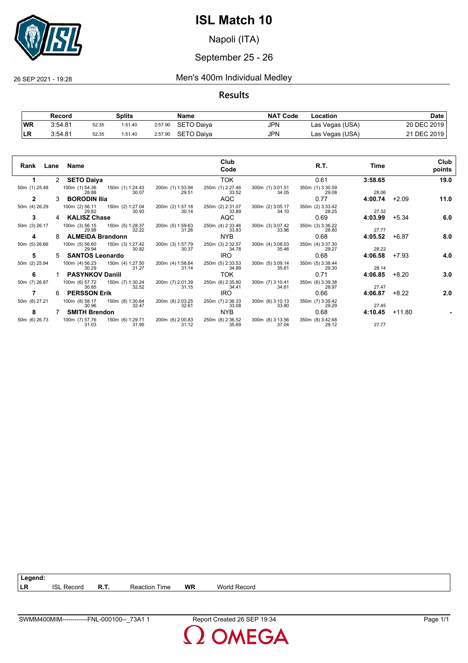

Napoli (ITA)

### September 25 - 26

26 SEP 2021 - 19:28 Men's 400m Individual Medley

#### **Results**

|           | Record  |       | Splits  |         | Name               | <b>NAT Code</b> | Location        | <b>Date</b> |
|-----------|---------|-------|---------|---------|--------------------|-----------------|-----------------|-------------|
| <b>WR</b> | 3:54.81 | 52.35 | 1:51.40 |         | 2:57.90 SETO Daiya | JPN             | Las Vegas (USA) | 20 DEC 2019 |
| ILR.      | 3:54.81 | 52.35 | 1:51.40 | 2:57.90 | SETO Daiva         | JPN             | Las Vegas (USA) | 21 DEC 2019 |

| Rank Lane     |    | Name                    |                                           |                           | Club                      |                           | R.T.                      | Time    |          | Club   |
|---------------|----|-------------------------|-------------------------------------------|---------------------------|---------------------------|---------------------------|---------------------------|---------|----------|--------|
|               |    |                         |                                           |                           | Code                      |                           |                           |         |          | points |
| 1.            |    | 2 SETO Daiya            |                                           |                           | <b>TOK</b>                |                           | 0.61                      | 3:58.65 |          | 19.0   |
| 50m (1) 25.48 |    | 28.88                   | 100m (1) 54.36 150m (1) 1:24.43<br>30.07  | 200m (1) 1:53.94<br>29.51 | 250m (1) 2:27.46<br>33.52 | 300m (1) 3:01.51<br>34.05 | 350m (1) 3:30.59<br>29.08 | 28.06   |          |        |
| $\mathbf{2}$  | 3  | <b>BORODIN IIIa</b>     |                                           |                           | AQC                       |                           | 0.77                      | 4:00.74 | $+2.09$  | 11.0   |
| 50m (4) 26.29 |    | 29.82                   | 100m (2) 56.11  150m (2) 1:27.04<br>30.93 | 200m (2) 1:57.18<br>30.14 | 250m (2) 2:31.07<br>33.89 | 300m (2) 3:05.17<br>34.10 | 350m (2) 3:33.42<br>28.25 | 27.32   |          |        |
| 3             | 4  | <b>KALISZ Chase</b>     |                                           |                           | AQC                       |                           | 0.69                      | 4:03.99 | $+5.34$  | 6.0    |
| 50m (3) 26.17 |    | 29.98                   | 100m (3) 56.15  150m (5) 1:28.37<br>32.22 | 200m (5) 1:59.63<br>31.26 | 250m (4) 2:33.46<br>33.83 | 300m (3) 3:07.42<br>33.96 | 350m (3) 3:36.22<br>28.80 | 27.77   |          |        |
| 4             | 8  | <b>ALMEIDA Brandonn</b> |                                           |                           | NYB.                      |                           | 0.68                      | 4:05.52 | $+6.87$  | 8.0    |
| 50m (5) 26.66 |    | 100m (5) 56.60<br>29.94 | 150m (3) 1:27.42<br>30.82                 | 200m (3) 1:57.79<br>30.37 | 250m (3) 2:32.57<br>34.78 | 300m (4) 3:08.03<br>35.46 | 350m (4) 3:37.30<br>29.27 | 28.22   |          |        |
| 5             | 5. | <b>SANTOS Leonardo</b>  |                                           |                           | <b>IRO</b>                |                           | 0.68                      | 4:06.58 | $+7.93$  | 4.0    |
| 50m (2) 25.94 |    | 100m (4) 56.23<br>30.29 | 150m (4) 1:27.50<br>31.27                 | 200m (4) 1:58.64<br>31.14 | 250m (5) 2:33.53<br>34.89 | 300m (5) 3:09.14<br>35.61 | 350m (5) 3:38.44<br>29.30 | 28.14   |          |        |
| 6             |    | <b>PASYNKOV Daniil</b>  |                                           |                           | TOK                       |                           | 0.71                      | 4:06.85 | +8.20    | 3.0    |
| 50m (7) 26.87 |    | 100m (6) 57.72<br>30.85 | 150m (7) 1:30.24<br>32.52                 | 200m (7) 2:01.39<br>31.15 | 250m (6) 2:35.80<br>34.41 | 300m (7) 3:10.41<br>34.61 | 350m (6) 3:39.38<br>28.97 | 27.47   |          |        |
|               | 6. | <b>PERSSON Erik</b>     |                                           |                           | <b>IRO</b>                |                           | 0.66                      | 4:06.87 | $+8.22$  | 2.0    |
| 50m (8) 27.21 |    | 100m (8) 58.17<br>30.96 | 150m (8) 1:30.64<br>32.47                 | 200m (8) 2:03.25<br>32.61 | 250m (7) 2:36.33<br>33.08 | 300m (6) 3:10.13<br>33.80 | 350m (7) 3:39.42<br>29.29 | 27.45   |          |        |
| 8             |    | <b>SMITH Brendon</b>    |                                           |                           | NYB.                      |                           | 0.68                      | 4:10.45 | $+11.80$ |        |
| 50m (6) 26.73 |    | 100m (7) 57.76<br>31.03 | 150m (6) 1:29.71<br>31.95                 | 200m (6) 2:00.83<br>31.12 | 250m (8) 2:36.52<br>35.69 | 300m (8) 3:13.56<br>37.04 | 350m (8) 3:42.68<br>29.12 | 27.77   |          |        |

**LR** ISL Record **R.T.** Reaction Time **WR** World Record

**Legend:**

SWMM400MIM------------FNL-000100--\_73A1 1 Report Created 26 SEP 19:34 Page 1/1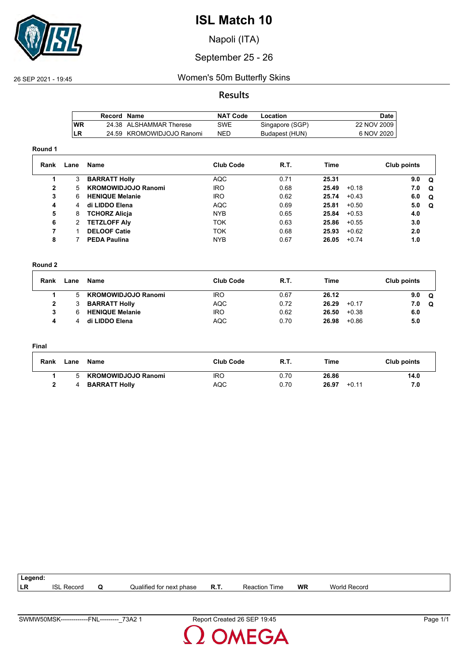

Napoli (ITA)

### September 25 - 26

#### 26 SEP 2021 - 19:45 Women's 50m Butterfly Skins

#### **Results**

|     | Record Name |                           | <b>NAT Code</b> | Location        | Date i      |
|-----|-------------|---------------------------|-----------------|-----------------|-------------|
| lWR |             | 24.38 ALSHAMMAR Therese   | SWE             | Singapore (SGP) | 22 NOV 2009 |
| LR  |             | 24.59 KROMOWIDJOJO Ranomi | NED             | Budapest (HUN)  | 6 NOV 2020  |

#### **Round 1**

| Rank         | Lane | Name                       | <b>Club Code</b> | R.T. | Time  |         | Club points |          |
|--------------|------|----------------------------|------------------|------|-------|---------|-------------|----------|
|              | 3    | <b>BARRATT Holly</b>       | AQC              | 0.71 | 25.31 |         | 9.0         | െ        |
| $\mathbf{2}$ | 5    | <b>KROMOWIDJOJO Ranomi</b> | <b>IRO</b>       | 0.68 | 25.49 | $+0.18$ | 7.0         | $\Omega$ |
| 3            | 6    | <b>HENIQUE Melanie</b>     | <b>IRO</b>       | 0.62 | 25.74 | $+0.43$ | 6.0         | Q        |
| 4            | 4    | di LIDDO Elena             | AQC              | 0.69 | 25.81 | $+0.50$ | 5.0         | Q        |
| 5            | 8    | <b>TCHORZ Alicia</b>       | NYB.             | 0.65 | 25.84 | $+0.53$ | 4.0         |          |
| 6            | 2    | <b>TETZLOFF Alv</b>        | <b>TOK</b>       | 0.63 | 25.86 | $+0.55$ | 3.0         |          |
|              |      | <b>DELOOF Catie</b>        | <b>TOK</b>       | 0.68 | 25.93 | $+0.62$ | 2.0         |          |
| 8            |      | <b>PEDA Paulina</b>        | <b>NYB</b>       | 0.67 | 26.05 | $+0.74$ | 1.0         |          |

#### **Round 2**

| Rank | Lane | Name                       | <b>Club Code</b> | <b>R.T.</b> | Time  |         | Club points |   |
|------|------|----------------------------|------------------|-------------|-------|---------|-------------|---|
|      | 5    | <b>KROMOWIDJOJO Ranomi</b> | <b>IRO</b>       | 0.67        | 26.12 |         | 9.0         | O |
| 2    |      | <b>BARRATT Holly</b>       | AQC              | 0.72        | 26.29 | $+0.17$ | 7.0         | O |
|      |      | <b>HENIQUE Melanie</b>     | <b>IRO</b>       | 0.62        | 26.50 | $+0.38$ | 6.0         |   |
| 4    |      | di LIDDO Elena             | <b>AQC</b>       | 0.70        | 26.98 | $+0.86$ | 5.0         |   |

#### **Final**

| Rank | Lane | Name                       | <b>Club Code</b> | <b>R.T.</b> | Time             | Club points |
|------|------|----------------------------|------------------|-------------|------------------|-------------|
|      |      | <b>KROMOWIDJOJO Ranomi</b> | <b>IRO</b>       | 0.70        | 26.86            | 14.0        |
|      |      | <b>BARRATT Holly</b>       | AQC              | 0.70        | 26.97<br>$+0.11$ | 7.0         |

| Legend: |                      |                          |      |                  |           |                     |  |
|---------|----------------------|--------------------------|------|------------------|-----------|---------------------|--|
| l LR    | <b>ISL</b><br>Record | Qualified for next phase | R.T. | Time<br>Reaction | <b>WR</b> | <b>World Record</b> |  |
|         |                      |                          |      |                  |           |                     |  |

**OMEGA**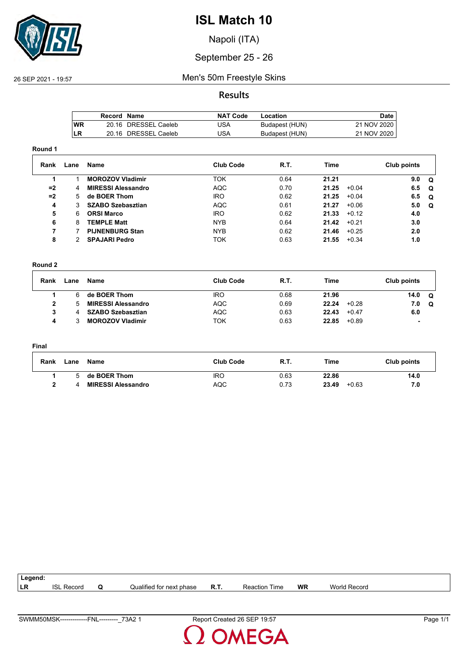

Napoli (ITA)

### September 25 - 26

#### 26 SEP 2021 - 19:57 Men's 50m Freestyle Skins

#### **Results**

|     | Record Name |                      | <b>NAT Code</b> | Location       | Date        |
|-----|-------------|----------------------|-----------------|----------------|-------------|
| lWR |             | 20.16 DRESSEL Caeleb | 'JSA            | Budapest (HUN) | 21 NOV 2020 |
| LR  |             | 20.16 DRESSEL Caeleb | 'JSA            | Budapest (HUN) | 21 NOV 2020 |

#### **Round 1**

| Rank | Lane | Name                      | <b>Club Code</b> | R.T. | Time  |         | Club points |          |
|------|------|---------------------------|------------------|------|-------|---------|-------------|----------|
|      |      | <b>MOROZOV Vladimir</b>   | <b>TOK</b>       | 0.64 | 21.21 |         | 9.0         | 0        |
| $=2$ | 4    | <b>MIRESSI Alessandro</b> | AQC              | 0.70 | 21.25 | $+0.04$ | 6.5         | . വ      |
| $=2$ | 5    | de BOER Thom              | <b>IRO</b>       | 0.62 | 21.25 | $+0.04$ | 6.5         | <b>Q</b> |
| 4    | 3    | <b>SZABO Szebasztian</b>  | <b>AQC</b>       | 0.61 | 21.27 | $+0.06$ | 5.0         | 0        |
| 5    | 6    | <b>ORSI Marco</b>         | <b>IRO</b>       | 0.62 | 21.33 | $+0.12$ | 4.0         |          |
| 6    | 8    | <b>TEMPLE Matt</b>        | <b>NYB</b>       | 0.64 | 21.42 | $+0.21$ | 3.0         |          |
|      |      | <b>PIJNENBURG Stan</b>    | <b>NYB</b>       | 0.62 | 21.46 | $+0.25$ | 2.0         |          |
| 8    |      | <b>SPAJARI Pedro</b>      | <b>TOK</b>       | 0.63 | 21.55 | $+0.34$ | 1.0         |          |

#### **Round 2**

| Rank | Lane | Name                      | <b>Club Code</b> | R.T. | Time  |         | Club points |   |
|------|------|---------------------------|------------------|------|-------|---------|-------------|---|
|      | 6    | de BOER Thom              | <b>IRO</b>       | 0.68 | 21.96 |         | 14.0        | Q |
|      |      | <b>MIRESSI Alessandro</b> | AQC              | 0.69 | 22.24 | $+0.28$ | 7.0         | Q |
|      |      | SZABO Szebasztian         | AQC              | 0.63 | 22.43 | $+0.47$ | 6.0         |   |
|      |      | <b>MOROZOV Vladimir</b>   | ток              | 0.63 | 22.85 | +0.89   |             |   |

#### **Final**

| Rank | Lane | Name                      | Club Code  | R.T. | Time             | Club points |
|------|------|---------------------------|------------|------|------------------|-------------|
|      |      | de BOER Thom              | <b>IRO</b> | 0.63 | 22.86            | 14.0        |
|      |      | <b>MIRESSI Alessandro</b> | AQC        | 0.73 | 23.49<br>$+0.63$ | 7.0         |

| Legend: |               |   |                          |      |                  |           |                     |  |
|---------|---------------|---|--------------------------|------|------------------|-----------|---------------------|--|
| LR      | ISL<br>Record | w | Qualified for next phase | R.T. | Time<br>Reaction | <b>WR</b> | <b>World Record</b> |  |
|         |               |   |                          |      |                  |           |                     |  |

**DMEGA**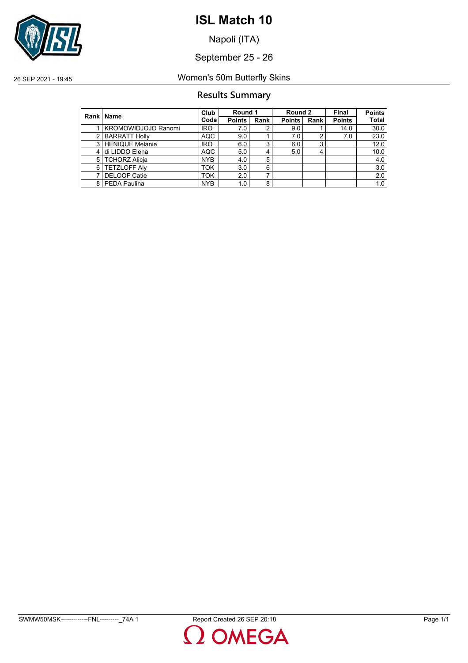

Napoli (ITA)

September 25 - 26

### 26 SEP 2021 - 19:45 Women's 50m Butterfly Skins

#### **Results Summary**

|   | Rank   Name            | Club       | Round 1       |             | Round 2       |      | Final         | <b>Points</b> |
|---|------------------------|------------|---------------|-------------|---------------|------|---------------|---------------|
|   |                        | Code       | <b>Points</b> | <b>Rank</b> | <b>Points</b> | Rank | <b>Points</b> | Total         |
|   | KROMOWIDJOJO Ranomi    | <b>IRO</b> | 7.0           | 2           | 9.0           |      | 14.0          | 30.0          |
| 2 | <b>BARRATT Holly</b>   | <b>AQC</b> | 9.0           |             | 7.0           | っ    | 7.0           | 23.0          |
| 3 | <b>HENIQUE Melanie</b> | <b>IRO</b> | 6.0           | 3           | 6.0           | 3    |               | 12.0          |
| 4 | di LIDDO Elena         | <b>AQC</b> | 5.0           | 4           | 5.0           |      |               | 10.0          |
| 5 | <b>TCHORZ Alicia</b>   | <b>NYB</b> | 4.0           | 5           |               |      |               | 4.0           |
| 6 | <b>TETZLOFF Alv</b>    | <b>TOK</b> | 3.0           | 6           |               |      |               | 3.0           |
|   | <b>DELOOF Catie</b>    | <b>TOK</b> | 2.0           | ⇁           |               |      |               | 2.0           |
| 8 | PEDA Paulina           | <b>NYB</b> | 1.0           | 8           |               |      |               | 1.0           |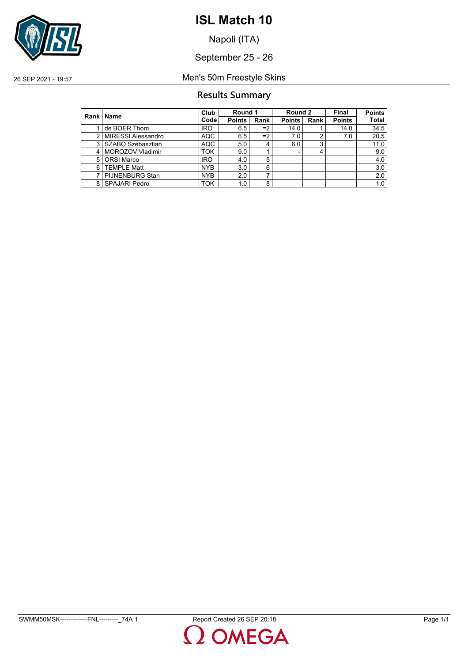

Napoli (ITA)

September 25 - 26

26 SEP 2021 - 19:57 Men's 50m Freestyle Skins

### **Results Summary**

|   | Rank   Name            | Club       | Round 1       |             | Round 2       |      | Final         | <b>Points</b> |
|---|------------------------|------------|---------------|-------------|---------------|------|---------------|---------------|
|   |                        | Code       | <b>Points</b> | <b>Rank</b> | <b>Points</b> | Rank | <b>Points</b> | <b>Total</b>  |
|   | de BOER Thom           | <b>IRO</b> | 6.5           | $=2$        | 14.0          |      | 14.0          | 34.5          |
| 2 | MIRESSI Alessandro     | <b>AQC</b> | 6.5           | $=2$        | 7.0           |      | 7.0           | 20.5          |
| 3 | l SZABO Szebasztian    | <b>AQC</b> | 5.0           | 4           | 6.0           | 3    |               | 11.0          |
| 4 | l MOROZOV Vladimir     | <b>TOK</b> | 9.0           |             |               |      |               | 9.0           |
| 5 | <b>ORSI Marco</b>      | <b>IRO</b> | 4.0           | 5           |               |      |               | 4.0           |
| 6 | <b>TEMPLE Matt</b>     | <b>NYB</b> | 3.0           | 6           |               |      |               | 3.0           |
|   | <b>PIJNENBURG Stan</b> | <b>NYB</b> | 2.0           | ⇁           |               |      |               | 2.0           |
| 8 | <b>SPAJARI Pedro</b>   | <b>TOK</b> | 1.0           | 8           |               |      |               | 1.0           |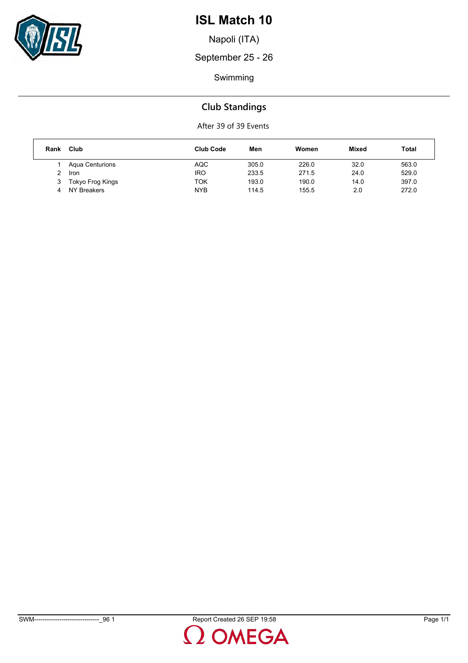

Napoli (ITA)

September 25 - 26

Swimming

## **Club Standings**

| Rank | Club                   | <b>Club Code</b> | Men   | Women | Mixed | Total |
|------|------------------------|------------------|-------|-------|-------|-------|
|      | <b>Agua Centurions</b> | <b>AQC</b>       | 305.0 | 226.0 | 32.0  | 563.0 |
|      | Iron                   | IRO              | 233.5 | 271.5 | 24.0  | 529.0 |
| 3    | Tokyo Frog Kings       | ток              | 193.0 | 190.0 | 14.0  | 397.0 |
| 4    | NY Breakers            | <b>NYB</b>       | 114.5 | 155.5 | 2.0   | 272.0 |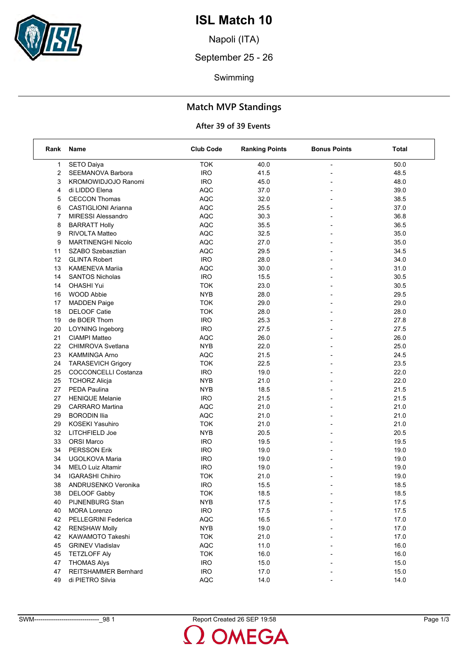

Napoli (ITA)

September 25 - 26

Swimming

### **Match MVP Standings**

| Rank | Name                        | <b>Club Code</b> | <b>Ranking Points</b> | <b>Bonus Points</b>      | Total |
|------|-----------------------------|------------------|-----------------------|--------------------------|-------|
| 1    | <b>SETO Daiya</b>           | <b>TOK</b>       | 40.0                  |                          | 50.0  |
| 2    | SEEMANOVA Barbora           | <b>IRO</b>       | 41.5                  |                          | 48.5  |
| 3    | <b>KROMOWIDJOJO Ranomi</b>  | <b>IRO</b>       | 45.0                  |                          | 48.0  |
| 4    | di LIDDO Elena              | <b>AQC</b>       | 37.0                  |                          | 39.0  |
| 5    | <b>CECCON Thomas</b>        | <b>AQC</b>       | 32.0                  | $\overline{\phantom{0}}$ | 38.5  |
| 6    | <b>CASTIGLIONI Arianna</b>  | <b>AQC</b>       | 25.5                  |                          | 37.0  |
| 7    | <b>MIRESSI Alessandro</b>   | <b>AQC</b>       | 30.3                  |                          | 36.8  |
| 8    | <b>BARRATT Holly</b>        | <b>AQC</b>       | 35.5                  |                          | 36.5  |
| 9    | <b>RIVOLTA Matteo</b>       | <b>AQC</b>       | 32.5                  |                          | 35.0  |
| 9    | <b>MARTINENGHI Nicolo</b>   | <b>AQC</b>       | 27.0                  |                          | 35.0  |
| 11   | SZABO Szebasztian           | <b>AQC</b>       | 29.5                  | $\overline{\phantom{0}}$ | 34.5  |
| 12   | <b>GLINTA Robert</b>        | <b>IRO</b>       | 28.0                  |                          | 34.0  |
| 13   | <b>KAMENEVA Marija</b>      | <b>AQC</b>       | 30.0                  |                          | 31.0  |
| 14   | <b>SANTOS Nicholas</b>      | <b>IRO</b>       | 15.5                  |                          | 30.5  |
| 14   | <b>OHASHI Yui</b>           | <b>TOK</b>       | 23.0                  |                          | 30.5  |
| 16   | <b>WOOD Abbie</b>           | <b>NYB</b>       | 28.0                  |                          | 29.5  |
| 17   | <b>MADDEN Paige</b>         | <b>TOK</b>       | 29.0                  | $\overline{\phantom{0}}$ | 29.0  |
| 18   | DELOOF Catie                | <b>TOK</b>       | 28.0                  |                          | 28.0  |
| 19   | de BOER Thom                | <b>IRO</b>       | 25.3                  |                          | 27.8  |
| 20   | LOYNING Ingeborg            | <b>IRO</b>       | 27.5                  |                          | 27.5  |
| 21   | <b>CIAMPI Matteo</b>        | <b>AQC</b>       | 26.0                  |                          | 26.0  |
| 22   | <b>CHIMROVA Svetlana</b>    | <b>NYB</b>       | 22.0                  |                          | 25.0  |
| 23   | <b>KAMMINGA Arno</b>        | <b>AQC</b>       | 21.5                  | $\overline{\phantom{0}}$ | 24.5  |
| 24   | <b>TARASEVICH Grigory</b>   | <b>TOK</b>       | 22.5                  |                          | 23.5  |
| 25   | <b>COCCONCELLI Costanza</b> | <b>IRO</b>       | 19.0                  |                          | 22.0  |
| 25   | <b>TCHORZ Alicja</b>        | <b>NYB</b>       | 21.0                  |                          | 22.0  |
| 27   | PEDA Paulina                | <b>NYB</b>       | 18.5                  |                          | 21.5  |
| 27   | <b>HENIQUE Melanie</b>      | <b>IRO</b>       | 21.5                  |                          | 21.5  |
| 29   | <b>CARRARO</b> Martina      | <b>AQC</b>       | 21.0                  | $\overline{\phantom{0}}$ | 21.0  |
| 29   | <b>BORODIN Ilia</b>         | <b>AQC</b>       | 21.0                  |                          | 21.0  |
| 29   | <b>KOSEKI Yasuhiro</b>      | <b>TOK</b>       | 21.0                  |                          | 21.0  |
| 32   | LITCHFIELD Joe              | <b>NYB</b>       | 20.5                  | $\overline{a}$           | 20.5  |
| 33   | <b>ORSI Marco</b>           | <b>IRO</b>       | 19.5                  |                          | 19.5  |
| 34   | <b>PERSSON Erik</b>         | <b>IRO</b>       | 19.0                  |                          | 19.0  |
| 34   | UGOLKOVA Maria              | <b>IRO</b>       | 19.0                  | $\overline{\phantom{0}}$ | 19.0  |
| 34   | <b>MELO Luiz Altamir</b>    | <b>IRO</b>       | 19.0                  |                          | 19.0  |
| 34   | <b>IGARASHI Chihiro</b>     | <b>TOK</b>       | 21.0                  |                          | 19.0  |
| 38   | ANDRUSENKO Veronika         | <b>IRO</b>       | 15.5                  |                          | 18.5  |
| 38   | DELOOF Gabby                | <b>TOK</b>       | 18.5                  |                          | 18.5  |
| 40   | PIJNENBURG Stan             | <b>NYB</b>       | 17.5                  |                          | 17.5  |
| 40   | <b>MORA Lorenzo</b>         | <b>IRO</b>       | 17.5                  |                          | 17.5  |
| 42   | PELLEGRINI Federica         | AQC              | 16.5                  |                          | 17.0  |
| 42   | <b>RENSHAW Molly</b>        | <b>NYB</b>       | 19.0                  |                          | 17.0  |
| 42   | KAWAMOTO Takeshi            | <b>TOK</b>       | 21.0                  |                          | 17.0  |
| 45   | <b>GRINEV Vladislav</b>     | AQC              | 11.0                  |                          | 16.0  |
| 45   | <b>TETZLOFF Aly</b>         | <b>TOK</b>       | 16.0                  |                          | 16.0  |
| 47   | <b>THOMAS Alys</b>          | <b>IRO</b>       | 15.0                  |                          | 15.0  |
| 47   | REITSHAMMER Bernhard        | <b>IRO</b>       | 17.0                  |                          | 15.0  |
| 49   | di PIETRO Silvia            | AQC              | 14.0                  |                          | 14.0  |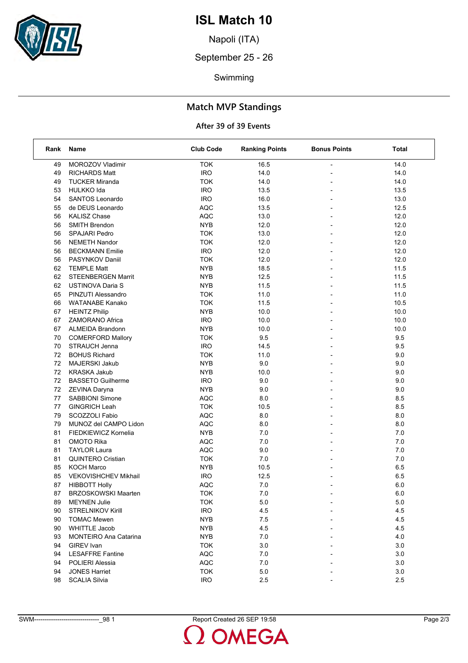

Napoli (ITA)

September 25 - 26

Swimming

### **Match MVP Standings**

| Rank | Name                         | <b>Club Code</b> | <b>Ranking Points</b> | <b>Bonus Points</b>      | Total   |
|------|------------------------------|------------------|-----------------------|--------------------------|---------|
| 49   | MOROZOV Vladimir             | <b>TOK</b>       | 16.5                  |                          | 14.0    |
| 49   | <b>RICHARDS Matt</b>         | <b>IRO</b>       | 14.0                  |                          | 14.0    |
| 49   | <b>TUCKER Miranda</b>        | <b>TOK</b>       | 14.0                  |                          | 14.0    |
| 53   | <b>HULKKO</b> Ida            | <b>IRO</b>       | 13.5                  | $\overline{\phantom{0}}$ | 13.5    |
| 54   | <b>SANTOS Leonardo</b>       | <b>IRO</b>       | 16.0                  |                          | 13.0    |
| 55   | de DEUS Leonardo             | <b>AQC</b>       | 13.5                  |                          | 12.5    |
| 56   | <b>KALISZ Chase</b>          | AQC              | 13.0                  |                          | 12.0    |
| 56   | SMITH Brendon                | <b>NYB</b>       | 12.0                  |                          | 12.0    |
| 56   | SPAJARI Pedro                | <b>TOK</b>       | 13.0                  |                          | 12.0    |
| 56   | <b>NEMETH Nandor</b>         | <b>TOK</b>       | 12.0                  |                          | 12.0    |
| 56   | <b>BECKMANN Emilie</b>       | <b>IRO</b>       | 12.0                  |                          | 12.0    |
| 56   | PASYNKOV Daniil              | <b>TOK</b>       | 12.0                  |                          | 12.0    |
| 62   | <b>TEMPLE Matt</b>           | <b>NYB</b>       | 18.5                  |                          | 11.5    |
| 62   | <b>STEENBERGEN Marrit</b>    | <b>NYB</b>       | 12.5                  |                          | 11.5    |
| 62   | USTINOVA Daria S             | <b>NYB</b>       | 11.5                  |                          | 11.5    |
| 65   | PINZUTI Alessandro           | <b>TOK</b>       | 11.0                  |                          | 11.0    |
| 66   | <b>WATANABE Kanako</b>       | <b>TOK</b>       | 11.5                  |                          | 10.5    |
| 67   | <b>HEINTZ Philip</b>         | <b>NYB</b>       | 10.0                  |                          | 10.0    |
| 67   | <b>ZAMORANO Africa</b>       | <b>IRO</b>       | 10.0                  |                          | 10.0    |
| 67   | <b>ALMEIDA Brandonn</b>      | <b>NYB</b>       | 10.0                  |                          | 10.0    |
| 70   | <b>COMERFORD Mallory</b>     | <b>TOK</b>       | 9.5                   |                          | 9.5     |
| 70   | STRAUCH Jenna                | <b>IRO</b>       | 14.5                  |                          | 9.5     |
| 72   | <b>BOHUS Richard</b>         | <b>TOK</b>       | 11.0                  |                          | 9.0     |
| 72   | MAJERSKI Jakub               | <b>NYB</b>       | 9.0                   |                          | 9.0     |
| 72   | <b>KRASKA Jakub</b>          | <b>NYB</b>       | 10.0                  |                          | 9.0     |
| 72   | <b>BASSETO Guilherme</b>     | <b>IRO</b>       | 9.0                   |                          | 9.0     |
| 72   | ZEVINA Daryna                | <b>NYB</b>       | 9.0                   |                          | 9.0     |
| 77   | <b>SABBIONI Simone</b>       | <b>AQC</b>       | 8.0                   |                          | 8.5     |
| 77   | <b>GINGRICH Leah</b>         | <b>TOK</b>       | 10.5                  |                          | 8.5     |
| 79   | <b>SCOZZOLI Fabio</b>        | <b>AQC</b>       | 8.0                   |                          | 8.0     |
| 79   | MUNOZ del CAMPO Lidon        | AQC              | 8.0                   |                          | 8.0     |
| 81   | FIEDKIEWICZ Kornelia         | <b>NYB</b>       | 7.0                   |                          | 7.0     |
| 81   | OMOTO Rika                   | <b>AQC</b>       | 7.0                   |                          | 7.0     |
| 81   | <b>TAYLOR Laura</b>          | <b>AQC</b>       | 9.0                   |                          | 7.0     |
| 81   | <b>QUINTERO Cristian</b>     | <b>TOK</b>       | 7.0                   |                          | 7.0     |
| 85   | <b>KOCH Marco</b>            | <b>NYB</b>       | 10.5                  |                          | 6.5     |
| 85   | <b>VEKOVISHCHEV Mikhail</b>  | <b>IRO</b>       | 12.5                  |                          | 6.5     |
| 87   | <b>HIBBOTT Holly</b>         | <b>AQC</b>       | 7.0                   |                          | 6.0     |
| 87   | BRZOSKOWSKI Maarten          | TOK              | $7.0\,$               |                          | $6.0\,$ |
| 89   | <b>MEYNEN Julie</b>          | <b>TOK</b>       | 5.0                   |                          | 5.0     |
| 90   | <b>STRELNIKOV Kirill</b>     | <b>IRO</b>       | 4.5                   |                          | 4.5     |
| 90   | <b>TOMAC Mewen</b>           | <b>NYB</b>       | 7.5                   |                          | 4.5     |
| 90   | <b>WHITTLE Jacob</b>         | <b>NYB</b>       | 4.5                   |                          | 4.5     |
| 93   | <b>MONTEIRO Ana Catarina</b> | <b>NYB</b>       | 7.0                   |                          | 4.0     |
| 94   | GIREV Ivan                   | <b>TOK</b>       | 3.0                   |                          | 3.0     |
| 94   | <b>LESAFFRE Fantine</b>      | <b>AQC</b>       | 7.0                   |                          | 3.0     |
| 94   | POLIERI Alessia              | AQC              | 7.0                   |                          | 3.0     |
| 94   | <b>JONES Harriet</b>         | <b>TOK</b>       | 5.0                   |                          | 3.0     |
| 98   | <b>SCALIA Silvia</b>         | <b>IRO</b>       | 2.5                   |                          | 2.5     |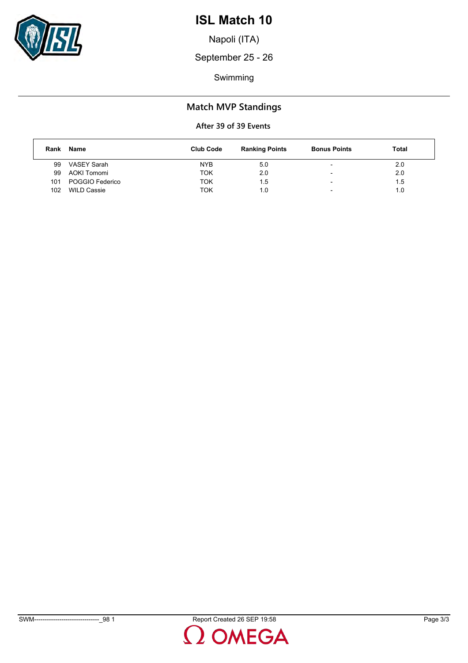

Napoli (ITA)

September 25 - 26

Swimming

### **Match MVP Standings**

| Rank | Name               | <b>Club Code</b> | <b>Ranking Points</b> | <b>Bonus Points</b>      | Total |
|------|--------------------|------------------|-----------------------|--------------------------|-------|
| 99   | VASEY Sarah        | <b>NYB</b>       | 5.0                   | $\overline{\phantom{0}}$ | 2.0   |
| 99   | AOKI Tomomi        | TOK              | 2.0                   | $\overline{\phantom{0}}$ | 2.0   |
| 101  | POGGIO Federico    | ток              | 1.5                   | $\overline{\phantom{0}}$ | 1.5   |
| 102  | <b>WILD Cassie</b> | TOK              | 1.0                   | $\overline{\phantom{0}}$ | 1.0   |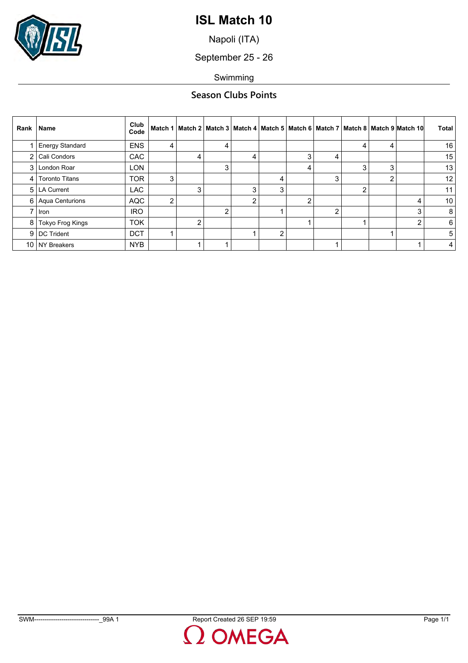

Napoli (ITA)

September 25 - 26

Swimming

## **Season Clubs Points**

| Rank | Name                   | Club<br>Code |   |   |               |   |   |               |   |   |               | Match 1   Match 2   Match 3   Match 4   Match 5   Match 6   Match 7   Match 8   Match 9   Match 10 | <b>Total</b> |
|------|------------------------|--------------|---|---|---------------|---|---|---------------|---|---|---------------|----------------------------------------------------------------------------------------------------|--------------|
|      | <b>Energy Standard</b> | <b>ENS</b>   | 4 |   | 4             |   |   |               |   | 4 | 4             |                                                                                                    | 16           |
| 21   | Cali Condors           | <b>CAC</b>   |   | 4 |               | 4 |   | 3             | 4 |   |               |                                                                                                    | 15           |
|      | 3 London Roar          | <b>LON</b>   |   |   | 3             |   |   | 4             |   | 3 | 3             |                                                                                                    | 13           |
| 4 I  | <b>Toronto Titans</b>  | <b>TOR</b>   | 3 |   |               |   |   |               | 3 |   | $\mathcal{P}$ |                                                                                                    | 12           |
|      | 5   LA Current         | LAC.         |   | 3 |               | 3 | 3 |               |   | ◠ |               |                                                                                                    | 11           |
|      | 6   Aqua Centurions    | <b>AQC</b>   | 2 |   |               | ◠ |   | $\mathcal{P}$ |   |   |               | 4                                                                                                  | 10           |
|      | <b>Iron</b>            | <b>IRO</b>   |   |   | $\mathcal{P}$ |   |   |               | ◠ |   |               | ົ                                                                                                  | 8            |
| 81   | Tokyo Frog Kings       | <b>TOK</b>   |   | ⌒ |               |   |   |               |   |   |               | ◠                                                                                                  | 6            |
|      | 9 DC Trident           | <b>DCT</b>   |   |   |               |   | ⌒ |               |   |   |               |                                                                                                    | 5            |
|      | 10 NY Breakers         | <b>NYB</b>   |   |   |               |   |   |               |   |   |               |                                                                                                    | 4            |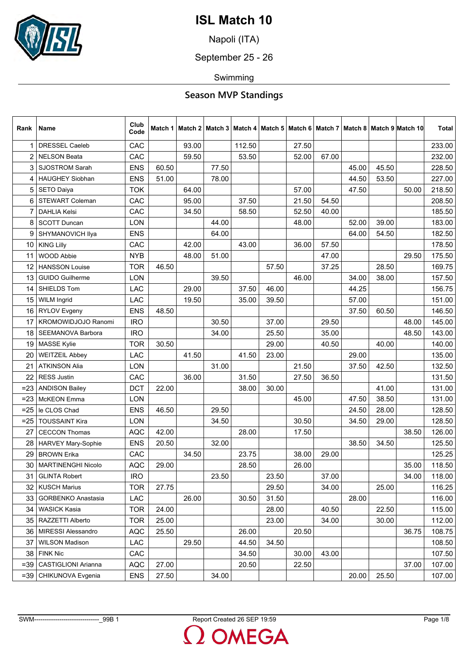

Napoli (ITA)

September 25 - 26

Swimming

| Rank            | Name                       | Club<br>Code | Match 1 |       |       |        |       |       |       |       |       | Match 2   Match 3   Match 4   Match 5   Match 6   Match 7   Match 8   Match 9   Match 10 | <b>Total</b> |
|-----------------|----------------------------|--------------|---------|-------|-------|--------|-------|-------|-------|-------|-------|------------------------------------------------------------------------------------------|--------------|
| 1               | <b>DRESSEL Caeleb</b>      | CAC          |         | 93.00 |       | 112.50 |       | 27.50 |       |       |       |                                                                                          | 233.00       |
| $\overline{2}$  | <b>NELSON Beata</b>        | CAC          |         | 59.50 |       | 53.50  |       | 52.00 | 67.00 |       |       |                                                                                          | 232.00       |
|                 | 3   SJOSTROM Sarah         | <b>ENS</b>   | 60.50   |       | 77.50 |        |       |       |       | 45.00 | 45.50 |                                                                                          | 228.50       |
| 4               | HAUGHEY Siobhan            | <b>ENS</b>   | 51.00   |       | 78.00 |        |       |       |       | 44.50 | 53.50 |                                                                                          | 227.00       |
|                 | 5 SETO Daiya               | <b>TOK</b>   |         | 64.00 |       |        |       | 57.00 |       | 47.50 |       | 50.00                                                                                    | 218.50       |
|                 | 6 STEWART Coleman          | CAC          |         | 95.00 |       | 37.50  |       | 21.50 | 54.50 |       |       |                                                                                          | 208.50       |
| 7               | <b>DAHLIA Kelsi</b>        | CAC          |         | 34.50 |       | 58.50  |       | 52.50 | 40.00 |       |       |                                                                                          | 185.50       |
| 8               | <b>SCOTT Duncan</b>        | <b>LON</b>   |         |       | 44.00 |        |       | 48.00 |       | 52.00 | 39.00 |                                                                                          | 183.00       |
|                 | 9 SHYMANOVICH Ilya         | <b>ENS</b>   |         |       | 64.00 |        |       |       |       | 64.00 | 54.50 |                                                                                          | 182.50       |
| 10              | <b>KING Lilly</b>          | CAC          |         | 42.00 |       | 43.00  |       | 36.00 | 57.50 |       |       |                                                                                          | 178.50       |
| 11              | <b>WOOD Abbie</b>          | <b>NYB</b>   |         | 48.00 | 51.00 |        |       |       | 47.00 |       |       | 29.50                                                                                    | 175.50       |
| 12 <sup>2</sup> | <b>HANSSON Louise</b>      | <b>TOR</b>   | 46.50   |       |       |        | 57.50 |       | 37.25 |       | 28.50 |                                                                                          | 169.75       |
| 13              | <b>GUIDO Guilherme</b>     | LON          |         |       | 39.50 |        |       | 46.00 |       | 34.00 | 38.00 |                                                                                          | 157.50       |
| 14              | SHIELDS Tom                | LAC          |         | 29.00 |       | 37.50  | 46.00 |       |       | 44.25 |       |                                                                                          | 156.75       |
|                 | 15 WILM Ingrid             | LAC          |         | 19.50 |       | 35.00  | 39.50 |       |       | 57.00 |       |                                                                                          | 151.00       |
|                 | 16 RYLOV Evgeny            | <b>ENS</b>   | 48.50   |       |       |        |       |       |       | 37.50 | 60.50 |                                                                                          | 146.50       |
| 17              | <b>KROMOWIDJOJO Ranomi</b> | <b>IRO</b>   |         |       | 30.50 |        | 37.00 |       | 29.50 |       |       | 48.00                                                                                    | 145.00       |
|                 | 18   SEEMANOVA Barbora     | <b>IRO</b>   |         |       | 34.00 |        | 25.50 |       | 35.00 |       |       | 48.50                                                                                    | 143.00       |
| 19              | MASSE Kylie                | <b>TOR</b>   | 30.50   |       |       |        | 29.00 |       | 40.50 |       | 40.00 |                                                                                          | 140.00       |
| 20              | <b>WEITZEIL Abbey</b>      | LAC          |         | 41.50 |       | 41.50  | 23.00 |       |       | 29.00 |       |                                                                                          | 135.00       |
| 21              | <b>ATKINSON Alia</b>       | LON          |         |       | 31.00 |        |       | 21.50 |       | 37.50 | 42.50 |                                                                                          | 132.50       |
| 22              | <b>RESS Justin</b>         | CAC          |         | 36.00 |       | 31.50  |       | 27.50 | 36.50 |       |       |                                                                                          | 131.50       |
| $= 23$          | <b>ANDISON Bailey</b>      | <b>DCT</b>   | 22.00   |       |       | 38.00  | 30.00 |       |       |       | 41.00 |                                                                                          | 131.00       |
| $= 23$          | McKEON Emma                | <b>LON</b>   |         |       |       |        |       | 45.00 |       | 47.50 | 38.50 |                                                                                          | 131.00       |
| $= 25$          | le CLOS Chad               | <b>ENS</b>   | 46.50   |       | 29.50 |        |       |       |       | 24.50 | 28.00 |                                                                                          | 128.50       |
| $= 25$          | <b>TOUSSAINT Kira</b>      | <b>LON</b>   |         |       | 34.50 |        |       | 30.50 |       | 34.50 | 29.00 |                                                                                          | 128.50       |
| 27              | <b>CECCON Thomas</b>       | <b>AQC</b>   | 42.00   |       |       | 28.00  |       | 17.50 |       |       |       | 38.50                                                                                    | 126.00       |
| 28              | <b>HARVEY Mary-Sophie</b>  | <b>ENS</b>   | 20.50   |       | 32.00 |        |       |       |       | 38.50 | 34.50 |                                                                                          | 125.50       |
| 29              | <b>BROWN Erika</b>         | CAC          |         | 34.50 |       | 23.75  |       | 38.00 | 29.00 |       |       |                                                                                          | 125.25       |
|                 | 30   MARTINENGHI Nicolo    | AQC          | 29.00   |       |       | 28.50  |       | 26.00 |       |       |       | 35.00                                                                                    | 118.50       |
| 31              | <b>GLINTA Robert</b>       | <b>IRO</b>   |         |       | 23.50 |        | 23.50 |       | 37.00 |       |       | 34.00                                                                                    | 118.00       |
|                 | 32   KUSCH Marius          | <b>TOR</b>   | 27.75   |       |       |        | 29.50 |       | 34.00 |       | 25.00 |                                                                                          | 116.25       |
|                 | 33 GORBENKO Anastasia      | LAC          |         | 26.00 |       | 30.50  | 31.50 |       |       | 28.00 |       |                                                                                          | 116.00       |
|                 | 34   WASICK Kasia          | <b>TOR</b>   | 24.00   |       |       |        | 28.00 |       | 40.50 |       | 22.50 |                                                                                          | 115.00       |
|                 | 35   RAZZETTI Alberto      | <b>TOR</b>   | 25.00   |       |       |        | 23.00 |       | 34.00 |       | 30.00 |                                                                                          | 112.00       |
|                 | 36   MIRESSI Alessandro    | <b>AQC</b>   | 25.50   |       |       | 26.00  |       | 20.50 |       |       |       | 36.75                                                                                    | 108.75       |
| 37              | <b>WILSON Madison</b>      | <b>LAC</b>   |         | 29.50 |       | 44.50  | 34.50 |       |       |       |       |                                                                                          | 108.50       |
|                 | 38 FINK Nic                | CAC          |         |       |       | 34.50  |       | 30.00 | 43.00 |       |       |                                                                                          | 107.50       |
|                 | =39 CASTIGLIONI Arianna    | <b>AQC</b>   | 27.00   |       |       | 20.50  |       | 22.50 |       |       |       | 37.00                                                                                    | 107.00       |
| $= 39$          | CHIKUNOVA Evgenia          | <b>ENS</b>   | 27.50   |       | 34.00 |        |       |       |       | 20.00 | 25.50 |                                                                                          | 107.00       |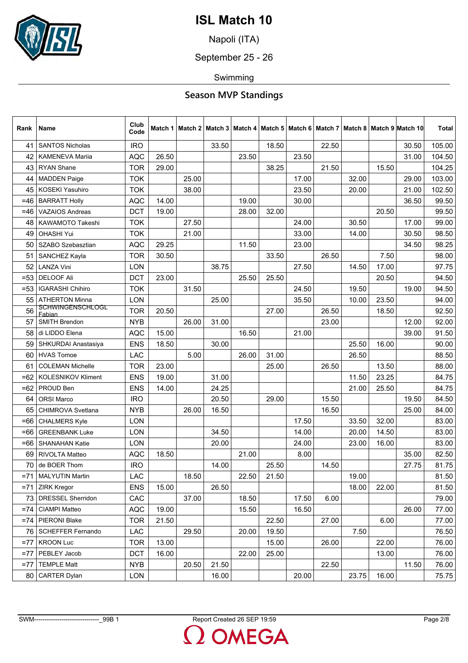

Napoli (ITA)

September 25 - 26

Swimming

| Rank   | Name                              | Club<br>Code | Match 1 |       |       |       |       |       |       |       |       | Match 2   Match 3   Match 4   Match 5   Match 6   Match 7   Match 8   Match 9  Match 10 | <b>Total</b> |
|--------|-----------------------------------|--------------|---------|-------|-------|-------|-------|-------|-------|-------|-------|-----------------------------------------------------------------------------------------|--------------|
| 41     | <b>SANTOS Nicholas</b>            | <b>IRO</b>   |         |       | 33.50 |       | 18.50 |       | 22.50 |       |       | 30.50                                                                                   | 105.00       |
| 42     | <b>KAMENEVA Mariia</b>            | <b>AQC</b>   | 26.50   |       |       | 23.50 |       | 23.50 |       |       |       | 31.00                                                                                   | 104.50       |
|        | 43 RYAN Shane                     | <b>TOR</b>   | 29.00   |       |       |       | 38.25 |       | 21.50 |       | 15.50 |                                                                                         | 104.25       |
| 44     | <b>MADDEN Paige</b>               | <b>TOK</b>   |         | 25.00 |       |       |       | 17.00 |       | 32.00 |       | 29.00                                                                                   | 103.00       |
| 45     | <b>KOSEKI Yasuhiro</b>            | <b>TOK</b>   |         | 38.00 |       |       |       | 23.50 |       | 20.00 |       | 21.00                                                                                   | 102.50       |
|        | $=46$ BARRATT Holly               | <b>AQC</b>   | 14.00   |       |       | 19.00 |       | 30.00 |       |       |       | 36.50                                                                                   | 99.50        |
| =46    | <b>VAZAIOS Andreas</b>            | <b>DCT</b>   | 19.00   |       |       | 28.00 | 32.00 |       |       |       | 20.50 |                                                                                         | 99.50        |
| 48     | <b>KAWAMOTO Takeshi</b>           | <b>TOK</b>   |         | 27.50 |       |       |       | 24.00 |       | 30.50 |       | 17.00                                                                                   | 99.00        |
| 49     | <b>OHASHI Yui</b>                 | <b>TOK</b>   |         | 21.00 |       |       |       | 33.00 |       | 14.00 |       | 30.50                                                                                   | 98.50        |
| 50     | SZABO Szebasztian                 | <b>AQC</b>   | 29.25   |       |       | 11.50 |       | 23.00 |       |       |       | 34.50                                                                                   | 98.25        |
| 51     | SANCHEZ Kayla                     | <b>TOR</b>   | 30.50   |       |       |       | 33.50 |       | 26.50 |       | 7.50  |                                                                                         | 98.00        |
| 52     | <b>LANZA Vini</b>                 | <b>LON</b>   |         |       | 38.75 |       |       | 27.50 |       | 14.50 | 17.00 |                                                                                         | 97.75        |
| $= 53$ | <b>DELOOF Ali</b>                 | <b>DCT</b>   | 23.00   |       |       | 25.50 | 25.50 |       |       |       | 20.50 |                                                                                         | 94.50        |
| $= 53$ | <b>IGARASHI Chihiro</b>           | <b>TOK</b>   |         | 31.50 |       |       |       | 24.50 |       | 19.50 |       | 19.00                                                                                   | 94.50        |
|        | 55 ATHERTON Minna                 | <b>LON</b>   |         |       | 25.00 |       |       | 35.50 |       | 10.00 | 23.50 |                                                                                         | 94.00        |
| 56     | <b>SCHWINGENSCHLOGL</b><br>Fabian | <b>TOR</b>   | 20.50   |       |       |       | 27.00 |       | 26.50 |       | 18.50 |                                                                                         | 92.50        |
| 57     | <b>SMITH Brendon</b>              | <b>NYB</b>   |         | 26.00 | 31.00 |       |       |       | 23.00 |       |       | 12.00                                                                                   | 92.00        |
|        | 58 di LIDDO Elena                 | <b>AQC</b>   | 15.00   |       |       | 16.50 |       | 21.00 |       |       |       | 39.00                                                                                   | 91.50        |
| 59     | SHKURDAI Anastasiya               | <b>ENS</b>   | 18.50   |       | 30.00 |       |       |       |       | 25.50 | 16.00 |                                                                                         | 90.00        |
| 60     | <b>HVAS Tomoe</b>                 | <b>LAC</b>   |         | 5.00  |       | 26.00 | 31.00 |       |       | 26.50 |       |                                                                                         | 88.50        |
| 61     | <b>COLEMAN Michelle</b>           | <b>TOR</b>   | 23.00   |       |       |       | 25.00 |       | 26.50 |       | 13.50 |                                                                                         | 88.00        |
| =62    | <b>KOLESNIKOV Kliment</b>         | <b>ENS</b>   | 19.00   |       | 31.00 |       |       |       |       | 11.50 | 23.25 |                                                                                         | 84.75        |
| $=62$  | PROUD Ben                         | <b>ENS</b>   | 14.00   |       | 24.25 |       |       |       |       | 21.00 | 25.50 |                                                                                         | 84.75        |
| 64     | <b>ORSI Marco</b>                 | <b>IRO</b>   |         |       | 20.50 |       | 29.00 |       | 15.50 |       |       | 19.50                                                                                   | 84.50        |
| 65     | <b>CHIMROVA Svetlana</b>          | <b>NYB</b>   |         | 26.00 | 16.50 |       |       |       | 16.50 |       |       | 25.00                                                                                   | 84.00        |
| $=66$  | <b>CHALMERS Kyle</b>              | <b>LON</b>   |         |       |       |       |       | 17.50 |       | 33.50 | 32.00 |                                                                                         | 83.00        |
| $=66$  | <b>GREENBANK Luke</b>             | <b>LON</b>   |         |       | 34.50 |       |       | 14.00 |       | 20.00 | 14.50 |                                                                                         | 83.00        |
| =66    | <b>SHANAHAN Katie</b>             | <b>LON</b>   |         |       | 20.00 |       |       | 24.00 |       | 23.00 | 16.00 |                                                                                         | 83.00        |
|        | 69   RIVOLTA Matteo               | <b>AQC</b>   | 18.50   |       |       | 21.00 |       | 8.00  |       |       |       | 35.00                                                                                   | 82.50        |
|        | 70 de BOER Thom                   | <b>IRO</b>   |         |       | 14.00 |       | 25.50 |       | 14.50 |       |       | 27.75                                                                                   | 81.75        |
|        | =71   MALYUTIN Martin             | <b>LAC</b>   |         | 18.50 |       | 22.50 | 21.50 |       |       | 19.00 |       |                                                                                         | 81.50        |
|        | $=71$ ZIRK Kregor                 | <b>ENS</b>   | 15.00   |       | 26.50 |       |       |       |       | 18.00 | 22.00 |                                                                                         | 81.50        |
|        | 73   DRESSEL Sherridon            | CAC          |         | 37.00 |       | 18.50 |       | 17.50 | 6.00  |       |       |                                                                                         | 79.00        |
| =74    | <b>CIAMPI Matteo</b>              | <b>AQC</b>   | 19.00   |       |       | 15.50 |       | 16.50 |       |       |       | 26.00                                                                                   | 77.00        |
|        | =74   PIERONI Blake               | <b>TOR</b>   | 21.50   |       |       |       | 22.50 |       | 27.00 |       | 6.00  |                                                                                         | 77.00        |
|        | 76   SCHEFFER Fernando            | <b>LAC</b>   |         | 29.50 |       | 20.00 | 19.50 |       |       | 7.50  |       |                                                                                         | 76.50        |
| $= 77$ | <b>KROON Luc</b>                  | <b>TOR</b>   | 13.00   |       |       |       | 15.00 |       | 26.00 |       | 22.00 |                                                                                         | 76.00        |
| $= 77$ | PEBLEY Jacob                      | <b>DCT</b>   | 16.00   |       |       | 22.00 | 25.00 |       |       |       | 13.00 |                                                                                         | 76.00        |
| $= 77$ | <b>TEMPLE Matt</b>                | <b>NYB</b>   |         | 20.50 | 21.50 |       |       |       | 22.50 |       |       | 11.50                                                                                   | 76.00        |
| 80     | <b>CARTER Dylan</b>               | <b>LON</b>   |         |       | 16.00 |       |       | 20.00 |       | 23.75 | 16.00 |                                                                                         | 75.75        |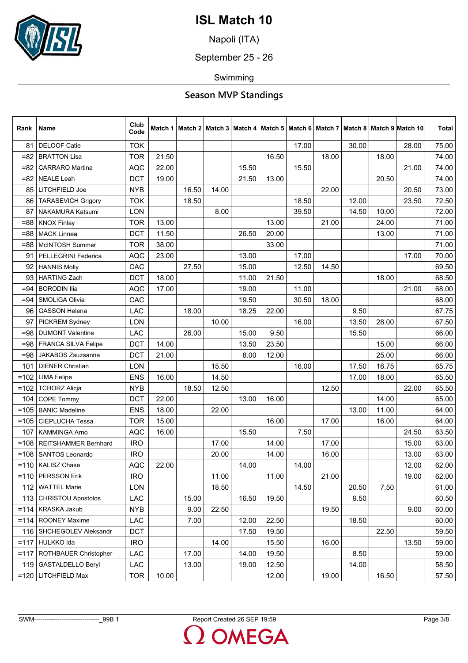

Napoli (ITA)

September 25 - 26

Swimming

| Rank   | Name                        | Club<br>Code |       |       |       |       |       |       |       |       |       | Match 1   Match 2   Match 3   Match 4   Match 5   Match 6   Match 7   Match 8   Match 9   Match 10 | <b>Total</b> |
|--------|-----------------------------|--------------|-------|-------|-------|-------|-------|-------|-------|-------|-------|----------------------------------------------------------------------------------------------------|--------------|
| 81     | <b>DELOOF Catie</b>         | <b>TOK</b>   |       |       |       |       |       | 17.00 |       | 30.00 |       | 28.00                                                                                              | 75.00        |
| $= 82$ | <b>BRATTON Lisa</b>         | <b>TOR</b>   | 21.50 |       |       |       | 16.50 |       | 18.00 |       | 18.00 |                                                                                                    | 74.00        |
| $= 82$ | <b>CARRARO</b> Martina      | <b>AQC</b>   | 22.00 |       |       | 15.50 |       | 15.50 |       |       |       | 21.00                                                                                              | 74.00        |
| $= 82$ | <b>NEALE Leah</b>           | <b>DCT</b>   | 19.00 |       |       | 21.50 | 13.00 |       |       |       | 20.50 |                                                                                                    | 74.00        |
| 85     | LITCHFIELD Joe              | <b>NYB</b>   |       | 16.50 | 14.00 |       |       |       | 22.00 |       |       | 20.50                                                                                              | 73.00        |
| 86     | <b>TARASEVICH Grigory</b>   | <b>TOK</b>   |       | 18.50 |       |       |       | 18.50 |       | 12.00 |       | 23.50                                                                                              | 72.50        |
| 87     | <b>NAKAMURA Katsumi</b>     | <b>LON</b>   |       |       | 8.00  |       |       | 39.50 |       | 14.50 | 10.00 |                                                                                                    | 72.00        |
| $= 88$ | <b>KNOX Finlay</b>          | <b>TOR</b>   | 13.00 |       |       |       | 13.00 |       | 21.00 |       | 24.00 |                                                                                                    | 71.00        |
| $= 88$ | <b>MACK Linnea</b>          | <b>DCT</b>   | 11.50 |       |       | 26.50 | 20.00 |       |       |       | 13.00 |                                                                                                    | 71.00        |
| =88    | McINTOSH Summer             | <b>TOR</b>   | 38.00 |       |       |       | 33.00 |       |       |       |       |                                                                                                    | 71.00        |
| 91     | PELLEGRINI Federica         | <b>AQC</b>   | 23.00 |       |       | 13.00 |       | 17.00 |       |       |       | 17.00                                                                                              | 70.00        |
| 92     | <b>HANNIS Molly</b>         | CAC          |       | 27.50 |       | 15.00 |       | 12.50 | 14.50 |       |       |                                                                                                    | 69.50        |
| 93     | <b>HARTING Zach</b>         | <b>DCT</b>   | 18.00 |       |       | 11.00 | 21.50 |       |       |       | 18.00 |                                                                                                    | 68.50        |
| $= 94$ | <b>BORODIN Ilia</b>         | <b>AQC</b>   | 17.00 |       |       | 19.00 |       | 11.00 |       |       |       | 21.00                                                                                              | 68.00        |
| $= 94$ | SMOLIGA Olivia              | CAC          |       |       |       | 19.50 |       | 30.50 | 18.00 |       |       |                                                                                                    | 68.00        |
| 96     | <b>GASSON Helena</b>        | LAC          |       | 18.00 |       | 18.25 | 22.00 |       |       | 9.50  |       |                                                                                                    | 67.75        |
| 97     | PICKREM Sydney              | <b>LON</b>   |       |       | 10.00 |       |       | 16.00 |       | 13.50 | 28.00 |                                                                                                    | 67.50        |
| $= 98$ | <b>DUMONT Valentine</b>     | LAC          |       | 26.00 |       | 15.00 | 9.50  |       |       | 15.50 |       |                                                                                                    | 66.00        |
| =98    | <b>FRANCA SILVA Felipe</b>  | <b>DCT</b>   | 14.00 |       |       | 13.50 | 23.50 |       |       |       | 15.00 |                                                                                                    | 66.00        |
| $= 98$ | JAKABOS Zsuzsanna           | <b>DCT</b>   | 21.00 |       |       | 8.00  | 12.00 |       |       |       | 25.00 |                                                                                                    | 66.00        |
| 101    | <b>DIENER Christian</b>     | LON          |       |       | 15.50 |       |       | 16.00 |       | 17.50 | 16.75 |                                                                                                    | 65.75        |
| $=102$ | <b>LIMA Felipe</b>          | <b>ENS</b>   | 16.00 |       | 14.50 |       |       |       |       | 17.00 | 18.00 |                                                                                                    | 65.50        |
| $=102$ | <b>TCHORZ Alicja</b>        | <b>NYB</b>   |       | 18.50 | 12.50 |       |       |       | 12.50 |       |       | 22.00                                                                                              | 65.50        |
| 104    | <b>COPE Tommy</b>           | <b>DCT</b>   | 22.00 |       |       | 13.00 | 16.00 |       |       |       | 14.00 |                                                                                                    | 65.00        |
| $=105$ | <b>BANIC Madeline</b>       | <b>ENS</b>   | 18.00 |       | 22.00 |       |       |       |       | 13.00 | 11.00 |                                                                                                    | 64.00        |
| $=105$ | <b>CIEPLUCHA Tessa</b>      | <b>TOR</b>   | 15.00 |       |       |       | 16.00 |       | 17.00 |       | 16.00 |                                                                                                    | 64.00        |
| 107    | <b>KAMMINGA Arno</b>        | <b>AQC</b>   | 16.00 |       |       | 15.50 |       | 7.50  |       |       |       | 24.50                                                                                              | 63.50        |
| $=108$ | <b>REITSHAMMER Bernhard</b> | <b>IRO</b>   |       |       | 17.00 |       | 14.00 |       | 17.00 |       |       | 15.00                                                                                              | 63.00        |
| $=108$ | <b>SANTOS Leonardo</b>      | <b>IRO</b>   |       |       | 20.00 |       | 14.00 |       | 16.00 |       |       | 13.00                                                                                              | 63.00        |
|        | $=110$ KALISZ Chase         | <b>AQC</b>   | 22.00 |       |       | 14.00 |       | 14.00 |       |       |       | 12.00                                                                                              | 62.00        |
|        | $=110$ PERSSON Erik         | IRO.         |       |       | 11.00 |       | 11.00 |       | 21.00 |       |       | 19.00                                                                                              | 62.00        |
|        | 112 WATTEL Marie            | LON          |       |       | 18.50 |       |       | 14.50 |       | 20.50 | 7.50  |                                                                                                    | 61.00        |
|        | 113   CHRISTOU Apostolos    | LAC          |       | 15.00 |       | 16.50 | 19.50 |       |       | 9.50  |       |                                                                                                    | 60.50        |
|        | $=$ 114   KRASKA Jakub      | NYB          |       | 9.00  | 22.50 |       |       |       | 19.50 |       |       | 9.00                                                                                               | 60.00        |
|        | $=114$ ROONEY Maxime        | <b>LAC</b>   |       | 7.00  |       | 12.00 | 22.50 |       |       | 18.50 |       |                                                                                                    | 60.00        |
|        | 116   SHCHEGOLEV Aleksandr  | <b>DCT</b>   |       |       |       | 17.50 | 19.50 |       |       |       | 22.50 |                                                                                                    | 59.50        |
| $=117$ | HULKKO Ida                  | <b>IRO</b>   |       |       | 14.00 |       | 15.50 |       | 16.00 |       |       | 13.50                                                                                              | 59.00        |
| $=117$ | ROTHBAUER Christopher       | <b>LAC</b>   |       | 17.00 |       | 14.00 | 19.50 |       |       | 8.50  |       |                                                                                                    | 59.00        |
|        | 119 GASTALDELLO Beryl       | LAC          |       | 13.00 |       | 19.00 | 12.50 |       |       | 14.00 |       |                                                                                                    | 58.50        |
| $=120$ | LITCHFIELD Max              | <b>TOR</b>   | 10.00 |       |       |       | 12.00 |       | 19.00 |       | 16.50 |                                                                                                    | 57.50        |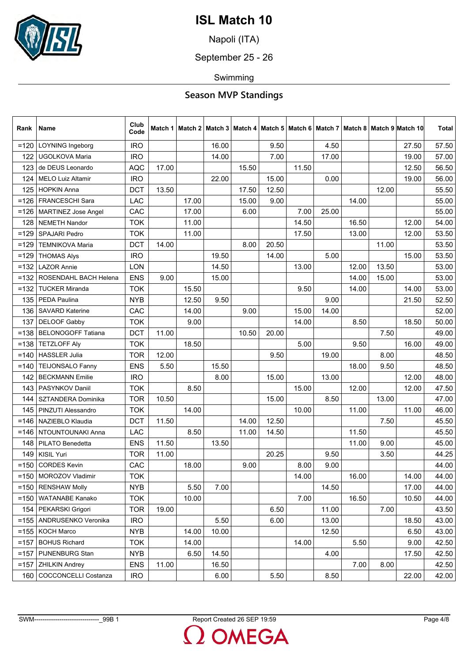

Napoli (ITA)

September 25 - 26

Swimming

| Rank    | Name                         | Club<br>Code | Match 1 |       |       |       |       |       |       |       |       | Match 2   Match 3   Match 4   Match 5   Match 6   Match 7   Match 8   Match 9  Match 10 | <b>Total</b> |
|---------|------------------------------|--------------|---------|-------|-------|-------|-------|-------|-------|-------|-------|-----------------------------------------------------------------------------------------|--------------|
| $=120$  | LOYNING Ingeborg             | <b>IRO</b>   |         |       | 16.00 |       | 9.50  |       | 4.50  |       |       | 27.50                                                                                   | 57.50        |
| 122     | UGOLKOVA Maria               | <b>IRO</b>   |         |       | 14.00 |       | 7.00  |       | 17.00 |       |       | 19.00                                                                                   | 57.00        |
| 123     | de DEUS Leonardo             | <b>AQC</b>   | 17.00   |       |       | 15.50 |       | 11.50 |       |       |       | 12.50                                                                                   | 56.50        |
| 124     | MELO Luiz Altamir            | <b>IRO</b>   |         |       | 22.00 |       | 15.00 |       | 0.00  |       |       | 19.00                                                                                   | 56.00        |
| 125     | <b>HOPKIN Anna</b>           | <b>DCT</b>   | 13.50   |       |       | 17.50 | 12.50 |       |       |       | 12.00 |                                                                                         | 55.50        |
|         | =126   FRANCESCHI Sara       | <b>LAC</b>   |         | 17.00 |       | 15.00 | 9.00  |       |       | 14.00 |       |                                                                                         | 55.00        |
| $=126$  | <b>MARTINEZ Jose Angel</b>   | CAC          |         | 17.00 |       | 6.00  |       | 7.00  | 25.00 |       |       |                                                                                         | 55.00        |
| 128     | <b>NEMETH Nandor</b>         | <b>TOK</b>   |         | 11.00 |       |       |       | 14.50 |       | 16.50 |       | 12.00                                                                                   | 54.00        |
| $=129$  | <b>SPAJARI Pedro</b>         | <b>TOK</b>   |         | 11.00 |       |       |       | 17.50 |       | 13.00 |       | 12.00                                                                                   | 53.50        |
| $=129$  | <b>TEMNIKOVA Maria</b>       | <b>DCT</b>   | 14.00   |       |       | 8.00  | 20.50 |       |       |       | 11.00 |                                                                                         | 53.50        |
| $=129$  | <b>THOMAS Alys</b>           | <b>IRO</b>   |         |       | 19.50 |       | 14.00 |       | 5.00  |       |       | 15.00                                                                                   | 53.50        |
| $=132$  | <b>LAZOR Annie</b>           | <b>LON</b>   |         |       | 14.50 |       |       | 13.00 |       | 12.00 | 13.50 |                                                                                         | 53.00        |
|         | =132   ROSENDAHL BACH Helena | <b>ENS</b>   | 9.00    |       | 15.00 |       |       |       |       | 14.00 | 15.00 |                                                                                         | 53.00        |
| $=132$  | <b>TUCKER Miranda</b>        | <b>TOK</b>   |         | 15.50 |       |       |       | 9.50  |       | 14.00 |       | 14.00                                                                                   | 53.00        |
|         | 135   PEDA Paulina           | <b>NYB</b>   |         | 12.50 | 9.50  |       |       |       | 9.00  |       |       | 21.50                                                                                   | 52.50        |
|         | 136   SAVARD Katerine        | CAC          |         | 14.00 |       | 9.00  |       | 15.00 | 14.00 |       |       |                                                                                         | 52.00        |
| 137     | <b>DELOOF Gabby</b>          | <b>TOK</b>   |         | 9.00  |       |       |       | 14.00 |       | 8.50  |       | 18.50                                                                                   | 50.00        |
|         | =138   BELONOGOFF Tatiana    | <b>DCT</b>   | 11.00   |       |       | 10.50 | 20.00 |       |       |       | 7.50  |                                                                                         | 49.00        |
| $=138$  | <b>TETZLOFF Aly</b>          | <b>TOK</b>   |         | 18.50 |       |       |       | 5.00  |       | 9.50  |       | 16.00                                                                                   | 49.00        |
| $=140$  | <b>HASSLER Julia</b>         | <b>TOR</b>   | 12.00   |       |       |       | 9.50  |       | 19.00 |       | 8.00  |                                                                                         | 48.50        |
| $= 140$ | <b>TEIJONSALO Fanny</b>      | <b>ENS</b>   | 5.50    |       | 15.50 |       |       |       |       | 18.00 | 9.50  |                                                                                         | 48.50        |
|         | 142   BECKMANN Emilie        | <b>IRO</b>   |         |       | 8.00  |       | 15.00 |       | 13.00 |       |       | 12.00                                                                                   | 48.00        |
| 143     | PASYNKOV Daniil              | <b>TOK</b>   |         | 8.50  |       |       |       | 15.00 |       | 12.00 |       | 12.00                                                                                   | 47.50        |
| 144     | SZTANDERA Dominika           | <b>TOR</b>   | 10.50   |       |       |       | 15.00 |       | 8.50  |       | 13.00 |                                                                                         | 47.00        |
|         | 145   PINZUTI Alessandro     | <b>TOK</b>   |         | 14.00 |       |       |       | 10.00 |       | 11.00 |       | 11.00                                                                                   | 46.00        |
| $= 146$ | NAZIEBLO Klaudia             | <b>DCT</b>   | 11.50   |       |       | 14.00 | 12.50 |       |       |       | 7.50  |                                                                                         | 45.50        |
|         | =146   NTOUNTOUNAKI Anna     | <b>LAC</b>   |         | 8.50  |       | 11.00 | 14.50 |       |       | 11.50 |       |                                                                                         | 45.50        |
|         | 148   PILATO Benedetta       | <b>ENS</b>   | 11.50   |       | 13.50 |       |       |       |       | 11.00 | 9.00  |                                                                                         | 45.00        |
| 149     | KISIL Yuri                   | <b>TOR</b>   | 11.00   |       |       |       | 20.25 |       | 9.50  |       | 3.50  |                                                                                         | 44.25        |
|         | $=150$ CORDES Kevin          | CAC          |         | 18.00 |       | 9.00  |       | 8.00  | 9.00  |       |       |                                                                                         | 44.00        |
|         | =150   MOROZOV Vladimir      | <b>TOK</b>   |         |       |       |       |       | 14.00 |       | 16.00 |       | 14.00                                                                                   | 44.00        |
|         | $=150$ RENSHAW Molly         | <b>NYB</b>   |         | 5.50  | 7.00  |       |       |       | 14.50 |       |       | 17.00                                                                                   | 44.00        |
|         | =150   WATANABE Kanako       | <b>TOK</b>   |         | 10.00 |       |       |       | 7.00  |       | 16.50 |       | 10.50                                                                                   | 44.00        |
|         | 154   PEKARSKI Grigori       | <b>TOR</b>   | 19.00   |       |       |       | 6.50  |       | 11.00 |       | 7.00  |                                                                                         | 43.50        |
|         | =155 ANDRUSENKO Veronika     | <b>IRO</b>   |         |       | 5.50  |       | 6.00  |       | 13.00 |       |       | 18.50                                                                                   | 43.00        |
|         | $=155$ KOCH Marco            | <b>NYB</b>   |         | 14.00 | 10.00 |       |       |       | 12.50 |       |       | 6.50                                                                                    | 43.00        |
|         | =157   BOHUS Richard         | <b>TOK</b>   |         | 14.00 |       |       |       | 14.00 |       | 5.50  |       | 9.00                                                                                    | 42.50        |
|         | =157   PIJNENBURG Stan       | <b>NYB</b>   |         | 6.50  | 14.50 |       |       |       | 4.00  |       |       | 17.50                                                                                   | 42.50        |
|         | =157   ZHILKIN Andrey        | <b>ENS</b>   | 11.00   |       | 16.50 |       |       |       |       | 7.00  | 8.00  |                                                                                         | 42.50        |
|         | 160   COCCONCELLI Costanza   | <b>IRO</b>   |         |       | 6.00  |       | 5.50  |       | 8.50  |       |       | 22.00                                                                                   | 42.00        |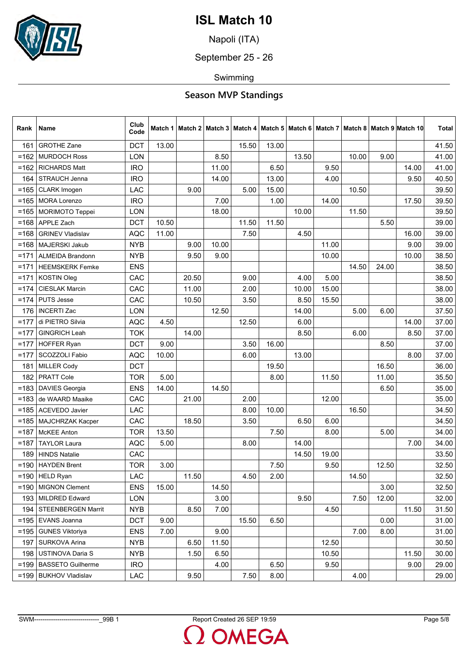

Napoli (ITA)

September 25 - 26

Swimming

| Rank    | Name                     | Club<br>Code | Match 1 |       |       |       |       |       |       |       |       | Match 2   Match 3   Match 4   Match 5   Match 6   Match 7   Match 8   Match 9  Match 10 | <b>Total</b> |
|---------|--------------------------|--------------|---------|-------|-------|-------|-------|-------|-------|-------|-------|-----------------------------------------------------------------------------------------|--------------|
| 161     | <b>GROTHE Zane</b>       | <b>DCT</b>   | 13.00   |       |       | 15.50 | 13.00 |       |       |       |       |                                                                                         | 41.50        |
| $=162$  | <b>MURDOCH Ross</b>      | <b>LON</b>   |         |       | 8.50  |       |       | 13.50 |       | 10.00 | 9.00  |                                                                                         | 41.00        |
| $=162$  | <b>RICHARDS Matt</b>     | <b>IRO</b>   |         |       | 11.00 |       | 6.50  |       | 9.50  |       |       | 14.00                                                                                   | 41.00        |
| 164     | STRAUCH Jenna            | <b>IRO</b>   |         |       | 14.00 |       | 13.00 |       | 4.00  |       |       | 9.50                                                                                    | 40.50        |
| $= 165$ | CLARK Imogen             | LAC          |         | 9.00  |       | 5.00  | 15.00 |       |       | 10.50 |       |                                                                                         | 39.50        |
|         | =165   MORA Lorenzo      | <b>IRO</b>   |         |       | 7.00  |       | 1.00  |       | 14.00 |       |       | 17.50                                                                                   | 39.50        |
| $= 165$ | MORIMOTO Teppei          | <b>LON</b>   |         |       | 18.00 |       |       | 10.00 |       | 11.50 |       |                                                                                         | 39.50        |
| $= 168$ | <b>APPLE Zach</b>        | <b>DCT</b>   | 10.50   |       |       | 11.50 | 11.50 |       |       |       | 5.50  |                                                                                         | 39.00        |
| $= 168$ | <b>GRINEV Vladislav</b>  | <b>AQC</b>   | 11.00   |       |       | 7.50  |       | 4.50  |       |       |       | 16.00                                                                                   | 39.00        |
| $= 168$ | <b>MAJERSKI Jakub</b>    | <b>NYB</b>   |         | 9.00  | 10.00 |       |       |       | 11.00 |       |       | 9.00                                                                                    | 39.00        |
| $=171$  | <b>ALMEIDA Brandonn</b>  | <b>NYB</b>   |         | 9.50  | 9.00  |       |       |       | 10.00 |       |       | 10.00                                                                                   | 38.50        |
|         | =171   HEEMSKERK Femke   | <b>ENS</b>   |         |       |       |       |       |       |       | 14.50 | 24.00 |                                                                                         | 38.50        |
| $=171$  | <b>KOSTIN Oleg</b>       | CAC          |         | 20.50 |       | 9.00  |       | 4.00  | 5.00  |       |       |                                                                                         | 38.50        |
| $=174$  | <b>CIESLAK Marcin</b>    | CAC          |         | 11.00 |       | 2.00  |       | 10.00 | 15.00 |       |       |                                                                                         | 38.00        |
|         | $=174$ PUTS Jesse        | CAC          |         | 10.50 |       | 3.50  |       | 8.50  | 15.50 |       |       |                                                                                         | 38.00        |
| 176     | <b>INCERTI Zac</b>       | <b>LON</b>   |         |       | 12.50 |       |       | 14.00 |       | 5.00  | 6.00  |                                                                                         | 37.50        |
| $=177$  | di PIETRO Silvia         | <b>AQC</b>   | 4.50    |       |       | 12.50 |       | 6.00  |       |       |       | 14.00                                                                                   | 37.00        |
| $=177$  | <b>GINGRICH Leah</b>     | <b>TOK</b>   |         | 14.00 |       |       |       | 8.50  |       | 6.00  |       | 8.50                                                                                    | 37.00        |
| $=177$  | <b>HOFFER Ryan</b>       | <b>DCT</b>   | 9.00    |       |       | 3.50  | 16.00 |       |       |       | 8.50  |                                                                                         | 37.00        |
| $=177$  | SCOZZOLI Fabio           | <b>AQC</b>   | 10.00   |       |       | 6.00  |       | 13.00 |       |       |       | 8.00                                                                                    | 37.00        |
|         | 181 MILLER Cody          | <b>DCT</b>   |         |       |       |       | 19.50 |       |       |       | 16.50 |                                                                                         | 36.00        |
| 182     | <b>PRATT Cole</b>        | <b>TOR</b>   | 5.00    |       |       |       | 8.00  |       | 11.50 |       | 11.00 |                                                                                         | 35.50        |
| $=183$  | <b>DAVIES Georgia</b>    | <b>ENS</b>   | 14.00   |       | 14.50 |       |       |       |       |       | 6.50  |                                                                                         | 35.00        |
|         | =183 de WAARD Maaike     | CAC          |         | 21.00 |       | 2.00  |       |       | 12.00 |       |       |                                                                                         | 35.00        |
| $= 185$ | <b>ACEVEDO Javier</b>    | <b>LAC</b>   |         |       |       | 8.00  | 10.00 |       |       | 16.50 |       |                                                                                         | 34.50        |
| $= 185$ | MAJCHRZAK Kacper         | CAC          |         | 18.50 |       | 3.50  |       | 6.50  | 6.00  |       |       |                                                                                         | 34.50        |
| $=187$  | <b>McKEE</b> Anton       | <b>TOR</b>   | 13.50   |       |       |       | 7.50  |       | 8.00  |       | 5.00  |                                                                                         | 34.00        |
| $=187$  | <b>TAYLOR Laura</b>      | <b>AQC</b>   | 5.00    |       |       | 8.00  |       | 14.00 |       |       |       | 7.00                                                                                    | 34.00        |
| 189     | <b>HINDS Natalie</b>     | CAC          |         |       |       |       |       | 14.50 | 19.00 |       |       |                                                                                         | 33.50        |
|         | $=190$ HAYDEN Brent      | <b>TOR</b>   | 3.00    |       |       |       | 7.50  |       | 9.50  |       | 12.50 |                                                                                         | 32.50        |
|         | $=190$ HELD Ryan         | <b>LAC</b>   |         | 11.50 |       | 4.50  | 2.00  |       |       | 14.50 |       |                                                                                         | 32.50        |
|         | $=$ 190   MIGNON Clement | <b>ENS</b>   | 15.00   |       | 14.50 |       |       |       |       |       | 3.00  |                                                                                         | 32.50        |
|         | 193 MILDRED Edward       | <b>LON</b>   |         |       | 3.00  |       |       | 9.50  |       | 7.50  | 12.00 |                                                                                         | 32.00        |
|         | 194   STEENBERGEN Marrit | <b>NYB</b>   |         | 8.50  | 7.00  |       |       |       | 4.50  |       |       | 11.50                                                                                   | 31.50        |
|         | =195   EVANS Joanna      | <b>DCT</b>   | 9.00    |       |       | 15.50 | 6.50  |       |       |       | 0.00  |                                                                                         | 31.00        |
|         | =195 GUNES Viktoriya     | <b>ENS</b>   | 7.00    |       | 9.00  |       |       |       |       | 7.00  | 8.00  |                                                                                         | 31.00        |
| 197     | <b>SURKOVA Arina</b>     | <b>NYB</b>   |         | 6.50  | 11.50 |       |       |       | 12.50 |       |       |                                                                                         | 30.50        |
|         | 198 USTINOVA Daria S     | <b>NYB</b>   |         | 1.50  | 6.50  |       |       |       | 10.50 |       |       | 11.50                                                                                   | 30.00        |
|         | =199   BASSETO Guilherme | <b>IRO</b>   |         |       | 4.00  |       | 6.50  |       | 9.50  |       |       | 9.00                                                                                    | 29.00        |
|         | =199   BUKHOV Vladislav  | LAC          |         | 9.50  |       | 7.50  | 8.00  |       |       | 4.00  |       |                                                                                         | 29.00        |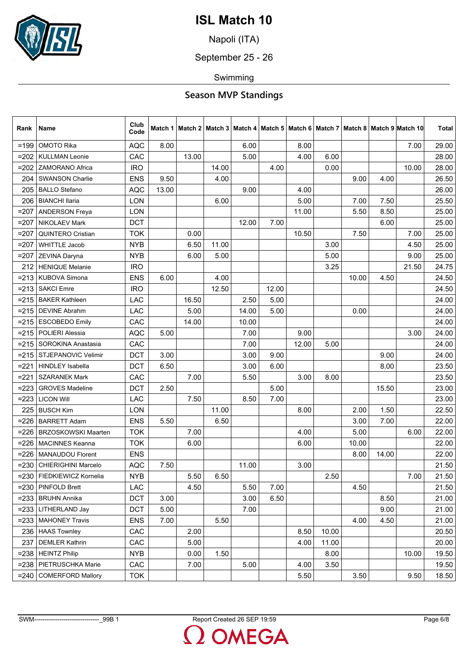

Napoli (ITA)

September 25 - 26

Swimming

| Rank    | Name                        | Club<br>Code | Match 1 |       |       |       |       |       |       |       |       | Match 2   Match 3   Match 4   Match 5   Match 6   Match 7   Match 8   Match 9  Match 10 | <b>Total</b> |
|---------|-----------------------------|--------------|---------|-------|-------|-------|-------|-------|-------|-------|-------|-----------------------------------------------------------------------------------------|--------------|
| $=199$  | <b>OMOTO Rika</b>           | <b>AQC</b>   | 8.00    |       |       | 6.00  |       | 8.00  |       |       |       | 7.00                                                                                    | 29.00        |
| $=202$  | <b>KULLMAN Leonie</b>       | CAC          |         | 13.00 |       | 5.00  |       | 4.00  | 6.00  |       |       |                                                                                         | 28.00        |
|         | =202 ZAMORANO Africa        | <b>IRO</b>   |         |       | 14.00 |       | 4.00  |       | 0.00  |       |       | 10.00                                                                                   | 28.00        |
| 204     | <b>SWANSON Charlie</b>      | <b>ENS</b>   | 9.50    |       | 4.00  |       |       |       |       | 9.00  | 4.00  |                                                                                         | 26.50        |
|         | 205   BALLO Stefano         | <b>AQC</b>   | 13.00   |       |       | 9.00  |       | 4.00  |       |       |       |                                                                                         | 26.00        |
|         | 206   BIANCHI Ilaria        | <b>LON</b>   |         |       | 6.00  |       |       | 5.00  |       | 7.00  | 7.50  |                                                                                         | 25.50        |
| $=207$  | <b>ANDERSON Freya</b>       | <b>LON</b>   |         |       |       |       |       | 11.00 |       | 5.50  | 8.50  |                                                                                         | 25.00        |
| $= 207$ | <b>NIKOLAEV Mark</b>        | <b>DCT</b>   |         |       |       | 12.00 | 7.00  |       |       |       | 6.00  |                                                                                         | 25.00        |
| $= 207$ | <b>QUINTERO Cristian</b>    | <b>TOK</b>   |         | 0.00  |       |       |       | 10.50 |       | 7.50  |       | 7.00                                                                                    | 25.00        |
| $=207$  | <b>WHITTLE Jacob</b>        | <b>NYB</b>   |         | 6.50  | 11.00 |       |       |       | 3.00  |       |       | 4.50                                                                                    | 25.00        |
| $=207$  | ZEVINA Daryna               | <b>NYB</b>   |         | 6.00  | 5.00  |       |       |       | 5.00  |       |       | 9.00                                                                                    | 25.00        |
|         | 212 HENIQUE Melanie         | <b>IRO</b>   |         |       |       |       |       |       | 3.25  |       |       | 21.50                                                                                   | 24.75        |
| $= 213$ | KUBOVA Simona               | <b>ENS</b>   | 6.00    |       | 4.00  |       |       |       |       | 10.00 | 4.50  |                                                                                         | 24.50        |
| $= 213$ | <b>SAKCI Emre</b>           | <b>IRO</b>   |         |       | 12.50 |       | 12.00 |       |       |       |       |                                                                                         | 24.50        |
|         | =215   BAKER Kathleen       | LAC          |         | 16.50 |       | 2.50  | 5.00  |       |       |       |       |                                                                                         | 24.00        |
|         | =215   DEVINE Abrahm        | LAC          |         | 5.00  |       | 14.00 | 5.00  |       |       | 0.00  |       |                                                                                         | 24.00        |
|         | $= 215$ ESCOBEDO Emily      | CAC          |         | 14.00 |       | 10.00 |       |       |       |       |       |                                                                                         | 24.00        |
|         | =215   POLIERI Alessia      | <b>AQC</b>   | 5.00    |       |       | 7.00  |       | 9.00  |       |       |       | 3.00                                                                                    | 24.00        |
| $= 215$ | SOROKINA Anastasia          | CAC          |         |       |       | 7.00  |       | 12.00 | 5.00  |       |       |                                                                                         | 24.00        |
|         | =215   STJEPANOVIC Velimir  | <b>DCT</b>   | 3.00    |       |       | 3.00  | 9.00  |       |       |       | 9.00  |                                                                                         | 24.00        |
|         | =221   HINDLEY Isabella     | <b>DCT</b>   | 6.50    |       |       | 3.00  | 6.00  |       |       |       | 8.00  |                                                                                         | 23.50        |
| $= 221$ | <b>SZARANEK Mark</b>        | CAC          |         | 7.00  |       | 5.50  |       | 3.00  | 8.00  |       |       |                                                                                         | 23.50        |
| $=223$  | <b>GROVES Madeline</b>      | <b>DCT</b>   | 2.50    |       |       |       | 5.00  |       |       |       | 15.50 |                                                                                         | 23.00        |
|         | $= 223$ LICON Will          | LAC          |         | 7.50  |       | 8.50  | 7.00  |       |       |       |       |                                                                                         | 23.00        |
| 225     | <b>BUSCH Kim</b>            | LON          |         |       | 11.00 |       |       | 8.00  |       | 2.00  | 1.50  |                                                                                         | 22.50        |
| $= 226$ | <b>BARRETT Adam</b>         | <b>ENS</b>   | 5.50    |       | 6.50  |       |       |       |       | 3.00  | 7.00  |                                                                                         | 22.00        |
|         | =226   BRZOSKOWSKI Maarten  | <b>TOK</b>   |         | 7.00  |       |       |       | 4.00  |       | 5.00  |       | 6.00                                                                                    | 22.00        |
| $= 226$ | <b>MACINNES Keanna</b>      | <b>TOK</b>   |         | 6.00  |       |       |       | 6.00  |       | 10.00 |       |                                                                                         | 22.00        |
| $= 226$ | <b>MANAUDOU Florent</b>     | <b>ENS</b>   |         |       |       |       |       |       |       | 8.00  | 14.00 |                                                                                         | 22.00        |
|         | =230   CHIERIGHINI Marcelo  | <b>AQC</b>   | 7.50    |       |       | 11.00 |       | 3.00  |       |       |       |                                                                                         | 21.50        |
|         | =230   FIEDKIEWICZ Kornelia | <b>NYB</b>   |         | 5.50  | 6.50  |       |       |       | 2.50  |       |       | 7.00                                                                                    | 21.50        |
|         | $= 230$   PINFOLD Brett     | LAC          |         | 4.50  |       | 5.50  | 7.00  |       |       | 4.50  |       |                                                                                         | 21.50        |
|         | =233   BRUHN Annika         | <b>DCT</b>   | 3.00    |       |       | 3.00  | 6.50  |       |       |       | 8.50  |                                                                                         | 21.00        |
|         | =233   LITHERLAND Jay       | <b>DCT</b>   | 5.00    |       |       | 7.00  |       |       |       |       | 9.00  |                                                                                         | 21.00        |
|         | $= 233$ MAHONEY Travis      | <b>ENS</b>   | 7.00    |       | 5.50  |       |       |       |       | 4.00  | 4.50  |                                                                                         | 21.00        |
|         | 236   HAAS Townley          | CAC          |         | 2.00  |       |       |       | 8.50  | 10.00 |       |       |                                                                                         | 20.50        |
| 237     | <b>DEMLER Kathrin</b>       | CAC          |         | 5.00  |       |       |       | 4.00  | 11.00 |       |       |                                                                                         | 20.00        |
|         | $= 238$   HEINTZ Philip     | <b>NYB</b>   |         | 0.00  | 1.50  |       |       |       | 8.00  |       |       | 10.00                                                                                   | 19.50        |
|         | =238   PIETRUSCHKA Marie    | CAC          |         | 7.00  |       | 5.00  |       | 4.00  | 3.50  |       |       |                                                                                         | 19.50        |
|         | $=$ 240 COMERFORD Mallory   | <b>TOK</b>   |         |       |       |       |       | 5.50  |       | 3.50  |       | 9.50                                                                                    | 18.50        |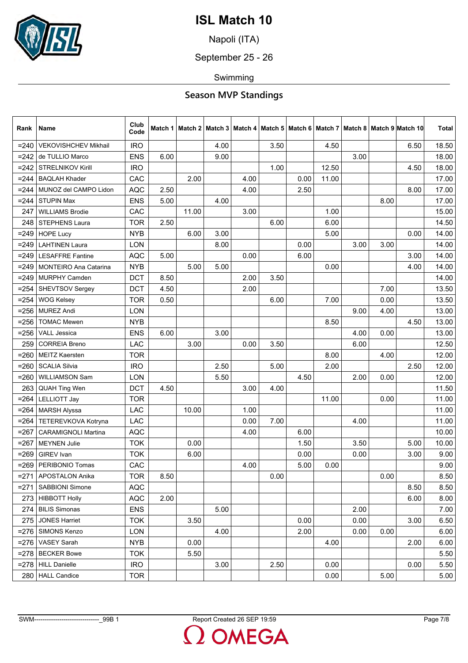

Napoli (ITA)

September 25 - 26

Swimming

| Rank    | Name                         | Club<br>Code | Match 1 |       | Match 2   Match 3   Match 4   Match 5   Match 6   Match 7 |      |      |      |       |      |      | ∣Match 8   Match 9  Match 10 | <b>Total</b> |
|---------|------------------------------|--------------|---------|-------|-----------------------------------------------------------|------|------|------|-------|------|------|------------------------------|--------------|
| $= 240$ | <b>VEKOVISHCHEV Mikhail</b>  | <b>IRO</b>   |         |       | 4.00                                                      |      | 3.50 |      | 4.50  |      |      | 6.50                         | 18.50        |
| $= 242$ | de TULLIO Marco              | <b>ENS</b>   | 6.00    |       | 9.00                                                      |      |      |      |       | 3.00 |      |                              | 18.00        |
|         | $=$ 242 STRELNIKOV Kirill    | <b>IRO</b>   |         |       |                                                           |      | 1.00 |      | 12.50 |      |      | 4.50                         | 18.00        |
| $= 244$ | <b>BAQLAH Khader</b>         | CAC          |         | 2.00  |                                                           | 4.00 |      | 0.00 | 11.00 |      |      |                              | 17.00        |
| $= 244$ | MUNOZ del CAMPO Lidon        | AQC          | 2.50    |       |                                                           | 4.00 |      | 2.50 |       |      |      | 8.00                         | 17.00        |
| $= 244$ | <b>STUPIN Max</b>            | <b>ENS</b>   | 5.00    |       | 4.00                                                      |      |      |      |       |      | 8.00 |                              | 17.00        |
| 247     | <b>WILLIAMS Brodie</b>       | CAC          |         | 11.00 |                                                           | 3.00 |      |      | 1.00  |      |      |                              | 15.00        |
| 248     | STEPHENS Laura               | <b>TOR</b>   | 2.50    |       |                                                           |      | 6.00 |      | 6.00  |      |      |                              | 14.50        |
|         | $= 249$ HOPE Lucy            | <b>NYB</b>   |         | 6.00  | 3.00                                                      |      |      |      | 5.00  |      |      | 0.00                         | 14.00        |
| $= 249$ | <b>LAHTINEN Laura</b>        | LON          |         |       | 8.00                                                      |      |      | 0.00 |       | 3.00 | 3.00 |                              | 14.00        |
| $= 249$ | <b>LESAFFRE Fantine</b>      | <b>AQC</b>   | 5.00    |       |                                                           | 0.00 |      | 6.00 |       |      |      | 3.00                         | 14.00        |
|         | =249   MONTEIRO Ana Catarina | <b>NYB</b>   |         | 5.00  | 5.00                                                      |      |      |      | 0.00  |      |      | 4.00                         | 14.00        |
| $= 249$ | <b>MURPHY Camden</b>         | DCT          | 8.50    |       |                                                           | 2.00 | 3.50 |      |       |      |      |                              | 14.00        |
| $= 254$ | SHEVTSOV Sergey              | <b>DCT</b>   | 4.50    |       |                                                           | 2.00 |      |      |       |      | 7.00 |                              | 13.50        |
| $= 254$ | <b>WOG Kelsey</b>            | <b>TOR</b>   | 0.50    |       |                                                           |      | 6.00 |      | 7.00  |      | 0.00 |                              | 13.50        |
| $= 256$ | <b>MUREZ Andi</b>            | <b>LON</b>   |         |       |                                                           |      |      |      |       | 9.00 | 4.00 |                              | 13.00        |
| $= 256$ | <b>TOMAC Mewen</b>           | <b>NYB</b>   |         |       |                                                           |      |      |      | 8.50  |      |      | 4.50                         | 13.00        |
| $= 256$ | <b>VALL Jessica</b>          | <b>ENS</b>   | 6.00    |       | 3.00                                                      |      |      |      |       | 4.00 | 0.00 |                              | 13.00        |
| 259     | <b>CORREIA Breno</b>         | LAC          |         | 3.00  |                                                           | 0.00 | 3.50 |      |       | 6.00 |      |                              | 12.50        |
| $= 260$ | <b>MEITZ Kaersten</b>        | <b>TOR</b>   |         |       |                                                           |      |      |      | 8.00  |      | 4.00 |                              | 12.00        |
| $= 260$ | <b>SCALIA Silvia</b>         | <b>IRO</b>   |         |       | 2.50                                                      |      | 5.00 |      | 2.00  |      |      | 2.50                         | 12.00        |
| $= 260$ | <b>WILLIAMSON Sam</b>        | LON          |         |       | 5.50                                                      |      |      | 4.50 |       | 2.00 | 0.00 |                              | 12.00        |
| 263     | QUAH Ting Wen                | <b>DCT</b>   | 4.50    |       |                                                           | 3.00 | 4.00 |      |       |      |      |                              | 11.50        |
|         | $= 264$ LELLIOTT Jay         | <b>TOR</b>   |         |       |                                                           |      |      |      | 11.00 |      | 0.00 |                              | 11.00        |
| $= 264$ | <b>MARSH Alyssa</b>          | LAC          |         | 10.00 |                                                           | 1.00 |      |      |       |      |      |                              | 11.00        |
| $= 264$ | TETEREVKOVA Kotryna          | LAC          |         |       |                                                           | 0.00 | 7.00 |      |       | 4.00 |      |                              | 11.00        |
| $= 267$ | <b>CARAMIGNOLI Martina</b>   | <b>AQC</b>   |         |       |                                                           | 4.00 |      | 6.00 |       |      |      |                              | 10.00        |
| $= 267$ | <b>MEYNEN Julie</b>          | <b>TOK</b>   |         | 0.00  |                                                           |      |      | 1.50 |       | 3.50 |      | 5.00                         | 10.00        |
| $= 269$ | <b>GIREV</b> Ivan            | <b>TOK</b>   |         | 6.00  |                                                           |      |      | 0.00 |       | 0.00 |      | 3.00                         | 9.00         |
|         | =269   PERIBONIO Tomas       | CAC          |         |       |                                                           | 4.00 |      | 5.00 | 0.00  |      |      |                              | 9.00         |
|         | =271   APOSTALON Anika       | <b>TOR</b>   | 8.50    |       |                                                           |      | 0.00 |      |       |      | 0.00 |                              | 8.50         |
|         | =271   SABBIONI Simone       | <b>AQC</b>   |         |       |                                                           |      |      |      |       |      |      | 8.50                         | 8.50         |
|         | 273   HIBBOTT Holly          | <b>AQC</b>   | 2.00    |       |                                                           |      |      |      |       |      |      | 6.00                         | 8.00         |
|         | 274 BILIS Simonas            | <b>ENS</b>   |         |       | 5.00                                                      |      |      |      |       | 2.00 |      |                              | 7.00         |
| 275     | <b>JONES Harriet</b>         | <b>TOK</b>   |         | 3.50  |                                                           |      |      | 0.00 |       | 0.00 |      | 3.00                         | 6.50         |
|         | =276   SIMONS Kenzo          | <b>LON</b>   |         |       | 4.00                                                      |      |      | 2.00 |       | 0.00 | 0.00 |                              | 6.00         |
|         | =276   VASEY Sarah           | <b>NYB</b>   |         | 0.00  |                                                           |      |      |      | 4.00  |      |      | 2.00                         | 6.00         |
|         | $=$ 278   BECKER Bowe        | <b>TOK</b>   |         | 5.50  |                                                           |      |      |      |       |      |      |                              | 5.50         |
|         | $= 278$ HILL Danielle        | <b>IRO</b>   |         |       | 3.00                                                      |      | 2.50 |      | 0.00  |      |      | 0.00                         | 5.50         |
|         | 280   HALL Candice           | <b>TOR</b>   |         |       |                                                           |      |      |      | 0.00  |      | 5.00 |                              | 5.00         |